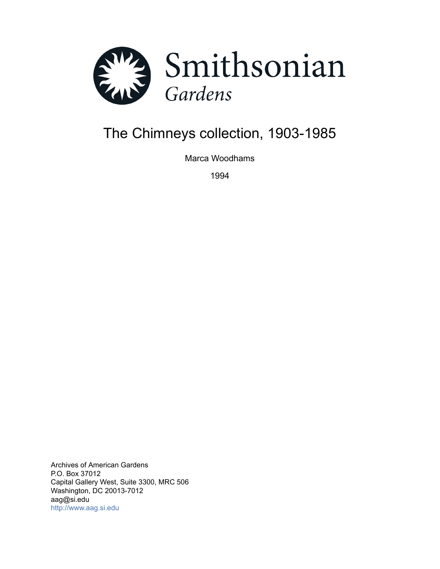

# The Chimneys collection, 1903-1985

Marca Woodhams

1994

Archives of American Gardens P.O. Box 37012 Capital Gallery West, Suite 3300, MRC 506 Washington, DC 20013-7012 aag@si.edu <http://www.aag.si.edu>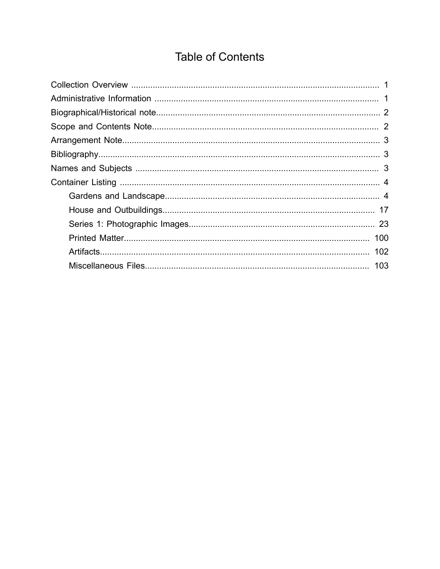# **Table of Contents**

<span id="page-1-0"></span>

| 102 |
|-----|
| 103 |
|     |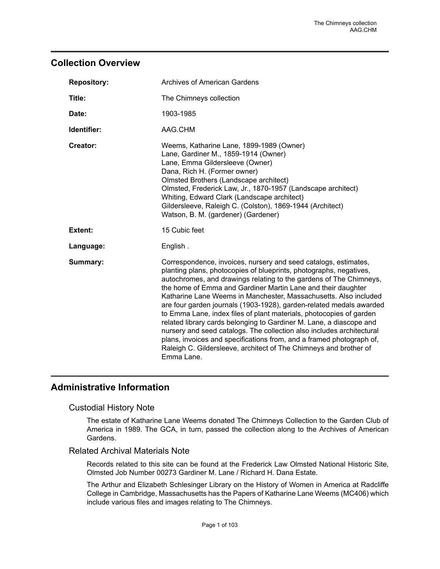# <span id="page-2-0"></span>**Collection Overview**

| <b>Repository:</b> | <b>Archives of American Gardens</b>                                                                                                                                                                                                                                                                                                                                                                                                                                                                                                                                                                                                                                                                                                                                                                      |  |
|--------------------|----------------------------------------------------------------------------------------------------------------------------------------------------------------------------------------------------------------------------------------------------------------------------------------------------------------------------------------------------------------------------------------------------------------------------------------------------------------------------------------------------------------------------------------------------------------------------------------------------------------------------------------------------------------------------------------------------------------------------------------------------------------------------------------------------------|--|
| Title:             | The Chimneys collection                                                                                                                                                                                                                                                                                                                                                                                                                                                                                                                                                                                                                                                                                                                                                                                  |  |
| Date:              | 1903-1985                                                                                                                                                                                                                                                                                                                                                                                                                                                                                                                                                                                                                                                                                                                                                                                                |  |
| Identifier:        | AAG.CHM                                                                                                                                                                                                                                                                                                                                                                                                                                                                                                                                                                                                                                                                                                                                                                                                  |  |
| Creator:           | Weems, Katharine Lane, 1899-1989 (Owner)<br>Lane, Gardiner M., 1859-1914 (Owner)<br>Lane, Emma Gildersleeve (Owner)<br>Dana, Rich H. (Former owner)<br>Olmsted Brothers (Landscape architect)<br>Olmsted, Frederick Law, Jr., 1870-1957 (Landscape architect)<br>Whiting, Edward Clark (Landscape architect)<br>Gildersleeve, Raleigh C. (Colston), 1869-1944 (Architect)<br>Watson, B. M. (gardener) (Gardener)                                                                                                                                                                                                                                                                                                                                                                                         |  |
| <b>Extent:</b>     | 15 Cubic feet                                                                                                                                                                                                                                                                                                                                                                                                                                                                                                                                                                                                                                                                                                                                                                                            |  |
| Language:          | English.                                                                                                                                                                                                                                                                                                                                                                                                                                                                                                                                                                                                                                                                                                                                                                                                 |  |
| Summary:           | Correspondence, invoices, nursery and seed catalogs, estimates,<br>planting plans, photocopies of blueprints, photographs, negatives,<br>autochromes, and drawings relating to the gardens of The Chimneys,<br>the home of Emma and Gardiner Martin Lane and their daughter<br>Katharine Lane Weems in Manchester, Massachusetts. Also included<br>are four garden journals (1903-1928), garden-related medals awarded<br>to Emma Lane, index files of plant materials, photocopies of garden<br>related library cards belonging to Gardiner M. Lane, a diascope and<br>nursery and seed catalogs. The collection also includes architectural<br>plans, invoices and specifications from, and a framed photograph of,<br>Raleigh C. Gildersleeve, architect of The Chimneys and brother of<br>Emma Lane. |  |

# <span id="page-2-1"></span>**Administrative Information**

### Custodial History Note

The estate of Katharine Lane Weems donated The Chimneys Collection to the Garden Club of America in 1989. The GCA, in turn, passed the collection along to the Archives of American Gardens.

### Related Archival Materials Note

Records related to this site can be found at the Frederick Law Olmsted National Historic Site, Olmsted Job Number 00273 Gardiner M. Lane / Richard H. Dana Estate.

The Arthur and Elizabeth Schlesinger Library on the History of Women in America at Radcliffe College in Cambridge, Massachusetts has the Papers of Katharine Lane Weems (MC406) which include various files and images relating to The Chimneys.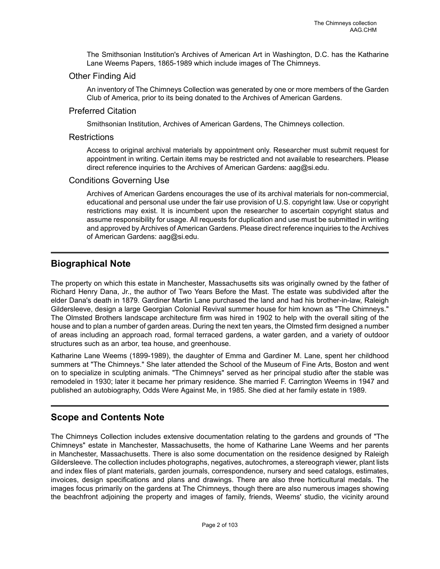The Smithsonian Institution's Archives of American Art in Washington, D.C. has the Katharine Lane Weems Papers, 1865-1989 which include images of The Chimneys.

### Other Finding Aid

An inventory of The Chimneys Collection was generated by one or more members of the Garden Club of America, prior to its being donated to the Archives of American Gardens.

### Preferred Citation

Smithsonian Institution, Archives of American Gardens, The Chimneys collection.

### **Restrictions**

Access to original archival materials by appointment only. Researcher must submit request for appointment in writing. Certain items may be restricted and not available to researchers. Please direct reference inquiries to the Archives of American Gardens: aag@si.edu.

### Conditions Governing Use

Archives of American Gardens encourages the use of its archival materials for non-commercial, educational and personal use under the fair use provision of U.S. copyright law. Use or copyright restrictions may exist. It is incumbent upon the researcher to ascertain copyright status and assume responsibility for usage. All requests for duplication and use must be submitted in writing and approved by Archives of American Gardens. Please direct reference inquiries to the Archives of American Gardens: aag@si.edu.

# <span id="page-3-0"></span>**Biographical Note**

The property on which this estate in Manchester, Massachusetts sits was originally owned by the father of Richard Henry Dana, Jr., the author of Two Years Before the Mast. The estate was subdivided after the elder Dana's death in 1879. Gardiner Martin Lane purchased the land and had his brother-in-law, Raleigh Gildersleeve, design a large Georgian Colonial Revival summer house for him known as "The Chimneys." The Olmsted Brothers landscape architecture firm was hired in 1902 to help with the overall siting of the house and to plan a number of garden areas. During the next ten years, the Olmsted firm designed a number of areas including an approach road, formal terraced gardens, a water garden, and a variety of outdoor structures such as an arbor, tea house, and greenhouse.

Katharine Lane Weems (1899-1989), the daughter of Emma and Gardiner M. Lane, spent her childhood summers at "The Chimneys." She later attended the School of the Museum of Fine Arts, Boston and went on to specialize in sculpting animals. "The Chimneys" served as her principal studio after the stable was remodeled in 1930; later it became her primary residence. She married F. Carrington Weems in 1947 and published an autobiography, Odds Were Against Me, in 1985. She died at her family estate in 1989.

# <span id="page-3-1"></span>**Scope and Contents Note**

The Chimneys Collection includes extensive documentation relating to the gardens and grounds of "The Chimneys" estate in Manchester, Massachusetts, the home of Katharine Lane Weems and her parents in Manchester, Massachusetts. There is also some documentation on the residence designed by Raleigh Gildersleeve. The collection includes photographs, negatives, autochromes, a stereograph viewer, plant lists and index files of plant materials, garden journals, correspondence, nursery and seed catalogs, estimates, invoices, design specifications and plans and drawings. There are also three horticultural medals. The images focus primarily on the gardens at The Chimneys, though there are also numerous images showing the beachfront adjoining the property and images of family, friends, Weems' studio, the vicinity around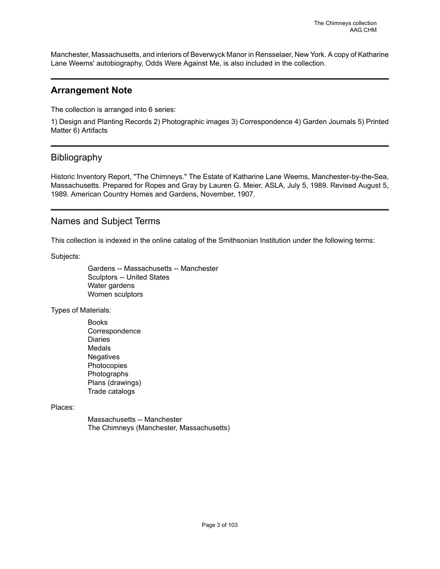Manchester, Massachusetts, and interiors of Beverwyck Manor in Rensselaer, New York. A copy of Katharine Lane Weems' autobiography, Odds Were Against Me, is also included in the collection.

### <span id="page-4-0"></span>**Arrangement Note**

The collection is arranged into 6 series:

1) Design and Planting Records 2) Photographic images 3) Correspondence 4) Garden Journals 5) Printed Matter 6) Artifacts

# <span id="page-4-1"></span>Bibliography

Historic Inventory Report, "The Chimneys." The Estate of Katharine Lane Weems, Manchester-by-the-Sea, Massachusetts. Prepared for Ropes and Gray by Lauren G. Meier, ASLA, July 5, 1989. Revised August 5, 1989. American Country Homes and Gardens, November, 1907.

## <span id="page-4-2"></span>Names and Subject Terms

This collection is indexed in the online catalog of the Smithsonian Institution under the following terms:

Subjects:

Gardens -- Massachusetts -- Manchester Sculptors -- United States Water gardens Women sculptors

Types of Materials:

Books Correspondence Diaries Medals **Negatives** Photocopies Photographs Plans (drawings) Trade catalogs

Places:

Massachusetts -- Manchester The Chimneys (Manchester, Massachusetts)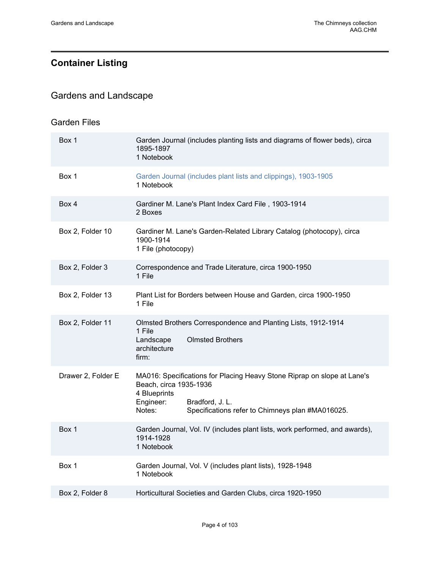# <span id="page-5-0"></span>**Container Listing**

# <span id="page-5-1"></span>Gardens and Landscape

### Garden Files

| Box 1              | Garden Journal (includes planting lists and diagrams of flower beds), circa<br>1895-1897<br>1 Notebook                                                                                                          |
|--------------------|-----------------------------------------------------------------------------------------------------------------------------------------------------------------------------------------------------------------|
| Box 1              | Garden Journal (includes plant lists and clippings), 1903-1905<br>1 Notebook                                                                                                                                    |
| Box 4              | Gardiner M. Lane's Plant Index Card File, 1903-1914<br>2 Boxes                                                                                                                                                  |
| Box 2, Folder 10   | Gardiner M. Lane's Garden-Related Library Catalog (photocopy), circa<br>1900-1914<br>1 File (photocopy)                                                                                                         |
| Box 2, Folder 3    | Correspondence and Trade Literature, circa 1900-1950<br>1 File                                                                                                                                                  |
| Box 2, Folder 13   | Plant List for Borders between House and Garden, circa 1900-1950<br>1 File                                                                                                                                      |
| Box 2, Folder 11   | Olmsted Brothers Correspondence and Planting Lists, 1912-1914<br>1 File<br><b>Olmsted Brothers</b><br>Landscape<br>architecture<br>firm:                                                                        |
| Drawer 2, Folder E | MA016: Specifications for Placing Heavy Stone Riprap on slope at Lane's<br>Beach, circa 1935-1936<br>4 Blueprints<br>Engineer:<br>Bradford, J. L.<br>Specifications refer to Chimneys plan #MA016025.<br>Notes: |
| Box 1              | Garden Journal, Vol. IV (includes plant lists, work performed, and awards),<br>1914-1928<br>1 Notebook                                                                                                          |
| Box 1              | Garden Journal, Vol. V (includes plant lists), 1928-1948<br>1 Notebook                                                                                                                                          |
| Box 2, Folder 8    | Horticultural Societies and Garden Clubs, circa 1920-1950                                                                                                                                                       |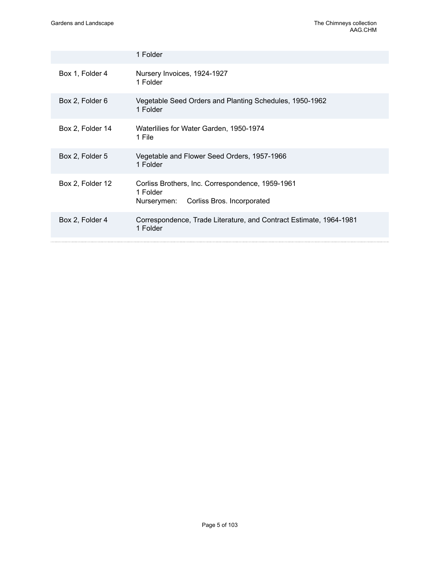|                  | 1 Folder                                                                                                  |  |
|------------------|-----------------------------------------------------------------------------------------------------------|--|
| Box 1, Folder 4  | Nursery Invoices, 1924-1927<br>1 Folder                                                                   |  |
| Box 2, Folder 6  | Vegetable Seed Orders and Planting Schedules, 1950-1962<br>1 Folder                                       |  |
| Box 2, Folder 14 | Waterlilies for Water Garden, 1950-1974<br>1 File                                                         |  |
| Box 2, Folder 5  | Vegetable and Flower Seed Orders, 1957-1966<br>1 Folder                                                   |  |
| Box 2, Folder 12 | Corliss Brothers, Inc. Correspondence, 1959-1961<br>1 Folder<br>Corliss Bros. Incorporated<br>Nurserymen: |  |
| Box 2, Folder 4  | Correspondence, Trade Literature, and Contract Estimate, 1964-1981<br>1 Folder                            |  |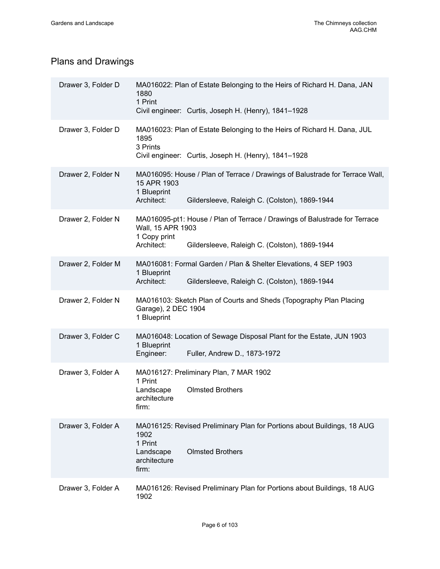# Plans and Drawings

| Drawer 3, Folder D | MA016022: Plan of Estate Belonging to the Heirs of Richard H. Dana, JAN<br>1880<br>1 Print<br>Civil engineer: Curtis, Joseph H. (Henry), 1841-1928                             |
|--------------------|--------------------------------------------------------------------------------------------------------------------------------------------------------------------------------|
| Drawer 3, Folder D | MA016023: Plan of Estate Belonging to the Heirs of Richard H. Dana, JUL<br>1895<br>3 Prints<br>Civil engineer: Curtis, Joseph H. (Henry), 1841-1928                            |
| Drawer 2, Folder N | MA016095: House / Plan of Terrace / Drawings of Balustrade for Terrace Wall,<br>15 APR 1903<br>1 Blueprint<br>Architect:<br>Gildersleeve, Raleigh C. (Colston), 1869-1944      |
| Drawer 2, Folder N | MA016095-pt1: House / Plan of Terrace / Drawings of Balustrade for Terrace<br>Wall, 15 APR 1903<br>1 Copy print<br>Architect:<br>Gildersleeve, Raleigh C. (Colston), 1869-1944 |
| Drawer 2, Folder M | MA016081: Formal Garden / Plan & Shelter Elevations, 4 SEP 1903<br>1 Blueprint<br>Architect:<br>Gildersleeve, Raleigh C. (Colston), 1869-1944                                  |
| Drawer 2, Folder N | MA016103: Sketch Plan of Courts and Sheds (Topography Plan Placing<br>Garage), 2 DEC 1904<br>1 Blueprint                                                                       |
| Drawer 3, Folder C | MA016048: Location of Sewage Disposal Plant for the Estate, JUN 1903<br>1 Blueprint<br>Engineer:<br>Fuller, Andrew D., 1873-1972                                               |
| Drawer 3, Folder A | MA016127: Preliminary Plan, 7 MAR 1902<br>1 Print<br>Landscape<br><b>Olmsted Brothers</b><br>architecture<br>firm:                                                             |
| Drawer 3, Folder A | MA016125: Revised Preliminary Plan for Portions about Buildings, 18 AUG<br>1902<br>1 Print<br><b>Olmsted Brothers</b><br>Landscape<br>architecture<br>firm:                    |
| Drawer 3, Folder A | MA016126: Revised Preliminary Plan for Portions about Buildings, 18 AUG<br>1902                                                                                                |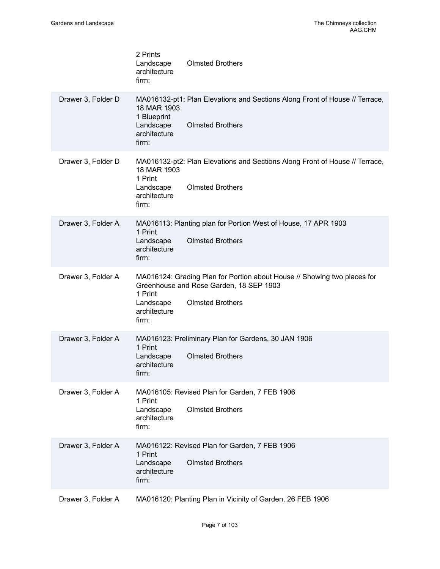|  |                    | 2 Prints<br>Landscape<br>architecture<br>firm:                   | <b>Olmsted Brothers</b>                                                                                                                        |
|--|--------------------|------------------------------------------------------------------|------------------------------------------------------------------------------------------------------------------------------------------------|
|  | Drawer 3, Folder D | 18 MAR 1903<br>1 Blueprint<br>Landscape<br>architecture<br>firm: | MA016132-pt1: Plan Elevations and Sections Along Front of House // Terrace,<br><b>Olmsted Brothers</b>                                         |
|  | Drawer 3, Folder D | 18 MAR 1903<br>1 Print<br>Landscape<br>architecture<br>firm:     | MA016132-pt2: Plan Elevations and Sections Along Front of House // Terrace,<br><b>Olmsted Brothers</b>                                         |
|  | Drawer 3, Folder A | 1 Print<br>Landscape<br>architecture<br>firm:                    | MA016113: Planting plan for Portion West of House, 17 APR 1903<br><b>Olmsted Brothers</b>                                                      |
|  | Drawer 3, Folder A | 1 Print<br>Landscape<br>architecture<br>firm:                    | MA016124: Grading Plan for Portion about House // Showing two places for<br>Greenhouse and Rose Garden, 18 SEP 1903<br><b>Olmsted Brothers</b> |
|  | Drawer 3, Folder A | 1 Print<br>Landscape<br>architecture<br>firm:                    | MA016123: Preliminary Plan for Gardens, 30 JAN 1906<br><b>Olmsted Brothers</b>                                                                 |
|  | Drawer 3, Folder A | 1 Print<br>Landscape<br>architecture<br>firm:                    | MA016105: Revised Plan for Garden, 7 FEB 1906<br><b>Olmsted Brothers</b>                                                                       |
|  | Drawer 3, Folder A | 1 Print<br>Landscape<br>architecture<br>firm:                    | MA016122: Revised Plan for Garden, 7 FEB 1906<br><b>Olmsted Brothers</b>                                                                       |
|  | Drawer 3, Folder A |                                                                  | MA016120: Planting Plan in Vicinity of Garden, 26 FEB 1906                                                                                     |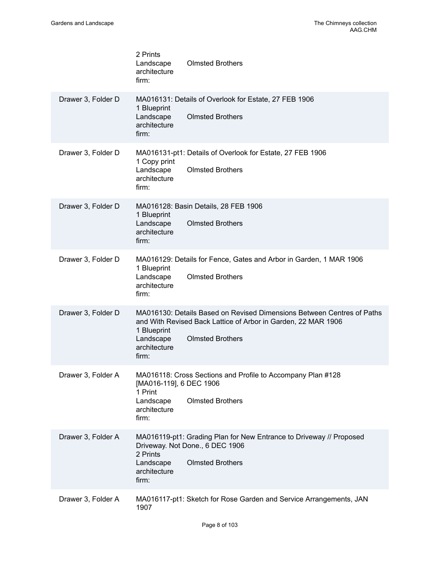|                    | 2 Prints<br><b>Olmsted Brothers</b><br>Landscape<br>architecture<br>firm:                                                                                                                                               |
|--------------------|-------------------------------------------------------------------------------------------------------------------------------------------------------------------------------------------------------------------------|
| Drawer 3, Folder D | MA016131: Details of Overlook for Estate, 27 FEB 1906<br>1 Blueprint<br>Landscape<br><b>Olmsted Brothers</b><br>architecture<br>firm:                                                                                   |
| Drawer 3, Folder D | MA016131-pt1: Details of Overlook for Estate, 27 FEB 1906<br>1 Copy print<br>Landscape<br><b>Olmsted Brothers</b><br>architecture<br>firm:                                                                              |
| Drawer 3, Folder D | MA016128: Basin Details, 28 FEB 1906<br>1 Blueprint<br>Landscape<br><b>Olmsted Brothers</b><br>architecture<br>firm:                                                                                                    |
| Drawer 3, Folder D | MA016129: Details for Fence, Gates and Arbor in Garden, 1 MAR 1906<br>1 Blueprint<br><b>Olmsted Brothers</b><br>Landscape<br>architecture<br>firm:                                                                      |
| Drawer 3, Folder D | MA016130: Details Based on Revised Dimensions Between Centres of Paths<br>and With Revised Back Lattice of Arbor in Garden, 22 MAR 1906<br>1 Blueprint<br>Landscape<br><b>Olmsted Brothers</b><br>architecture<br>firm: |
| Drawer 3, Folder A | MA016118: Cross Sections and Profile to Accompany Plan #128<br>[MA016-119], 6 DEC 1906<br>1 Print<br><b>Olmsted Brothers</b><br>Landscape<br>architecture<br>firm:                                                      |
| Drawer 3, Folder A | MA016119-pt1: Grading Plan for New Entrance to Driveway // Proposed<br>Driveway. Not Done., 6 DEC 1906<br>2 Prints<br><b>Olmsted Brothers</b><br>Landscape<br>architecture<br>firm:                                     |
| Drawer 3, Folder A | MA016117-pt1: Sketch for Rose Garden and Service Arrangements, JAN<br>1907                                                                                                                                              |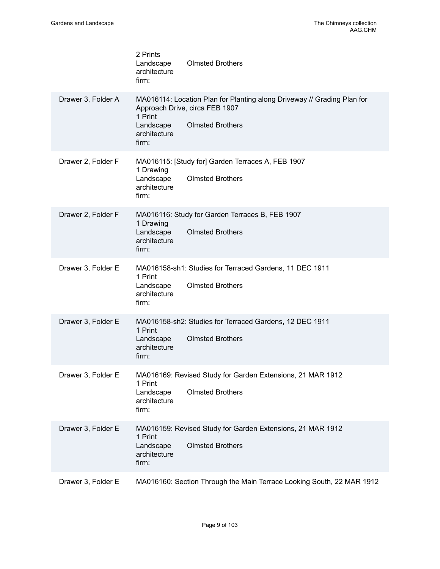|                    | 2 Prints<br><b>Olmsted Brothers</b><br>Landscape<br>architecture<br>firm:                                                                                                             |
|--------------------|---------------------------------------------------------------------------------------------------------------------------------------------------------------------------------------|
| Drawer 3, Folder A | MA016114: Location Plan for Planting along Driveway // Grading Plan for<br>Approach Drive, circa FEB 1907<br>1 Print<br><b>Olmsted Brothers</b><br>Landscape<br>architecture<br>firm: |
| Drawer 2, Folder F | MA016115: [Study for] Garden Terraces A, FEB 1907<br>1 Drawing<br>Landscape<br><b>Olmsted Brothers</b><br>architecture<br>firm:                                                       |
| Drawer 2, Folder F | MA016116: Study for Garden Terraces B, FEB 1907<br>1 Drawing<br><b>Olmsted Brothers</b><br>Landscape<br>architecture<br>firm:                                                         |
| Drawer 3, Folder E | MA016158-sh1: Studies for Terraced Gardens, 11 DEC 1911<br>1 Print<br><b>Olmsted Brothers</b><br>Landscape<br>architecture<br>firm:                                                   |
| Drawer 3, Folder E | MA016158-sh2: Studies for Terraced Gardens, 12 DEC 1911<br>1 Print<br><b>Olmsted Brothers</b><br>Landscape<br>architecture<br>firm:                                                   |
| Drawer 3, Folder E | MA016169: Revised Study for Garden Extensions, 21 MAR 1912<br>1 Print<br><b>Olmsted Brothers</b><br>Landscape<br>architecture<br>firm:                                                |
| Drawer 3, Folder E | MA016159: Revised Study for Garden Extensions, 21 MAR 1912<br>1 Print<br><b>Olmsted Brothers</b><br>Landscape<br>architecture<br>firm:                                                |
| Drawer 3, Folder E | MA016160: Section Through the Main Terrace Looking South, 22 MAR 1912                                                                                                                 |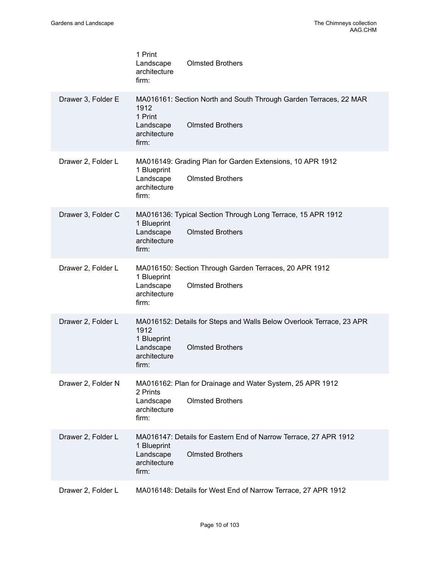|                    | 1 Print<br>Landscape<br>architecture<br>firm:             | <b>Olmsted Brothers</b>                                                                         |
|--------------------|-----------------------------------------------------------|-------------------------------------------------------------------------------------------------|
| Drawer 3, Folder E | 1912<br>1 Print<br>Landscape<br>architecture<br>firm:     | MA016161: Section North and South Through Garden Terraces, 22 MAR<br><b>Olmsted Brothers</b>    |
| Drawer 2, Folder L | 1 Blueprint<br>Landscape<br>architecture<br>firm:         | MA016149: Grading Plan for Garden Extensions, 10 APR 1912<br><b>Olmsted Brothers</b>            |
| Drawer 3, Folder C | 1 Blueprint<br>Landscape<br>architecture<br>firm:         | MA016136: Typical Section Through Long Terrace, 15 APR 1912<br><b>Olmsted Brothers</b>          |
| Drawer 2, Folder L | 1 Blueprint<br>Landscape<br>architecture<br>firm:         | MA016150: Section Through Garden Terraces, 20 APR 1912<br><b>Olmsted Brothers</b>               |
| Drawer 2, Folder L | 1912<br>1 Blueprint<br>Landscape<br>architecture<br>firm: | MA016152: Details for Steps and Walls Below Overlook Terrace, 23 APR<br><b>Olmsted Brothers</b> |
| Drawer 2, Folder N | 2 Prints<br>Landscape<br>architecture<br>firm:            | MA016162: Plan for Drainage and Water System, 25 APR 1912<br><b>Olmsted Brothers</b>            |
| Drawer 2, Folder L | 1 Blueprint<br>Landscape<br>architecture<br>firm:         | MA016147: Details for Eastern End of Narrow Terrace, 27 APR 1912<br><b>Olmsted Brothers</b>     |
| Drawer 2, Folder L |                                                           | MA016148: Details for West End of Narrow Terrace, 27 APR 1912                                   |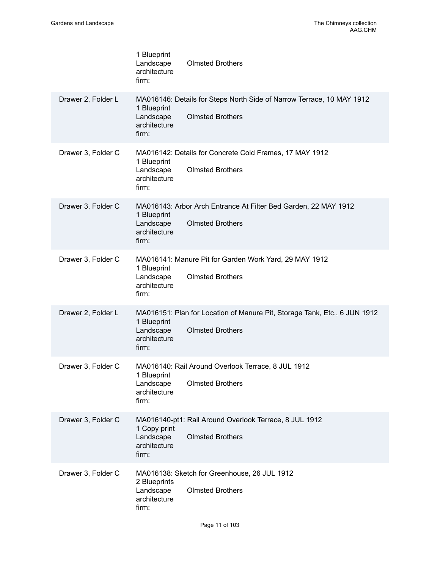|                    | 1 Blueprint<br>Landscape<br><b>Olmsted Brothers</b><br>architecture<br>firm:                                                                              |
|--------------------|-----------------------------------------------------------------------------------------------------------------------------------------------------------|
| Drawer 2, Folder L | MA016146: Details for Steps North Side of Narrow Terrace, 10 MAY 1912<br>1 Blueprint<br><b>Olmsted Brothers</b><br>Landscape<br>architecture<br>firm:     |
| Drawer 3, Folder C | MA016142: Details for Concrete Cold Frames, 17 MAY 1912<br>1 Blueprint<br><b>Olmsted Brothers</b><br>Landscape<br>architecture<br>firm:                   |
| Drawer 3, Folder C | MA016143: Arbor Arch Entrance At Filter Bed Garden, 22 MAY 1912<br>1 Blueprint<br><b>Olmsted Brothers</b><br>Landscape<br>architecture<br>firm:           |
| Drawer 3, Folder C | MA016141: Manure Pit for Garden Work Yard, 29 MAY 1912<br>1 Blueprint<br><b>Olmsted Brothers</b><br>Landscape<br>architecture<br>firm:                    |
| Drawer 2, Folder L | MA016151: Plan for Location of Manure Pit, Storage Tank, Etc., 6 JUN 1912<br>1 Blueprint<br><b>Olmsted Brothers</b><br>Landscape<br>architecture<br>firm: |
| Drawer 3, Folder C | MA016140: Rail Around Overlook Terrace, 8 JUL 1912<br>1 Blueprint<br><b>Olmsted Brothers</b><br>Landscape<br>architecture<br>firm:                        |
| Drawer 3, Folder C | MA016140-pt1: Rail Around Overlook Terrace, 8 JUL 1912<br>1 Copy print<br><b>Olmsted Brothers</b><br>Landscape<br>architecture<br>firm:                   |
| Drawer 3, Folder C | MA016138: Sketch for Greenhouse, 26 JUL 1912<br>2 Blueprints<br>Landscape<br><b>Olmsted Brothers</b><br>architecture<br>firm:                             |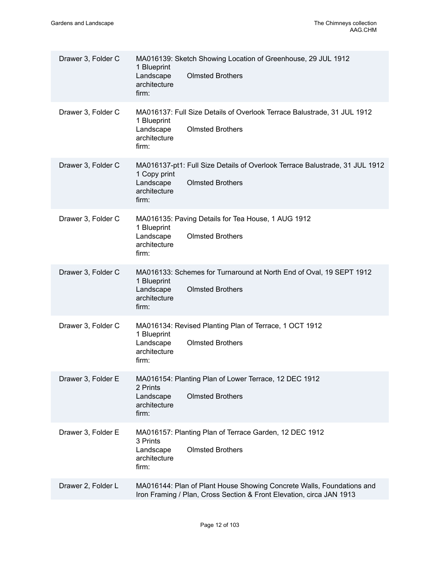| Drawer 3, Folder C | MA016139: Sketch Showing Location of Greenhouse, 29 JUL 1912<br>1 Blueprint<br>Landscape<br><b>Olmsted Brothers</b><br>architecture<br>firm:                 |
|--------------------|--------------------------------------------------------------------------------------------------------------------------------------------------------------|
| Drawer 3, Folder C | MA016137: Full Size Details of Overlook Terrace Balustrade, 31 JUL 1912<br>1 Blueprint<br><b>Olmsted Brothers</b><br>Landscape<br>architecture<br>firm:      |
| Drawer 3, Folder C | MA016137-pt1: Full Size Details of Overlook Terrace Balustrade, 31 JUL 1912<br>1 Copy print<br><b>Olmsted Brothers</b><br>Landscape<br>architecture<br>firm: |
| Drawer 3, Folder C | MA016135: Paving Details for Tea House, 1 AUG 1912<br>1 Blueprint<br>Landscape<br><b>Olmsted Brothers</b><br>architecture<br>firm:                           |
| Drawer 3, Folder C | MA016133: Schemes for Turnaround at North End of Oval, 19 SEPT 1912<br>1 Blueprint<br><b>Olmsted Brothers</b><br>Landscape<br>architecture<br>firm:          |
| Drawer 3, Folder C | MA016134: Revised Planting Plan of Terrace, 1 OCT 1912<br>1 Blueprint<br><b>Olmsted Brothers</b><br>Landscape<br>architecture<br>firm:                       |
| Drawer 3, Folder E | MA016154: Planting Plan of Lower Terrace, 12 DEC 1912<br>2 Prints<br><b>Olmsted Brothers</b><br>Landscape<br>architecture<br>firm:                           |
| Drawer 3, Folder E | MA016157: Planting Plan of Terrace Garden, 12 DEC 1912<br>3 Prints<br><b>Olmsted Brothers</b><br>Landscape<br>architecture<br>firm:                          |
| Drawer 2, Folder L | MA016144: Plan of Plant House Showing Concrete Walls, Foundations and<br>Iron Framing / Plan, Cross Section & Front Elevation, circa JAN 1913                |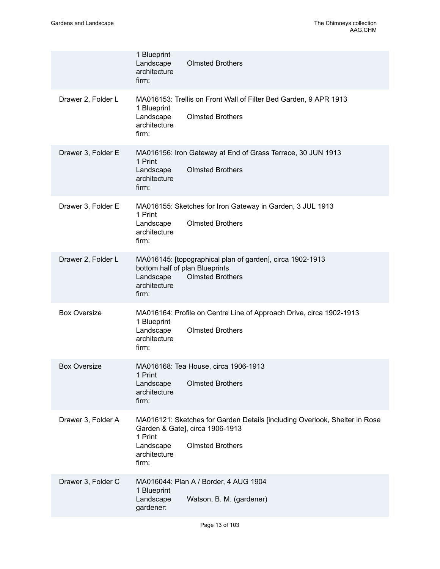|                     | 1 Blueprint<br>Landscape<br><b>Olmsted Brothers</b><br>architecture<br>firm:                                                                                                              |
|---------------------|-------------------------------------------------------------------------------------------------------------------------------------------------------------------------------------------|
| Drawer 2, Folder L  | MA016153: Trellis on Front Wall of Filter Bed Garden, 9 APR 1913<br>1 Blueprint<br><b>Olmsted Brothers</b><br>Landscape<br>architecture<br>firm:                                          |
| Drawer 3, Folder E  | MA016156: Iron Gateway at End of Grass Terrace, 30 JUN 1913<br>1 Print<br><b>Olmsted Brothers</b><br>Landscape<br>architecture<br>firm:                                                   |
| Drawer 3, Folder E  | MA016155: Sketches for Iron Gateway in Garden, 3 JUL 1913<br>1 Print<br><b>Olmsted Brothers</b><br>Landscape<br>architecture<br>firm:                                                     |
| Drawer 2, Folder L  | MA016145: [topographical plan of garden], circa 1902-1913<br>bottom half of plan Blueprints<br><b>Olmsted Brothers</b><br>Landscape<br>architecture<br>firm:                              |
| <b>Box Oversize</b> | MA016164: Profile on Centre Line of Approach Drive, circa 1902-1913<br>1 Blueprint<br><b>Olmsted Brothers</b><br>Landscape<br>architecture<br>firm:                                       |
| <b>Box Oversize</b> | MA016168: Tea House, circa 1906-1913<br>1 Print<br><b>Olmsted Brothers</b><br>Landscape<br>architecture<br>firm:                                                                          |
| Drawer 3, Folder A  | MA016121: Sketches for Garden Details [including Overlook, Shelter in Rose<br>Garden & Gate], circa 1906-1913<br>1 Print<br><b>Olmsted Brothers</b><br>Landscape<br>architecture<br>firm: |
| Drawer 3, Folder C  | MA016044: Plan A / Border, 4 AUG 1904<br>1 Blueprint<br>Landscape<br>Watson, B. M. (gardener)<br>gardener:                                                                                |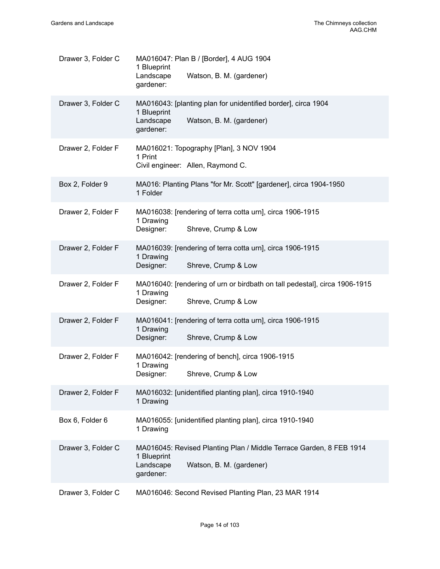| Drawer 3, Folder C | MA016047: Plan B / [Border], 4 AUG 1904<br>1 Blueprint<br>Landscape<br>Watson, B. M. (gardener)<br>gardener:                             |
|--------------------|------------------------------------------------------------------------------------------------------------------------------------------|
| Drawer 3, Folder C | MA016043: [planting plan for unidentified border], circa 1904<br>1 Blueprint<br>Landscape<br>Watson, B. M. (gardener)<br>gardener:       |
| Drawer 2, Folder F | MA016021: Topography [Plan], 3 NOV 1904<br>1 Print<br>Civil engineer: Allen, Raymond C.                                                  |
| Box 2, Folder 9    | MA016: Planting Plans "for Mr. Scott" [gardener], circa 1904-1950<br>1 Folder                                                            |
| Drawer 2, Folder F | MA016038: [rendering of terra cotta urn], circa 1906-1915<br>1 Drawing<br>Shreve, Crump & Low<br>Designer:                               |
| Drawer 2, Folder F | MA016039: [rendering of terra cotta urn], circa 1906-1915<br>1 Drawing<br>Designer:<br>Shreve, Crump & Low                               |
| Drawer 2, Folder F | MA016040: [rendering of urn or birdbath on tall pedestal], circa 1906-1915<br>1 Drawing<br>Designer:<br>Shreve, Crump & Low              |
| Drawer 2, Folder F | MA016041: [rendering of terra cotta urn], circa 1906-1915<br>1 Drawing<br>Designer:<br>Shreve, Crump & Low                               |
| Drawer 2, Folder F | MA016042: [rendering of bench], circa 1906-1915<br>1 Drawing<br>Shreve, Crump & Low<br>Designer:                                         |
| Drawer 2, Folder F | MA016032: [unidentified planting plan], circa 1910-1940<br>1 Drawing                                                                     |
| Box 6, Folder 6    | MA016055: [unidentified planting plan], circa 1910-1940<br>1 Drawing                                                                     |
| Drawer 3, Folder C | MA016045: Revised Planting Plan / Middle Terrace Garden, 8 FEB 1914<br>1 Blueprint<br>Landscape<br>Watson, B. M. (gardener)<br>gardener: |
| Drawer 3, Folder C | MA016046: Second Revised Planting Plan, 23 MAR 1914                                                                                      |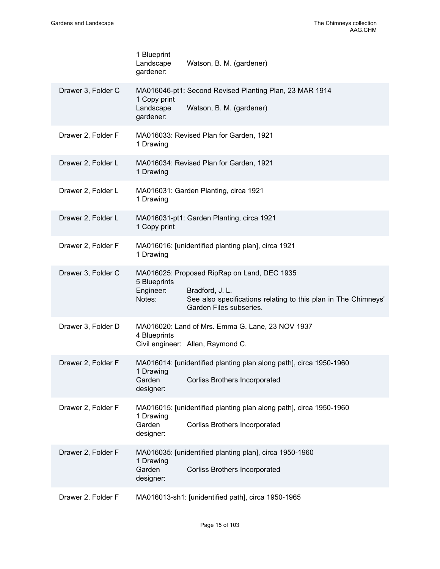|                    | 1 Blueprint<br>Landscape<br>gardener:  | Watson, B. M. (gardener)                                                                                                                                    |
|--------------------|----------------------------------------|-------------------------------------------------------------------------------------------------------------------------------------------------------------|
| Drawer 3, Folder C | 1 Copy print<br>Landscape<br>gardener: | MA016046-pt1: Second Revised Planting Plan, 23 MAR 1914<br>Watson, B. M. (gardener)                                                                         |
| Drawer 2, Folder F | 1 Drawing                              | MA016033: Revised Plan for Garden, 1921                                                                                                                     |
| Drawer 2, Folder L | 1 Drawing                              | MA016034: Revised Plan for Garden, 1921                                                                                                                     |
| Drawer 2, Folder L | 1 Drawing                              | MA016031: Garden Planting, circa 1921                                                                                                                       |
| Drawer 2, Folder L | 1 Copy print                           | MA016031-pt1: Garden Planting, circa 1921                                                                                                                   |
| Drawer 2, Folder F | 1 Drawing                              | MA016016: [unidentified planting plan], circa 1921                                                                                                          |
| Drawer 3, Folder C | 5 Blueprints<br>Engineer:<br>Notes:    | MA016025: Proposed RipRap on Land, DEC 1935<br>Bradford, J. L.<br>See also specifications relating to this plan in The Chimneys'<br>Garden Files subseries. |
| Drawer 3, Folder D | 4 Blueprints                           | MA016020: Land of Mrs. Emma G. Lane, 23 NOV 1937<br>Civil engineer: Allen, Raymond C.                                                                       |
| Drawer 2, Folder F | 1 Drawing<br>Garden<br>designer:       | MA016014: [unidentified planting plan along path], circa 1950-1960<br><b>Corliss Brothers Incorporated</b>                                                  |
| Drawer 2, Folder F | 1 Drawing<br>Garden<br>designer:       | MA016015: [unidentified planting plan along path], circa 1950-1960<br><b>Corliss Brothers Incorporated</b>                                                  |
| Drawer 2, Folder F | 1 Drawing<br>Garden<br>designer:       | MA016035: [unidentified planting plan], circa 1950-1960<br><b>Corliss Brothers Incorporated</b>                                                             |
| Drawer 2, Folder F |                                        | MA016013-sh1: [unidentified path], circa 1950-1965                                                                                                          |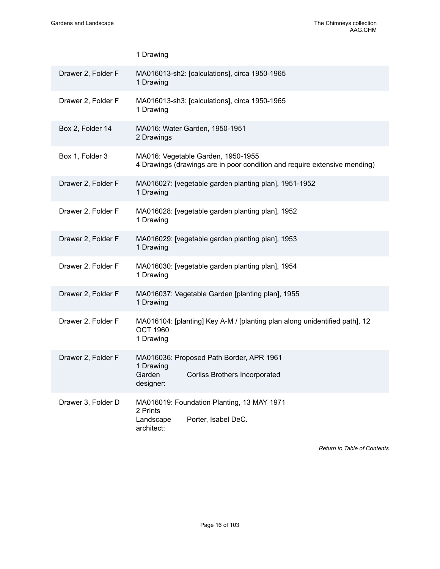|                    | 1 Drawing                                                                                                            |  |  |
|--------------------|----------------------------------------------------------------------------------------------------------------------|--|--|
| Drawer 2, Folder F | MA016013-sh2: [calculations], circa 1950-1965<br>1 Drawing                                                           |  |  |
| Drawer 2, Folder F | MA016013-sh3: [calculations], circa 1950-1965<br>1 Drawing                                                           |  |  |
| Box 2, Folder 14   | MA016: Water Garden, 1950-1951<br>2 Drawings                                                                         |  |  |
| Box 1, Folder 3    | MA016: Vegetable Garden, 1950-1955<br>4 Drawings (drawings are in poor condition and require extensive mending)      |  |  |
| Drawer 2, Folder F | MA016027: [vegetable garden planting plan], 1951-1952<br>1 Drawing                                                   |  |  |
| Drawer 2, Folder F | MA016028: [vegetable garden planting plan], 1952<br>1 Drawing                                                        |  |  |
| Drawer 2, Folder F | MA016029: [vegetable garden planting plan], 1953<br>1 Drawing                                                        |  |  |
| Drawer 2, Folder F | MA016030: [vegetable garden planting plan], 1954<br>1 Drawing                                                        |  |  |
| Drawer 2, Folder F | MA016037: Vegetable Garden [planting plan], 1955<br>1 Drawing                                                        |  |  |
| Drawer 2, Folder F | MA016104: [planting] Key A-M / [planting plan along unidentified path], 12<br><b>OCT 1960</b><br>1 Drawing           |  |  |
| Drawer 2, Folder F | MA016036: Proposed Path Border, APR 1961<br>1 Drawing<br>Garden<br><b>Corliss Brothers Incorporated</b><br>designer: |  |  |
| Drawer 3, Folder D | MA016019: Foundation Planting, 13 MAY 1971<br>2 Prints<br>Porter, Isabel DeC.<br>Landscape<br>architect:             |  |  |

*Return to Table of [Contents](#page-1-0)*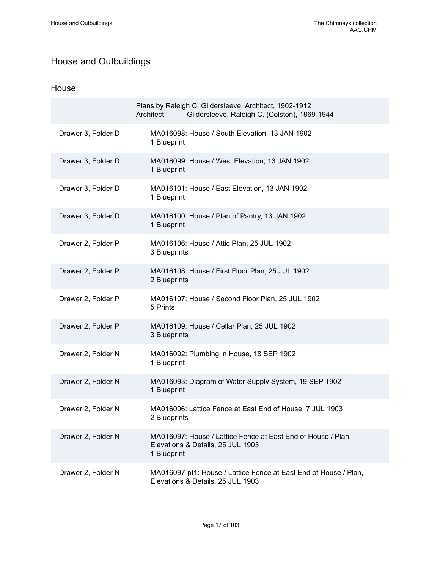# <span id="page-18-0"></span>House and Outbuildings

### House

|                    | Plans by Raleigh C. Gildersleeve, Architect, 1902-1912<br>Architect:<br>Gildersleeve, Raleigh C. (Colston), 1869-1944 |
|--------------------|-----------------------------------------------------------------------------------------------------------------------|
| Drawer 3, Folder D | MA016098: House / South Elevation, 13 JAN 1902<br>1 Blueprint                                                         |
| Drawer 3, Folder D | MA016099: House / West Elevation, 13 JAN 1902<br>1 Blueprint                                                          |
| Drawer 3, Folder D | MA016101: House / East Elevation, 13 JAN 1902<br>1 Blueprint                                                          |
| Drawer 3, Folder D | MA016100: House / Plan of Pantry, 13 JAN 1902<br>1 Blueprint                                                          |
| Drawer 2, Folder P | MA016106: House / Attic Plan, 25 JUL 1902<br>3 Blueprints                                                             |
| Drawer 2, Folder P | MA016108: House / First Floor Plan, 25 JUL 1902<br>2 Blueprints                                                       |
| Drawer 2, Folder P | MA016107: House / Second Floor Plan, 25 JUL 1902<br>5 Prints                                                          |
| Drawer 2, Folder P | MA016109: House / Cellar Plan, 25 JUL 1902<br>3 Blueprints                                                            |
| Drawer 2, Folder N | MA016092: Plumbing in House, 18 SEP 1902<br>1 Blueprint                                                               |
| Drawer 2, Folder N | MA016093: Diagram of Water Supply System, 19 SEP 1902<br>1 Blueprint                                                  |
| Drawer 2, Folder N | MA016096: Lattice Fence at East End of House, 7 JUL 1903<br>2 Blueprints                                              |
| Drawer 2, Folder N | MA016097: House / Lattice Fence at East End of House / Plan,<br>Elevations & Details, 25 JUL 1903<br>1 Blueprint      |
| Drawer 2, Folder N | MA016097-pt1: House / Lattice Fence at East End of House / Plan,<br>Elevations & Details, 25 JUL 1903                 |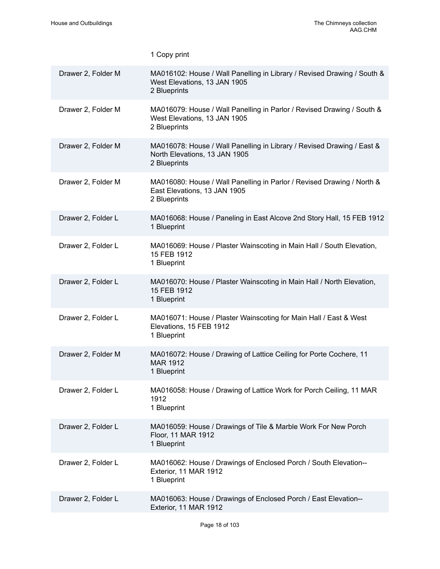|                    | 1 Copy print                                                                                                            |
|--------------------|-------------------------------------------------------------------------------------------------------------------------|
| Drawer 2, Folder M | MA016102: House / Wall Panelling in Library / Revised Drawing / South &<br>West Elevations, 13 JAN 1905<br>2 Blueprints |
| Drawer 2, Folder M | MA016079: House / Wall Panelling in Parlor / Revised Drawing / South &<br>West Elevations, 13 JAN 1905<br>2 Blueprints  |
| Drawer 2, Folder M | MA016078: House / Wall Panelling in Library / Revised Drawing / East &<br>North Elevations, 13 JAN 1905<br>2 Blueprints |
| Drawer 2, Folder M | MA016080: House / Wall Panelling in Parlor / Revised Drawing / North &<br>East Elevations, 13 JAN 1905<br>2 Blueprints  |
| Drawer 2, Folder L | MA016068: House / Paneling in East Alcove 2nd Story Hall, 15 FEB 1912<br>1 Blueprint                                    |
| Drawer 2, Folder L | MA016069: House / Plaster Wainscoting in Main Hall / South Elevation,<br>15 FEB 1912<br>1 Blueprint                     |
| Drawer 2, Folder L | MA016070: House / Plaster Wainscoting in Main Hall / North Elevation,<br>15 FEB 1912<br>1 Blueprint                     |
| Drawer 2, Folder L | MA016071: House / Plaster Wainscoting for Main Hall / East & West<br>Elevations, 15 FEB 1912<br>1 Blueprint             |
| Drawer 2, Folder M | MA016072: House / Drawing of Lattice Ceiling for Porte Cochere, 11<br><b>MAR 1912</b><br>1 Blueprint                    |
| Drawer 2, Folder L | MA016058: House / Drawing of Lattice Work for Porch Ceiling, 11 MAR<br>1912<br>1 Blueprint                              |
| Drawer 2, Folder L | MA016059: House / Drawings of Tile & Marble Work For New Porch<br>Floor, 11 MAR 1912<br>1 Blueprint                     |
| Drawer 2, Folder L | MA016062: House / Drawings of Enclosed Porch / South Elevation--<br>Exterior, 11 MAR 1912<br>1 Blueprint                |
| Drawer 2, Folder L | MA016063: House / Drawings of Enclosed Porch / East Elevation--<br>Exterior, 11 MAR 1912                                |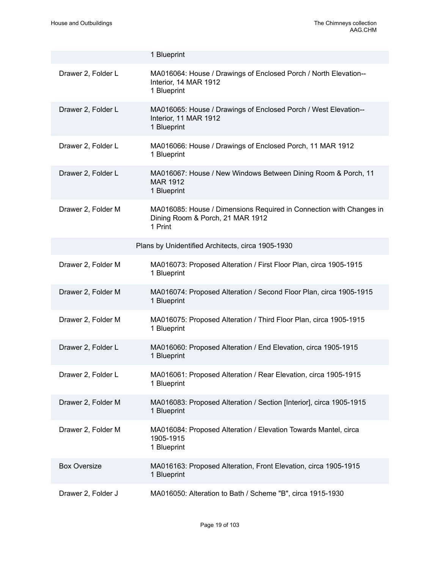|                     | 1 Blueprint                                                                                                        |
|---------------------|--------------------------------------------------------------------------------------------------------------------|
| Drawer 2, Folder L  | MA016064: House / Drawings of Enclosed Porch / North Elevation--<br>Interior, 14 MAR 1912<br>1 Blueprint           |
| Drawer 2, Folder L  | MA016065: House / Drawings of Enclosed Porch / West Elevation--<br>Interior, 11 MAR 1912<br>1 Blueprint            |
| Drawer 2, Folder L  | MA016066: House / Drawings of Enclosed Porch, 11 MAR 1912<br>1 Blueprint                                           |
| Drawer 2, Folder L  | MA016067: House / New Windows Between Dining Room & Porch, 11<br><b>MAR 1912</b><br>1 Blueprint                    |
| Drawer 2, Folder M  | MA016085: House / Dimensions Required in Connection with Changes in<br>Dining Room & Porch, 21 MAR 1912<br>1 Print |
|                     | Plans by Unidentified Architects, circa 1905-1930                                                                  |
| Drawer 2, Folder M  | MA016073: Proposed Alteration / First Floor Plan, circa 1905-1915<br>1 Blueprint                                   |
| Drawer 2, Folder M  | MA016074: Proposed Alteration / Second Floor Plan, circa 1905-1915<br>1 Blueprint                                  |
| Drawer 2, Folder M  | MA016075: Proposed Alteration / Third Floor Plan, circa 1905-1915<br>1 Blueprint                                   |
| Drawer 2, Folder L  | MA016060: Proposed Alteration / End Elevation, circa 1905-1915<br>1 Blueprint                                      |
| Drawer 2, Folder L  | MA016061: Proposed Alteration / Rear Elevation, circa 1905-1915<br>1 Blueprint                                     |
| Drawer 2, Folder M  | MA016083: Proposed Alteration / Section [Interior], circa 1905-1915<br>1 Blueprint                                 |
| Drawer 2, Folder M  | MA016084: Proposed Alteration / Elevation Towards Mantel, circa<br>1905-1915<br>1 Blueprint                        |
| <b>Box Oversize</b> | MA016163: Proposed Alteration, Front Elevation, circa 1905-1915<br>1 Blueprint                                     |
| Drawer 2, Folder J  | MA016050: Alteration to Bath / Scheme "B", circa 1915-1930                                                         |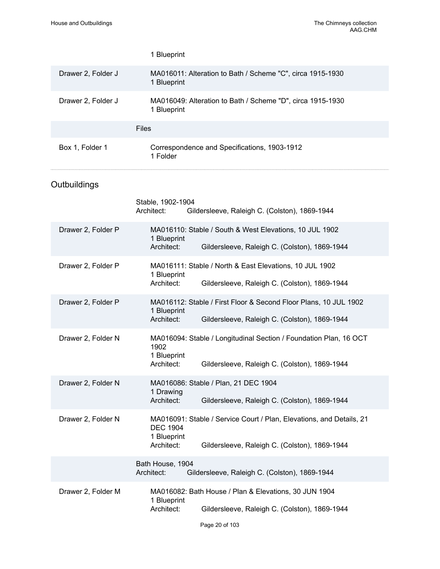|                    | 1 Blueprint                                                                                                                                                           |  |  |
|--------------------|-----------------------------------------------------------------------------------------------------------------------------------------------------------------------|--|--|
| Drawer 2, Folder J | MA016011: Alteration to Bath / Scheme "C", circa 1915-1930<br>1 Blueprint                                                                                             |  |  |
| Drawer 2, Folder J | MA016049: Alteration to Bath / Scheme "D", circa 1915-1930<br>1 Blueprint                                                                                             |  |  |
|                    | <b>Files</b>                                                                                                                                                          |  |  |
| Box 1, Folder 1    | Correspondence and Specifications, 1903-1912<br>1 Folder                                                                                                              |  |  |
| Outbuildings       |                                                                                                                                                                       |  |  |
|                    | Stable, 1902-1904<br>Architect:<br>Gildersleeve, Raleigh C. (Colston), 1869-1944                                                                                      |  |  |
| Drawer 2, Folder P | MA016110: Stable / South & West Elevations, 10 JUL 1902<br>1 Blueprint<br>Architect:<br>Gildersleeve, Raleigh C. (Colston), 1869-1944                                 |  |  |
| Drawer 2, Folder P | MA016111: Stable / North & East Elevations, 10 JUL 1902<br>1 Blueprint<br>Architect:<br>Gildersleeve, Raleigh C. (Colston), 1869-1944                                 |  |  |
| Drawer 2, Folder P | MA016112: Stable / First Floor & Second Floor Plans, 10 JUL 1902<br>1 Blueprint<br>Architect:<br>Gildersleeve, Raleigh C. (Colston), 1869-1944                        |  |  |
| Drawer 2, Folder N | MA016094: Stable / Longitudinal Section / Foundation Plan, 16 OCT<br>1902<br>1 Blueprint<br>Architect:<br>Gildersleeve, Raleigh C. (Colston), 1869-1944               |  |  |
| Drawer 2, Folder N | MA016086: Stable / Plan, 21 DEC 1904<br>1 Drawing<br>Architect:<br>Gildersleeve, Raleigh C. (Colston), 1869-1944                                                      |  |  |
| Drawer 2, Folder N | MA016091: Stable / Service Court / Plan, Elevations, and Details, 21<br><b>DEC 1904</b><br>1 Blueprint<br>Architect:<br>Gildersleeve, Raleigh C. (Colston), 1869-1944 |  |  |
|                    | Bath House, 1904<br>Architect:<br>Gildersleeve, Raleigh C. (Colston), 1869-1944                                                                                       |  |  |
| Drawer 2, Folder M | MA016082: Bath House / Plan & Elevations, 30 JUN 1904<br>1 Blueprint<br>Architect:<br>Gildersleeve, Raleigh C. (Colston), 1869-1944                                   |  |  |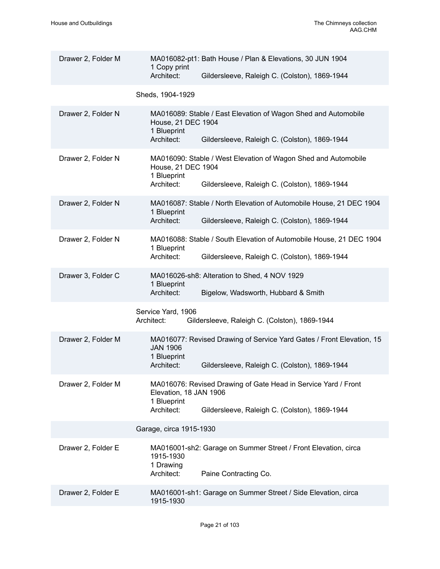| Drawer 2, Folder M | MA016082-pt1: Bath House / Plan & Elevations, 30 JUN 1904<br>1 Copy print<br>Architect:<br>Gildersleeve, Raleigh C. (Colston), 1869-1944                               |
|--------------------|------------------------------------------------------------------------------------------------------------------------------------------------------------------------|
|                    | Sheds, 1904-1929                                                                                                                                                       |
| Drawer 2, Folder N | MA016089: Stable / East Elevation of Wagon Shed and Automobile<br>House, 21 DEC 1904<br>1 Blueprint<br>Architect:<br>Gildersleeve, Raleigh C. (Colston), 1869-1944     |
| Drawer 2, Folder N | MA016090: Stable / West Elevation of Wagon Shed and Automobile<br>House, 21 DEC 1904<br>1 Blueprint<br>Architect:<br>Gildersleeve, Raleigh C. (Colston), 1869-1944     |
| Drawer 2, Folder N | MA016087: Stable / North Elevation of Automobile House, 21 DEC 1904<br>1 Blueprint<br>Architect:<br>Gildersleeve, Raleigh C. (Colston), 1869-1944                      |
| Drawer 2, Folder N | MA016088: Stable / South Elevation of Automobile House, 21 DEC 1904<br>1 Blueprint<br>Architect:<br>Gildersleeve, Raleigh C. (Colston), 1869-1944                      |
| Drawer 3, Folder C | MA016026-sh8: Alteration to Shed, 4 NOV 1929<br>1 Blueprint<br>Architect:<br>Bigelow, Wadsworth, Hubbard & Smith                                                       |
|                    | Service Yard, 1906<br>Gildersleeve, Raleigh C. (Colston), 1869-1944<br>Architect:                                                                                      |
| Drawer 2, Folder M | MA016077: Revised Drawing of Service Yard Gates / Front Elevation, 15<br><b>JAN 1906</b><br>1 Blueprint<br>Architect:<br>Gildersleeve, Raleigh C. (Colston), 1869-1944 |
| Drawer 2, Folder M | MA016076: Revised Drawing of Gate Head in Service Yard / Front<br>Elevation, 18 JAN 1906<br>1 Blueprint<br>Architect:<br>Gildersleeve, Raleigh C. (Colston), 1869-1944 |
|                    | Garage, circa 1915-1930                                                                                                                                                |
| Drawer 2, Folder E | MA016001-sh2: Garage on Summer Street / Front Elevation, circa<br>1915-1930<br>1 Drawing<br>Architect:<br>Paine Contracting Co.                                        |
| Drawer 2, Folder E | MA016001-sh1: Garage on Summer Street / Side Elevation, circa<br>1915-1930                                                                                             |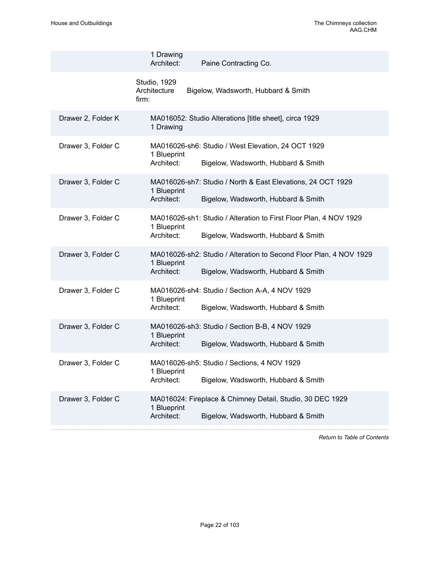. . . . . . . . . . . .

|                    | 1 Drawing<br>Architect:<br>Paine Contracting Co.                                                                                       |
|--------------------|----------------------------------------------------------------------------------------------------------------------------------------|
|                    | Studio, 1929<br>Architecture<br>Bigelow, Wadsworth, Hubbard & Smith<br>firm:                                                           |
| Drawer 2, Folder K | MA016052: Studio Alterations [title sheet], circa 1929<br>1 Drawing                                                                    |
| Drawer 3, Folder C | MA016026-sh6: Studio / West Elevation, 24 OCT 1929<br>1 Blueprint<br>Architect:<br>Bigelow, Wadsworth, Hubbard & Smith                 |
| Drawer 3, Folder C | MA016026-sh7: Studio / North & East Elevations, 24 OCT 1929<br>1 Blueprint<br>Architect:<br>Bigelow, Wadsworth, Hubbard & Smith        |
| Drawer 3, Folder C | MA016026-sh1: Studio / Alteration to First Floor Plan, 4 NOV 1929<br>1 Blueprint<br>Architect:<br>Bigelow, Wadsworth, Hubbard & Smith  |
| Drawer 3, Folder C | MA016026-sh2: Studio / Alteration to Second Floor Plan, 4 NOV 1929<br>1 Blueprint<br>Architect:<br>Bigelow, Wadsworth, Hubbard & Smith |
| Drawer 3, Folder C | MA016026-sh4: Studio / Section A-A, 4 NOV 1929<br>1 Blueprint<br>Architect:<br>Bigelow, Wadsworth, Hubbard & Smith                     |
| Drawer 3, Folder C | MA016026-sh3: Studio / Section B-B, 4 NOV 1929<br>1 Blueprint<br>Architect:<br>Bigelow, Wadsworth, Hubbard & Smith                     |
| Drawer 3, Folder C | MA016026-sh5: Studio / Sections, 4 NOV 1929<br>1 Blueprint<br>Architect:<br>Bigelow, Wadsworth, Hubbard & Smith                        |
| Drawer 3, Folder C | MA016024: Fireplace & Chimney Detail, Studio, 30 DEC 1929<br>1 Blueprint<br>Architect:<br>Bigelow, Wadsworth, Hubbard & Smith          |
|                    |                                                                                                                                        |

*Return to Table of [Contents](#page-1-0)*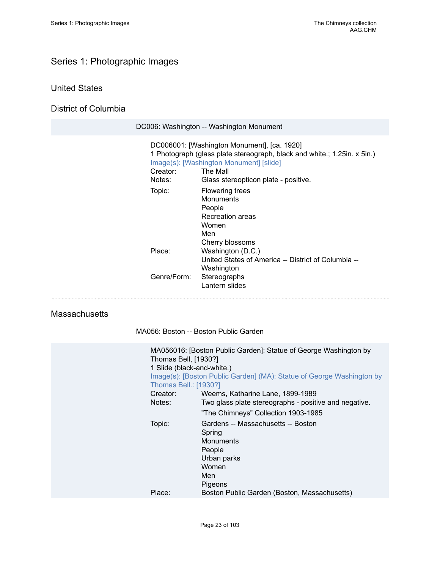# <span id="page-24-0"></span>Series 1: Photographic Images

## United States

District of Columbia

|                    | DC006: Washington -- Washington Monument                                                                                                                                                                               |
|--------------------|------------------------------------------------------------------------------------------------------------------------------------------------------------------------------------------------------------------------|
| Creator:<br>Notes: | DC006001: [Washington Monument], [ca. 1920]<br>1 Photograph (glass plate stereograph, black and white.; 1.25in. x 5in.)<br>Image(s): [Washington Monument] [slide]<br>The Mall<br>Glass stereopticon plate - positive. |
| Topic:             | Flowering trees<br><b>Monuments</b><br>People<br>Recreation areas<br>Women<br>Men<br>Cherry blossoms                                                                                                                   |
| Place:             | Washington (D.C.)<br>United States of America -- District of Columbia --<br>Washington                                                                                                                                 |
| Genre/Form:        | Stereographs<br>Lantern slides                                                                                                                                                                                         |

### **Massachusetts**

MA056: Boston -- Boston Public Garden

| Thomas Bell, [1930?]<br>1 Slide (black-and-white.)<br>Thomas Bell.: [1930?] | MA056016: [Boston Public Garden]: Statue of George Washington by<br>Image(s): [Boston Public Garden] (MA): Statue of George Washington by |
|-----------------------------------------------------------------------------|-------------------------------------------------------------------------------------------------------------------------------------------|
| Creator:                                                                    | Weems, Katharine Lane, 1899-1989                                                                                                          |
| Notes:                                                                      | Two glass plate stereographs - positive and negative.                                                                                     |
|                                                                             | "The Chimneys" Collection 1903-1985                                                                                                       |
| Topic:                                                                      | Gardens -- Massachusetts -- Boston<br>Spring<br><b>Monuments</b><br>People<br>Urban parks<br>Women<br>Men<br>Pigeons                      |
| Place:                                                                      | Boston Public Garden (Boston, Massachusetts)                                                                                              |
|                                                                             |                                                                                                                                           |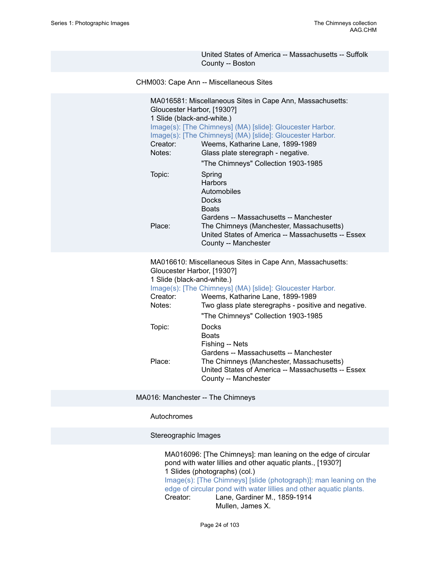United States of America -- Massachusetts -- Suffolk County -- Boston

CHM003: Cape Ann -- Miscellaneous Sites

| MA016581: Miscellaneous Sites in Cape Ann, Massachusetts:<br>Gloucester Harbor, [1930?]<br>1 Slide (black-and-white.)<br>Image(s): [The Chimneys] (MA) [slide]: Gloucester Harbor.<br>Image(s): [The Chimneys] (MA) [slide]: Gloucester Harbor.<br>Creator:<br>Weems, Katharine Lane, 1899-1989<br>Notes:<br>Glass plate steregraph - negative. |  |  |
|-------------------------------------------------------------------------------------------------------------------------------------------------------------------------------------------------------------------------------------------------------------------------------------------------------------------------------------------------|--|--|
| "The Chimneys" Collection 1903-1985                                                                                                                                                                                                                                                                                                             |  |  |
| Spring<br><b>Harbors</b><br>Automobiles<br><b>Docks</b><br><b>Boats</b><br>Gardens -- Massachusetts -- Manchester<br>The Chimneys (Manchester, Massachusetts)<br>United States of America -- Massachusetts -- Essex<br>County -- Manchester                                                                                                     |  |  |
| MA016610: Miscellaneous Sites in Cape Ann, Massachusetts:<br>Gloucester Harbor, [1930?]<br>1 Slide (black-and-white.)<br>Image(s): [The Chimneys] (MA) [slide]: Gloucester Harbor.<br>Creator:<br>Weems, Katharine Lane, 1899-1989<br>Notes:<br>Two glass plate steregraphs - positive and negative.<br>"The Chimneys" Collection 1903-1985     |  |  |
| Docks<br><b>Boats</b><br>Fishing -- Nets<br>Gardens -- Massachusetts -- Manchester<br>The Chimneys (Manchester, Massachusetts)<br>United States of America -- Massachusetts -- Essex<br>County -- Manchester                                                                                                                                    |  |  |
|                                                                                                                                                                                                                                                                                                                                                 |  |  |

MA016: Manchester -- The Chimneys

#### Autochromes

Stereographic Images

MA016096: [The Chimneys]: man leaning on the edge of circular pond with water lillies and other aquatic plants., [1930?] 1 Slides (photographs) (col.) [Image\(s\): \[The Chimneys\] \[slide \(photograph\)\]: man leaning on the](https://ids.si.edu/ids/deliveryService?id=SG-7064) [edge of circular pond with water lillies and other aquatic plants.](https://ids.si.edu/ids/deliveryService?id=SG-7064)<br>Creator: Lane, Gardiner M., 1859-1914 Lane, Gardiner M., 1859-1914 Mullen, James X.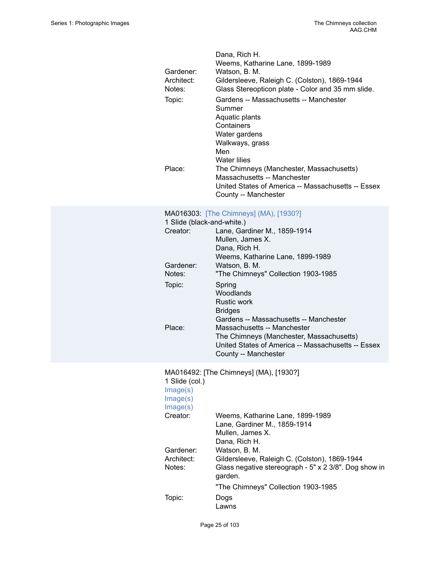| Gardener:<br>Architect:<br>Notes:<br>Topic:<br>Place: | Dana, Rich H.<br>Weems, Katharine Lane, 1899-1989<br>Watson, B. M.<br>Gildersleeve, Raleigh C. (Colston), 1869-1944<br>Glass Stereopticon plate - Color and 35 mm slide.<br>Gardens -- Massachusetts -- Manchester<br>Summer<br>Aquatic plants<br>Containers<br>Water gardens<br>Walkways, grass<br>Men<br><b>Water lilies</b><br>The Chimneys (Manchester, Massachusetts)<br>Massachusetts -- Manchester<br>United States of America -- Massachusetts -- Essex<br>County -- Manchester |
|-------------------------------------------------------|-----------------------------------------------------------------------------------------------------------------------------------------------------------------------------------------------------------------------------------------------------------------------------------------------------------------------------------------------------------------------------------------------------------------------------------------------------------------------------------------|
| 1 Slide (black-and-white.)<br>Creator:                | MA016303: [The Chimneys] (MA), [1930?]<br>Lane, Gardiner M., 1859-1914                                                                                                                                                                                                                                                                                                                                                                                                                  |
|                                                       | Mullen, James X.<br>Dana, Rich H.<br>Weems, Katharine Lane, 1899-1989                                                                                                                                                                                                                                                                                                                                                                                                                   |
| Gardener:<br>Notes:                                   | Watson, B. M.<br>"The Chimneys" Collection 1903-1985                                                                                                                                                                                                                                                                                                                                                                                                                                    |
| Topic:                                                | Spring<br>Woodlands<br><b>Rustic work</b><br><b>Bridges</b><br>Gardens -- Massachusetts -- Manchester                                                                                                                                                                                                                                                                                                                                                                                   |
| Place:                                                | Massachusetts -- Manchester<br>The Chimneys (Manchester, Massachusetts)<br>United States of America -- Massachusetts -- Essex<br>County -- Manchester                                                                                                                                                                                                                                                                                                                                   |
| 1 Slide (col.)<br>Image(s)<br>Image(s)                | MA016492: [The Chimneys] (MA), [1930?]                                                                                                                                                                                                                                                                                                                                                                                                                                                  |

| 111GyrG(3)<br>Image(s) |                                                                  |
|------------------------|------------------------------------------------------------------|
| Creator:               | Weems, Katharine Lane, 1899-1989                                 |
|                        | Lane, Gardiner M., 1859-1914                                     |
|                        | Mullen, James X.                                                 |
|                        | Dana, Rich H.                                                    |
| Gardener:              | Watson, B. M.                                                    |
| Architect:             | Gildersleeve, Raleigh C. (Colston), 1869-1944                    |
| Notes:                 | Glass negative stereograph - 5" x 2 3/8". Dog show in<br>garden. |
|                        | "The Chimneys" Collection 1903-1985                              |
| Topic:                 | Dogs                                                             |
|                        | Lawns                                                            |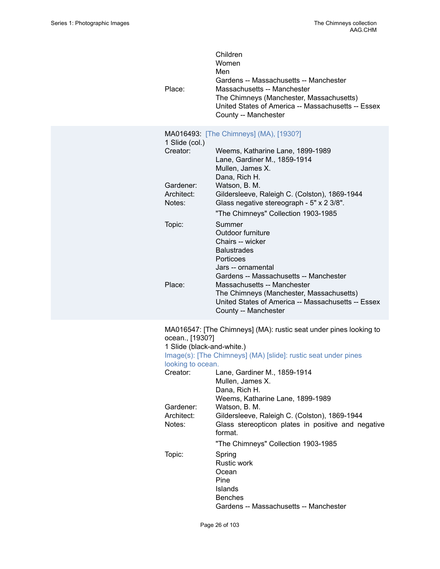| Children<br>Women<br>Men<br>Gardens -- Massachusetts -- Manchester<br>Place:<br>Massachusetts -- Manchester<br>The Chimneys (Manchester, Massachusetts)<br>United States of America -- Massachusetts -- Essex<br>County -- Manchester |                                                                                                                                                       |  |  |  |
|---------------------------------------------------------------------------------------------------------------------------------------------------------------------------------------------------------------------------------------|-------------------------------------------------------------------------------------------------------------------------------------------------------|--|--|--|
| 1 Slide (col.)                                                                                                                                                                                                                        | MA016493: [The Chimneys] (MA), [1930?]                                                                                                                |  |  |  |
| Creator:                                                                                                                                                                                                                              | Weems, Katharine Lane, 1899-1989<br>Lane, Gardiner M., 1859-1914<br>Mullen, James X.<br>Dana, Rich H.                                                 |  |  |  |
| Gardener:<br>Architect:<br>Notes:                                                                                                                                                                                                     | Watson, B. M.<br>Gildersleeve, Raleigh C. (Colston), 1869-1944<br>Glass negative stereograph - 5" x 2 3/8".                                           |  |  |  |
| Topic:                                                                                                                                                                                                                                | "The Chimneys" Collection 1903-1985<br>Summer<br>Outdoor furniture<br>Chairs -- wicker                                                                |  |  |  |
|                                                                                                                                                                                                                                       | <b>Balustrades</b><br>Porticoes<br>Jars -- ornamental<br>Gardens -- Massachusetts -- Manchester                                                       |  |  |  |
| Place:                                                                                                                                                                                                                                | Massachusetts -- Manchester<br>The Chimneys (Manchester, Massachusetts)<br>United States of America -- Massachusetts -- Essex<br>County -- Manchester |  |  |  |
| ocean., [1930?]<br>1 Slide (black-and-white.)                                                                                                                                                                                         | MA016547: [The Chimneys] (MA): rustic seat under pines looking to<br>Image(s): [The Chimneys] (MA) [slide]: rustic seat under pines                   |  |  |  |
| looking to ocean.                                                                                                                                                                                                                     |                                                                                                                                                       |  |  |  |
|                                                                                                                                                                                                                                       | Creator: Lane, Gardiner M., 1859-1914<br>Mullen, James X.<br>Dana, Rich H.<br>Weems, Katharine Lane, 1899-1989                                        |  |  |  |
| Gardener:<br>Architect:<br>Notes:                                                                                                                                                                                                     | Watson, B. M.<br>Gildersleeve, Raleigh C. (Colston), 1869-1944<br>Glass stereopticon plates in positive and negative<br>format.                       |  |  |  |
|                                                                                                                                                                                                                                       | "The Chimneys" Collection 1903-1985                                                                                                                   |  |  |  |
| Topic:                                                                                                                                                                                                                                | Spring<br><b>Rustic work</b><br>Ocean<br>Pine<br>Islands<br><b>Benches</b><br>Gardens -- Massachusetts -- Manchester                                  |  |  |  |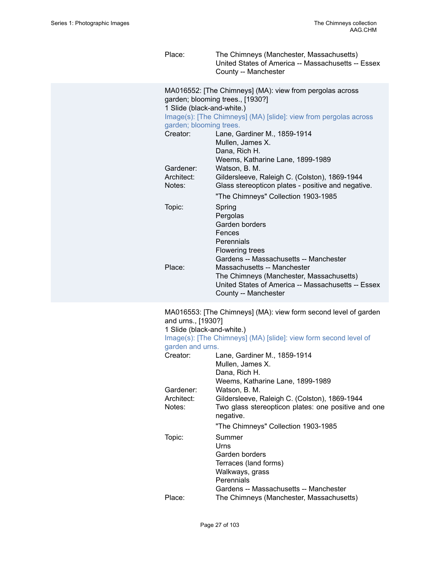Place: The Chimneys (Manchester, Massachusetts) United States of America -- Massachusetts -- Essex County -- Manchester

MA016552: [The Chimneys] (MA): view from pergolas across garden; blooming trees., [1930?] 1 Slide (black-and-white.) [Image\(s\): \[The Chimneys\] \(MA\) \[slide\]: view from pergolas across](https://ids.si.edu/ids/deliveryService?id=SG-MA016552) [garden; blooming trees.](https://ids.si.edu/ids/deliveryService?id=SG-MA016552) Creator: Lane, Gardiner M., 1859-1914 Mullen, James X. Dana, Rich H. Weems, Katharine Lane, 1899-1989 Gardener: Watson, B. M. Architect: Gildersleeve, Raleigh C. (Colston), 1869-1944 Notes: Glass stereopticon plates - positive and negative. "The Chimneys" Collection 1903-1985 Topic: Spring Pergolas Garden borders Fences **Perennials** Flowering trees Gardens -- Massachusetts -- Manchester Place: Massachusetts -- Manchester The Chimneys (Manchester, Massachusetts) United States of America -- Massachusetts -- Essex County -- Manchester

MA016553: [The Chimneys] (MA): view form second level of garden and urns., [1930?] 1 Slide (black-and-white.)

|                  | Image(s): [The Chimneys] (MA) [slide]: view form second level of              |  |  |
|------------------|-------------------------------------------------------------------------------|--|--|
| garden and urns. |                                                                               |  |  |
| Creator:         | Lane, Gardiner M., 1859-1914                                                  |  |  |
|                  | Mullen, James X.                                                              |  |  |
|                  | Dana, Rich H.                                                                 |  |  |
|                  | Weems, Katharine Lane, 1899-1989                                              |  |  |
| Gardener:        | Watson, B. M.                                                                 |  |  |
| Architect:       |                                                                               |  |  |
| Notes:           | Two glass stereopticon plates: one positive and one                           |  |  |
|                  |                                                                               |  |  |
|                  | "The Chimneys" Collection 1903-1985                                           |  |  |
|                  | Summer                                                                        |  |  |
|                  | Urns                                                                          |  |  |
|                  | Garden borders                                                                |  |  |
|                  | Terraces (land forms)                                                         |  |  |
|                  |                                                                               |  |  |
|                  | Perennials                                                                    |  |  |
|                  | Gardens -- Massachusetts -- Manchester                                        |  |  |
| Place:           | The Chimneys (Manchester, Massachusetts)                                      |  |  |
| Topic:           | Gildersleeve, Raleigh C. (Colston), 1869-1944<br>negative.<br>Walkways, grass |  |  |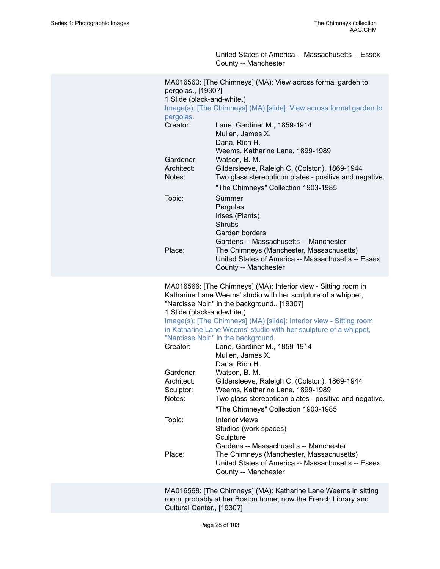United States of America -- Massachusetts -- Essex County -- Manchester

| MA016560: [The Chimneys] (MA): View across formal garden to<br>pergolas., [1930?]<br>1 Slide (black-and-white.)<br>Image(s): [The Chimneys] (MA) [slide]: View across formal garden to |                                                                                                                                                                  |  |  |
|----------------------------------------------------------------------------------------------------------------------------------------------------------------------------------------|------------------------------------------------------------------------------------------------------------------------------------------------------------------|--|--|
| pergolas.<br>Creator:                                                                                                                                                                  | Lane, Gardiner M., 1859-1914<br>Mullen, James X.<br>Dana, Rich H.<br>Weems, Katharine Lane, 1899-1989                                                            |  |  |
| Gardener:<br>Architect:<br>Notes:                                                                                                                                                      | Watson, B. M.<br>Gildersleeve, Raleigh C. (Colston), 1869-1944<br>Two glass stereopticon plates - positive and negative.<br>"The Chimneys" Collection 1903-1985  |  |  |
| Topic:                                                                                                                                                                                 | Summer<br>Pergolas<br>Irises (Plants)<br><b>Shrubs</b><br>Garden borders                                                                                         |  |  |
| Gardens -- Massachusetts -- Manchester<br>Place:<br>The Chimneys (Manchester, Massachusetts)<br>United States of America -- Massachusetts -- Essex<br>County -- Manchester             |                                                                                                                                                                  |  |  |
| MA016566: [The Chimneys] (MA): Interior view - Sitting room in<br>Katharine Lane Weems' studio with her sculpture of a whippet,<br>"Narcisse Noir," in the background., [1930?]        |                                                                                                                                                                  |  |  |
|                                                                                                                                                                                        |                                                                                                                                                                  |  |  |
| 1 Slide (black-and-white.)                                                                                                                                                             | Image(s): [The Chimneys] (MA) [slide]: Interior view - Sitting room<br>in Katharine Lane Weems' studio with her sculpture of a whippet,                          |  |  |
| Creator:                                                                                                                                                                               | "Narcisse Noir," in the background.<br>Lane, Gardiner M., 1859-1914<br>Mullen, James X.<br>Dana, Rich H.                                                         |  |  |
| Gardener:                                                                                                                                                                              | Watson, B. M.                                                                                                                                                    |  |  |
| Architect:                                                                                                                                                                             | Gildersleeve, Raleigh C. (Colston), 1869-1944                                                                                                                    |  |  |
| Sculptor:                                                                                                                                                                              | Weems, Katharine Lane, 1899-1989                                                                                                                                 |  |  |
| Notes:                                                                                                                                                                                 | Two glass stereopticon plates - positive and negative.                                                                                                           |  |  |
| Topic:                                                                                                                                                                                 | "The Chimneys" Collection 1903-1985<br>Interior views<br>Studios (work spaces)<br>Sculpture                                                                      |  |  |
| Place:                                                                                                                                                                                 | Gardens -- Massachusetts -- Manchester<br>The Chimneys (Manchester, Massachusetts)<br>United States of America -- Massachusetts -- Essex<br>County -- Manchester |  |  |

MA016568: [The Chimneys] (MA): Katharine Lane Weems in sitting room, probably at her Boston home, now the French Library and Cultural Center., [1930?]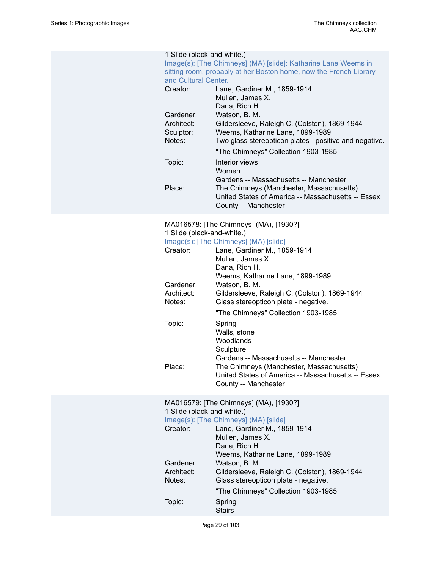#### 1 Slide (black-and-white.)

| Image(s): [The Chimneys] (MA) [slide]: Katharine Lane Weems in    |
|-------------------------------------------------------------------|
| sitting room, probably at her Boston home, now the French Library |
| and Cultural Center.                                              |

| Creator:                | Lane, Gardiner M., 1859-1914<br>Mullen, James X.<br>Dana, Rich H.                                                      |
|-------------------------|------------------------------------------------------------------------------------------------------------------------|
| Gardener:               | Watson, B. M.                                                                                                          |
| Architect:<br>Sculptor: | Gildersleeve, Raleigh C. (Colston), 1869-1944<br>Weems, Katharine Lane, 1899-1989                                      |
| Notes:                  | Two glass stereopticon plates - positive and negative.                                                                 |
|                         | "The Chimneys" Collection 1903-1985                                                                                    |
| Topic:                  | Interior views<br>Women                                                                                                |
|                         | Gardens -- Massachusetts -- Manchester                                                                                 |
| Place:                  | The Chimneys (Manchester, Massachusetts)<br>United States of America -- Massachusetts -- Essex<br>County -- Manchester |

### MA016578: [The Chimneys] (MA), [1930?] 1 Slide (black-and-white.)

### [Image\(s\): \[The Chimneys\] \(MA\) \[slide\]](https://ids.si.edu/ids/deliveryService?id=SG-MA016578)

|            | $mqqc(3)$ . The Chimneys ( $m \Delta$ ) shue                                                   |
|------------|------------------------------------------------------------------------------------------------|
| Creator:   | Lane, Gardiner M., 1859-1914                                                                   |
|            | Mullen, James X.                                                                               |
|            | Dana, Rich H.                                                                                  |
|            | Weems, Katharine Lane, 1899-1989                                                               |
| Gardener:  | Watson, B. M.                                                                                  |
| Architect: | Gildersleeve, Raleigh C. (Colston), 1869-1944                                                  |
| Notes:     | Glass stereopticon plate - negative.                                                           |
|            | "The Chimneys" Collection 1903-1985                                                            |
| Topic:     | Spring                                                                                         |
|            | Walls, stone                                                                                   |
|            | Woodlands                                                                                      |
|            | Sculpture                                                                                      |
|            | Gardens -- Massachusetts -- Manchester                                                         |
| Place:     | The Chimneys (Manchester, Massachusetts)<br>United States of America -- Massachusetts -- Essex |
|            | County -- Manchester                                                                           |

#### MA016579: [The Chimneys] (MA), [1930?] 1 Slide (black-and-white.)

#### [Image\(s\): \[The Chimneys\] \(MA\) \[slide\]](https://ids.si.edu/ids/deliveryService?id=SG-MA016579)

| Creator:   | Lane, Gardiner M., 1859-1914                  |  |  |
|------------|-----------------------------------------------|--|--|
|            | Mullen, James X.                              |  |  |
|            | Dana, Rich H.                                 |  |  |
|            | Weems, Katharine Lane, 1899-1989              |  |  |
| Gardener:  | Watson, B. M.                                 |  |  |
| Architect: | Gildersleeve, Raleigh C. (Colston), 1869-1944 |  |  |
| Notes:     | Glass stereopticon plate - negative.          |  |  |
|            | "The Chimneys" Collection 1903-1985           |  |  |
| Topic:     | Spring                                        |  |  |
|            | <b>Stairs</b>                                 |  |  |

Page 29 of 103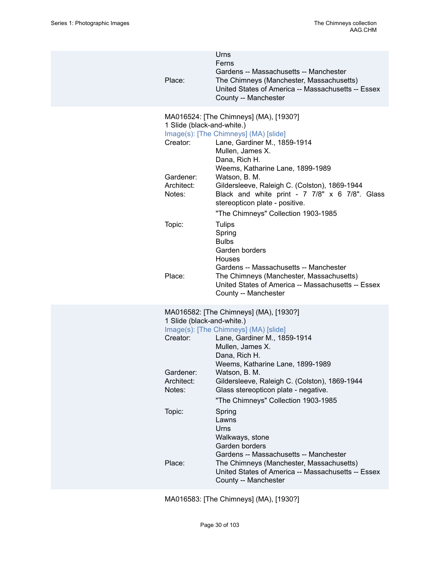| Place:                                                                      | Urns<br>Ferns<br>Gardens -- Massachusetts -- Manchester<br>The Chimneys (Manchester, Massachusetts)<br>United States of America -- Massachusetts -- Essex<br>County -- Manchester                                                                                                                                                              |
|-----------------------------------------------------------------------------|------------------------------------------------------------------------------------------------------------------------------------------------------------------------------------------------------------------------------------------------------------------------------------------------------------------------------------------------|
| 1 Slide (black-and-white.)<br>Creator:<br>Gardener:<br>Architect:<br>Notes: | MA016524: [The Chimneys] (MA), [1930?]<br>Image(s): [The Chimneys] (MA) [slide]<br>Lane, Gardiner M., 1859-1914<br>Mullen, James X.<br>Dana, Rich H.<br>Weems, Katharine Lane, 1899-1989<br>Watson, B. M.<br>Gildersleeve, Raleigh C. (Colston), 1869-1944<br>Black and white print - 7 7/8" x 6 7/8". Glass<br>stereopticon plate - positive. |
| Topic:<br>Place:                                                            | "The Chimneys" Collection 1903-1985<br><b>Tulips</b><br>Spring<br><b>Bulbs</b><br>Garden borders<br><b>Houses</b><br>Gardens -- Massachusetts -- Manchester<br>The Chimneys (Manchester, Massachusetts)<br>United States of America -- Massachusetts -- Essex<br>County -- Manchester                                                          |
| 1 Slide (black-and-white.)<br>Creator:<br>Gardener:<br>Architect:<br>Notes: | MA016582: [The Chimneys] (MA), [1930?]<br>Image(s): [The Chimneys] (MA) [slide]<br>Lane, Gardiner M., 1859-1914<br>Mullen, James X.<br>Dana, Rich H.<br>Weems, Katharine Lane, 1899-1989<br>Watson, B. M.<br>Gildersleeve, Raleigh C. (Colston), 1869-1944<br>Glass stereopticon plate - negative.<br>"The Chimneys" Collection 1903-1985      |
| Topic:<br>Place:                                                            | Spring<br>Lawns<br>Urns<br>Walkways, stone<br>Garden borders<br>Gardens -- Massachusetts -- Manchester<br>The Chimneys (Manchester, Massachusetts)<br>United States of America -- Massachusetts -- Essex<br>County -- Manchester                                                                                                               |

MA016583: [The Chimneys] (MA), [1930?]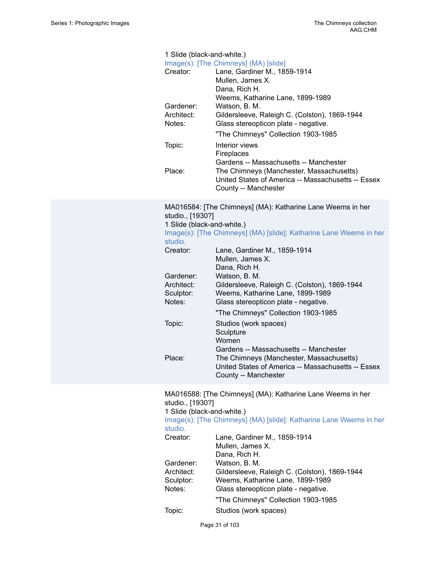| 1 Slide (black-and-white.)<br>Image(s): [The Chimneys] (MA) [slide] |                                                                                                                                                                  |  |
|---------------------------------------------------------------------|------------------------------------------------------------------------------------------------------------------------------------------------------------------|--|
| Creator:                                                            | Lane, Gardiner M., 1859-1914<br>Mullen, James X.<br>Dana, Rich H.                                                                                                |  |
| Gardener:<br>Architect:                                             | Weems, Katharine Lane, 1899-1989<br>Watson, B. M.<br>Gildersleeve, Raleigh C. (Colston), 1869-1944                                                               |  |
| Notes:                                                              | Glass stereopticon plate - negative.<br>"The Chimneys" Collection 1903-1985                                                                                      |  |
| Topic:                                                              | Interior views<br>Fireplaces                                                                                                                                     |  |
| Place:                                                              | Gardens -- Massachusetts -- Manchester<br>The Chimneys (Manchester, Massachusetts)<br>United States of America -- Massachusetts -- Essex<br>County -- Manchester |  |
| studio., [1930?]<br>1 Slide (black-and-white.)                      | MA016584: [The Chimneys] (MA): Katharine Lane Weems in her                                                                                                       |  |
| studio.                                                             | Image(s): [The Chimneys] (MA) [slide]: Katharine Lane Weems in her                                                                                               |  |
| Creator:                                                            | Lane, Gardiner M., 1859-1914<br>Mullen, James X.<br>Dana, Rich H.                                                                                                |  |
| Gardener:<br>Architect:                                             | Watson, B. M.<br>Gildersleeve, Raleigh C. (Colston), 1869-1944                                                                                                   |  |
| Sculptor:<br>Notes:                                                 | Weems, Katharine Lane, 1899-1989                                                                                                                                 |  |
|                                                                     | Glass stereopticon plate - negative.<br>"The Chimneys" Collection 1903-1985                                                                                      |  |
| Topic:                                                              | Studios (work spaces)<br>Sculpture<br>Women                                                                                                                      |  |
|                                                                     | Gardens -- Massachusetts -- Manchester                                                                                                                           |  |
| Place:                                                              | The Chimneys (Manchester, Massachusetts)<br>United States of America -- Massachusetts -- Essex<br>County -- Manchester                                           |  |
| studio., [1930?]                                                    | MA016588: [The Chimneys] (MA): Katharine Lane Weems in her                                                                                                       |  |
| 1 Slide (black-and-white.)<br>studio.                               | Image(s): [The Chimneys] (MA) [slide]: Katharine Lane Weems in her                                                                                               |  |
| Creator:                                                            | Lane, Gardiner M., 1859-1914<br>Mullen, James X.<br>Dana, Rich H.                                                                                                |  |
| Gardener:<br>Architect:                                             | Watson, B. M.<br>Gildersleeve, Raleigh C. (Colston), 1869-1944                                                                                                   |  |
|                                                                     |                                                                                                                                                                  |  |

Sculptor: Weems, Katharine Lane, 1899-1989<br>Notes: Glass stereopticon plate - negative. Glass stereopticon plate - negative.

- "The Chimneys" Collection 1903-1985
- Topic: Studios (work spaces)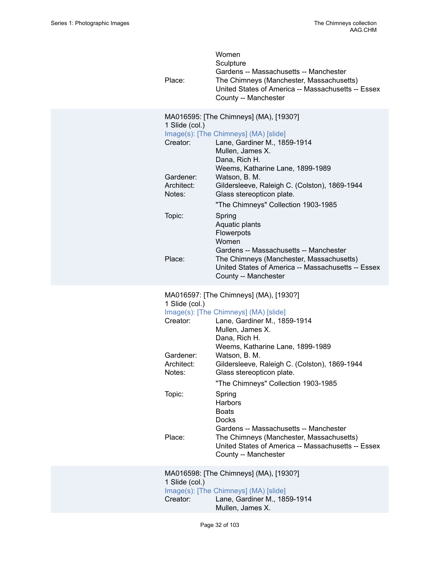| Place:                                                                              | Women<br>Sculpture<br>Gardens -- Massachusetts -- Manchester<br>The Chimneys (Manchester, Massachusetts)<br>United States of America -- Massachusetts -- Essex<br>County -- Manchester                                                                                                                                                                                                                                                                                                                                                                  |
|-------------------------------------------------------------------------------------|---------------------------------------------------------------------------------------------------------------------------------------------------------------------------------------------------------------------------------------------------------------------------------------------------------------------------------------------------------------------------------------------------------------------------------------------------------------------------------------------------------------------------------------------------------|
| 1 Slide (col.)<br>Creator:<br>Gardener:<br>Architect:<br>Notes:<br>Topic:<br>Place: | MA016595: [The Chimneys] (MA), [1930?]<br>Image(s): [The Chimneys] (MA) [slide]<br>Lane, Gardiner M., 1859-1914<br>Mullen, James X.<br>Dana, Rich H.<br>Weems, Katharine Lane, 1899-1989<br>Watson, B. M.<br>Gildersleeve, Raleigh C. (Colston), 1869-1944<br>Glass stereopticon plate.<br>"The Chimneys" Collection 1903-1985<br>Spring<br>Aquatic plants<br>Flowerpots<br>Women<br>Gardens -- Massachusetts -- Manchester<br>The Chimneys (Manchester, Massachusetts)<br>United States of America -- Massachusetts -- Essex<br>County -- Manchester   |
| 1 Slide (col.)<br>Creator:<br>Gardener:<br>Architect:<br>Notes:<br>Topic:<br>Place: | MA016597: [The Chimneys] (MA), [1930?]<br>Image(s): [The Chimneys] (MA) [slide]<br>Lane, Gardiner M., 1859-1914<br>Mullen, James X.<br>Dana, Rich H.<br>Weems, Katharine Lane, 1899-1989<br>Watson, B. M.<br>Gildersleeve, Raleigh C. (Colston), 1869-1944<br>Glass stereopticon plate.<br>"The Chimneys" Collection 1903-1985<br>Spring<br>Harbors<br><b>Boats</b><br><b>Docks</b><br>Gardens -- Massachusetts -- Manchester<br>The Chimneys (Manchester, Massachusetts)<br>United States of America -- Massachusetts -- Essex<br>County -- Manchester |
| 1 Slide (col.)<br>Creator:                                                          | MA016598: [The Chimneys] (MA), [1930?]<br>Image(s): [The Chimneys] (MA) [slide]<br>Lane, Gardiner M., 1859-1914<br>Mullen, James X.                                                                                                                                                                                                                                                                                                                                                                                                                     |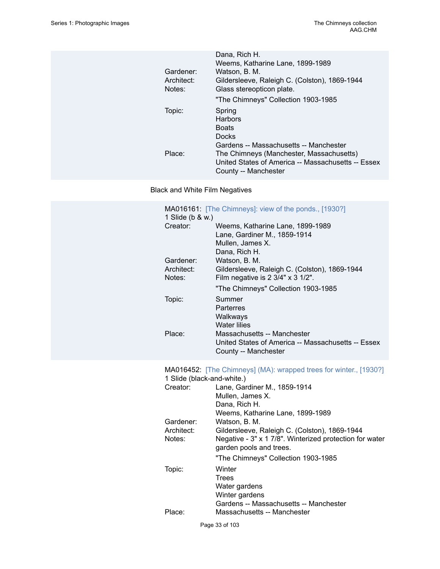| Gardener:<br>Architect:<br>Notes: | Dana, Rich H.<br>Weems, Katharine Lane, 1899-1989<br>Watson, B. M.<br>Gildersleeve, Raleigh C. (Colston), 1869-1944<br>Glass stereopticon plate. |
|-----------------------------------|--------------------------------------------------------------------------------------------------------------------------------------------------|
|                                   | "The Chimneys" Collection 1903-1985                                                                                                              |
| Topic:                            | Spring<br>Harbors<br><b>Boats</b><br><b>Docks</b><br>Gardens -- Massachusetts -- Manchester                                                      |
| Place:                            | The Chimneys (Manchester, Massachusetts)<br>United States of America -- Massachusetts -- Essex<br>County -- Manchester                           |

Black and White Film Negatives

|                                   | <b>MA016161:</b> [The Chimneys]: view of the ponds., [1930?]                                                                        |
|-----------------------------------|-------------------------------------------------------------------------------------------------------------------------------------|
| 1 Slide (b & w.)<br>Creator:      | Weems, Katharine Lane, 1899-1989<br>Lane, Gardiner M., 1859-1914<br>Mullen, James X.                                                |
| Gardener:<br>Architect:<br>Notes: | Dana, Rich H.<br>Watson, B. M.<br>Gildersleeve, Raleigh C. (Colston), 1869-1944<br>Film negative is 2 3/4" x 3 1/2".                |
|                                   | "The Chimneys" Collection 1903-1985                                                                                                 |
| Topic:                            | Summer<br>Parterres<br>Walkways<br><b>Water lilies</b>                                                                              |
| Place:                            | Massachusetts -- Manchester<br>United States of America -- Massachusetts -- Essex<br>County -- Manchester                           |
| 1 Slide (black-and-white.)        | MA016452: [The Chimneys] (MA): wrapped trees for winter., [1930?]                                                                   |
| Creator:                          | Lane, Gardiner M., 1859-1914<br>Mullen, James X.<br>Dana, Rich H.<br>Weems, Katharine Lane, 1899-1989                               |
| Gardener:                         | Watson, B. M.                                                                                                                       |
| Architect:<br>Notes:              | Gildersleeve, Raleigh C. (Colston), 1869-1944<br>Negative - 3" x 1 7/8". Winterized protection for water<br>garden pools and trees. |
| Topic:                            | "The Chimneys" Collection 1903-1985<br>Winter<br><b>Trees</b><br>Water gardens<br>Winter gardens                                    |
| Place:                            | Gardens -- Massachusetts -- Manchester<br>Massachusetts -- Manchester                                                               |
|                                   | Page 33 of 103                                                                                                                      |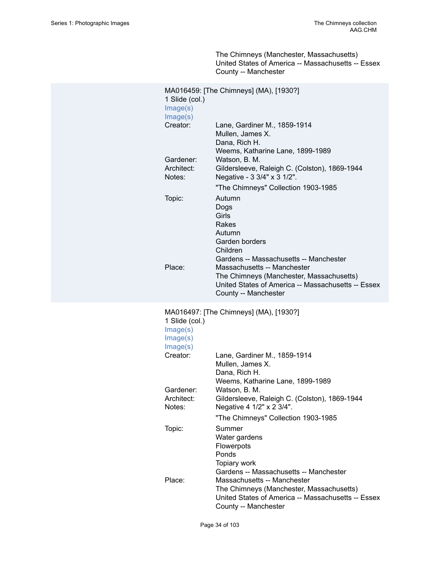The Chimneys (Manchester, Massachusetts) United States of America -- Massachusetts -- Essex County -- Manchester

| 1 Slide (col.)<br>Image(s)<br>Image(s)                         | MA016459: [The Chimneys] (MA), [1930?]                                                                                                                                                                                                                                                                             |
|----------------------------------------------------------------|--------------------------------------------------------------------------------------------------------------------------------------------------------------------------------------------------------------------------------------------------------------------------------------------------------------------|
| Creator:                                                       | Lane, Gardiner M., 1859-1914<br>Mullen, James X.<br>Dana, Rich H.<br>Weems, Katharine Lane, 1899-1989                                                                                                                                                                                                              |
| Gardener:<br>Architect:<br>Notes:                              | Watson, B. M.<br>Gildersleeve, Raleigh C. (Colston), 1869-1944<br>Negative - 3 3/4" x 3 1/2".                                                                                                                                                                                                                      |
| Topic:<br>Place:                                               | "The Chimneys" Collection 1903-1985<br>Autumn<br>Dogs<br>Girls<br>Rakes<br>Autumn<br>Garden borders<br>Children<br>Gardens -- Massachusetts -- Manchester<br>Massachusetts -- Manchester<br>The Chimneys (Manchester, Massachusetts)<br>United States of America -- Massachusetts -- Essex<br>County -- Manchester |
| 1 Slide (col.)<br>Image(s)<br>Image(s)<br>Image(s)<br>Creator: | MA016497: [The Chimneys] (MA), [1930?]<br>Lane, Gardiner M., 1859-1914                                                                                                                                                                                                                                             |

| Creator:             | Lane, Gardiner M., 1859-1914<br>Mullen, James X.<br>Dana, Rich H.          |
|----------------------|----------------------------------------------------------------------------|
|                      | Weems, Katharine Lane, 1899-1989                                           |
| Gardener:            | Watson, B. M.                                                              |
| Architect:<br>Notes: | Gildersleeve, Raleigh C. (Colston), 1869-1944<br>Negative 4 1/2" x 2 3/4". |
|                      | "The Chimneys" Collection 1903-1985                                        |
| Topic:               | Summer                                                                     |
|                      | Water gardens                                                              |
|                      | <b>Flowerpots</b>                                                          |
|                      | Ponds                                                                      |
|                      | Topiary work                                                               |
|                      | Gardens -- Massachusetts -- Manchester                                     |
| Place:               | Massachusetts -- Manchester                                                |
|                      | The Chimneys (Manchester, Massachusetts)                                   |
|                      | United States of America -- Massachusetts -- Essex                         |
|                      | County -- Manchester                                                       |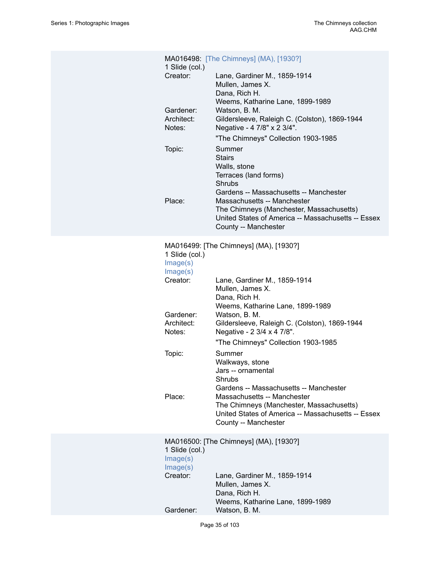| 1 Slide (col.)<br>Creator:<br>Gardener:<br>Architect:<br>Notes:<br>Topic:                                   | MA016498: [The Chimneys] (MA), [1930?]<br>Lane, Gardiner M., 1859-1914<br>Mullen, James X.<br>Dana, Rich H.<br>Weems, Katharine Lane, 1899-1989<br>Watson, B. M.<br>Gildersleeve, Raleigh C. (Colston), 1869-1944<br>Negative - 4 7/8" x 2 3/4".<br>"The Chimneys" Collection 1903-1985<br>Summer<br><b>Stairs</b><br>Walls, stone                                                                                                                                                                                                                     |
|-------------------------------------------------------------------------------------------------------------|--------------------------------------------------------------------------------------------------------------------------------------------------------------------------------------------------------------------------------------------------------------------------------------------------------------------------------------------------------------------------------------------------------------------------------------------------------------------------------------------------------------------------------------------------------|
| Place:                                                                                                      | Terraces (land forms)<br>Shrubs<br>Gardens -- Massachusetts -- Manchester<br>Massachusetts -- Manchester<br>The Chimneys (Manchester, Massachusetts)<br>United States of America -- Massachusetts -- Essex<br>County -- Manchester                                                                                                                                                                                                                                                                                                                     |
| 1 Slide (col.)<br>Image(s)<br>Image(s)<br>Creator:<br>Gardener:<br>Architect:<br>Notes:<br>Topic:<br>Place: | MA016499: [The Chimneys] (MA), [1930?]<br>Lane, Gardiner M., 1859-1914<br>Mullen, James X.<br>Dana, Rich H.<br>Weems, Katharine Lane, 1899-1989<br>Watson, B. M.<br>Gildersleeve, Raleigh C. (Colston), 1869-1944<br>Negative - 2 3/4 x 4 7/8".<br>"The Chimneys" Collection 1903-1985<br>Summer<br>Walkways, stone<br>Jars -- ornamental<br>Shrubs<br>Gardens -- Massachusetts -- Manchester<br>Massachusetts -- Manchester<br>The Chimneys (Manchester, Massachusetts)<br>United States of America -- Massachusetts -- Essex<br>County -- Manchester |
| 1 Slide (col.)<br>Image(s)<br>Image(s)<br>Creator:<br>Gardener:                                             | MA016500: [The Chimneys] (MA), [1930?]<br>Lane, Gardiner M., 1859-1914<br>Mullen, James X.<br>Dana, Rich H.<br>Weems, Katharine Lane, 1899-1989<br>Watson, B. M.                                                                                                                                                                                                                                                                                                                                                                                       |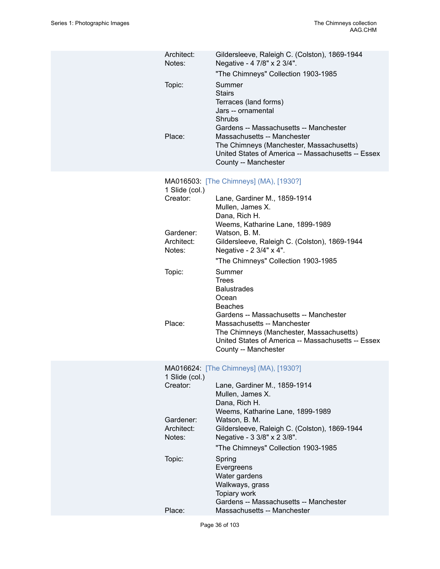| Architect:<br>Notes:              | Gildersleeve, Raleigh C. (Colston), 1869-1944<br>Negative - 4 7/8" x 2 3/4".<br>"The Chimneys" Collection 1903-1985                                                                             |
|-----------------------------------|-------------------------------------------------------------------------------------------------------------------------------------------------------------------------------------------------|
| Topic:                            | Summer<br><b>Stairs</b><br>Terraces (land forms)<br>Jars -- ornamental<br>Shrubs                                                                                                                |
| Place:                            | Gardens -- Massachusetts -- Manchester<br>Massachusetts -- Manchester<br>The Chimneys (Manchester, Massachusetts)<br>United States of America -- Massachusetts -- Essex<br>County -- Manchester |
| 1 Slide (col.)                    | MA016503: [The Chimneys] (MA), [1930?]                                                                                                                                                          |
| Creator:                          | Lane, Gardiner M., 1859-1914<br>Mullen, James X.<br>Dana, Rich H.                                                                                                                               |
| Gardener:<br>Architect:<br>Notes: | Weems, Katharine Lane, 1899-1989<br>Watson, B. M.<br>Gildersleeve, Raleigh C. (Colston), 1869-1944<br>Negative - 2 3/4" x 4".                                                                   |
|                                   | "The Chimneys" Collection 1903-1985                                                                                                                                                             |
| Topic:                            | Summer<br><b>Trees</b><br><b>Balustrades</b><br>Ocean<br><b>Beaches</b>                                                                                                                         |
| Place:                            | Gardens -- Massachusetts -- Manchester<br>Massachusetts -- Manchester<br>The Chimneys (Manchester, Massachusetts)<br>United States of America -- Massachusetts -- Essex<br>County -- Manchester |
| 1 Slide (col.)                    | MA016624: [The Chimneys] (MA), [1930?]                                                                                                                                                          |
| Creator:                          | Lane, Gardiner M., 1859-1914<br>Mullen, James X.<br>Dana, Rich H.                                                                                                                               |
| Gardener:<br>Architect:<br>Notes: | Weems, Katharine Lane, 1899-1989<br>Watson, B. M.<br>Gildersleeve, Raleigh C. (Colston), 1869-1944<br>Negative - 3 3/8" x 2 3/8".                                                               |
|                                   | "The Chimneys" Collection 1903-1985                                                                                                                                                             |
| Topic:                            | Spring<br>Evergreens<br>Water gardens<br>Walkways, grass<br>Topiary work<br>Gardens -- Massachusetts -- Manchester                                                                              |
| Place:                            | Massachusetts -- Manchester                                                                                                                                                                     |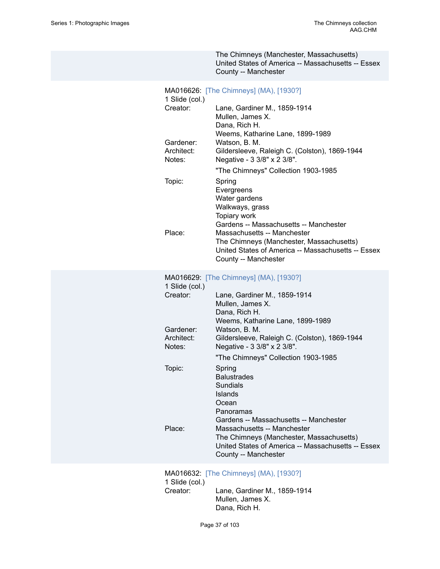|                                                                           | The Chimneys (Manchester, Massachusetts)<br>United States of America -- Massachusetts -- Essex<br>County -- Manchester                                                                                                                                                                                                                                                                                        |
|---------------------------------------------------------------------------|---------------------------------------------------------------------------------------------------------------------------------------------------------------------------------------------------------------------------------------------------------------------------------------------------------------------------------------------------------------------------------------------------------------|
| 1 Slide (col.)<br>Creator:<br>Gardener:<br>Architect:<br>Notes:<br>Topic: | MA016626: [The Chimneys] (MA), [1930?]<br>Lane, Gardiner M., 1859-1914<br>Mullen, James X.<br>Dana, Rich H.<br>Weems, Katharine Lane, 1899-1989<br>Watson, B. M.<br>Gildersleeve, Raleigh C. (Colston), 1869-1944<br>Negative - 3 3/8" x 2 3/8".<br>"The Chimneys" Collection 1903-1985<br>Spring<br>Evergreens<br>Water gardens<br>Walkways, grass<br>Topiary work<br>Gardens -- Massachusetts -- Manchester |
| Place:                                                                    | Massachusetts -- Manchester<br>The Chimneys (Manchester, Massachusetts)<br>United States of America -- Massachusetts -- Essex<br>County -- Manchester                                                                                                                                                                                                                                                         |
| 1 Slide (col.)<br>Creator:<br>Gardener:<br>Architect:                     | MA016629: [The Chimneys] (MA), [1930?]<br>Lane, Gardiner M., 1859-1914<br>Mullen, James X.<br>Dana, Rich H.<br>Weems, Katharine Lane, 1899-1989<br>Watson, B. M.<br>Gildersleeve, Raleigh C. (Colston), 1869-1944                                                                                                                                                                                             |
| Notes:<br>Topic:                                                          | Negative - 3 3/8" x 2 3/8".<br>"The Chimneys" Collection 1903-1985<br>Spring<br><b>Balustrades</b><br>Sundials<br>Islands<br>Ocean<br>Panoramas                                                                                                                                                                                                                                                               |
| Place:                                                                    | Gardens -- Massachusetts -- Manchester<br>Massachusetts -- Manchester<br>The Chimneys (Manchester, Massachusetts)<br>United States of America -- Massachusetts -- Essex<br>County -- Manchester                                                                                                                                                                                                               |
|                                                                           | MA016632: [The Chimneys] (MA), [1930?]                                                                                                                                                                                                                                                                                                                                                                        |

1 Slide (col.) Lane, Gardiner M., 1859-1914 Mullen, James X. Dana, Rich H.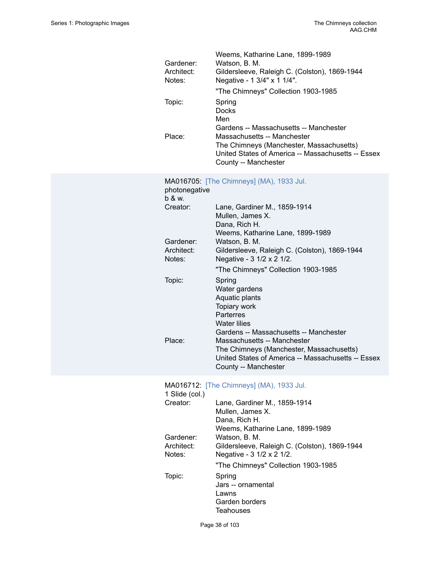| Gardener:<br>Architect:<br>Notes:<br>Topic:<br>Place: | Weems, Katharine Lane, 1899-1989<br>Watson, B. M.<br>Gildersleeve, Raleigh C. (Colston), 1869-1944<br>Negative - 1 3/4" x 1 1/4".<br>"The Chimneys" Collection 1903-1985<br>Spring<br><b>Docks</b><br>Men<br>Gardens -- Massachusetts -- Manchester<br>Massachusetts -- Manchester<br>The Chimneys (Manchester, Massachusetts)<br>United States of America -- Massachusetts -- Essex<br>County -- Manchester |
|-------------------------------------------------------|--------------------------------------------------------------------------------------------------------------------------------------------------------------------------------------------------------------------------------------------------------------------------------------------------------------------------------------------------------------------------------------------------------------|
| photonegative<br>b & w.<br>Creator:                   | MA016705: [The Chimneys] (MA), 1933 Jul.<br>Lane, Gardiner M., 1859-1914<br>Mullen, James X.<br>Dana, Rich H.                                                                                                                                                                                                                                                                                                |
| Gardener:<br>Architect:<br>Notes:                     | Weems, Katharine Lane, 1899-1989<br>Watson, B. M.<br>Gildersleeve, Raleigh C. (Colston), 1869-1944<br>Negative - 3 1/2 x 2 1/2.<br>"The Chimneys" Collection 1903-1985                                                                                                                                                                                                                                       |
| Topic:<br>Place:                                      | Spring<br>Water gardens<br>Aquatic plants<br>Topiary work<br>Parterres<br><b>Water lilies</b><br>Gardens -- Massachusetts -- Manchester<br>Massachusetts -- Manchester<br>The Chimneys (Manchester, Massachusetts)<br>United States of America -- Massachusetts -- Essex<br>County -- Manchester                                                                                                             |
| 1 Slide (col.)<br>Creator:                            | MA016712: [The Chimneys] (MA), 1933 Jul.<br>Lane, Gardiner M., 1859-1914<br>Mullen, James X.<br>Dana, Rich H.<br>Weems, Katharine Lane, 1899-1989                                                                                                                                                                                                                                                            |
| Gardener:<br>Architect:<br>Notes:                     | Watson, B. M.<br>Gildersleeve, Raleigh C. (Colston), 1869-1944<br>Negative - 3 1/2 x 2 1/2.<br>"The Chimneys" Collection 1903-1985                                                                                                                                                                                                                                                                           |
| Topic:                                                | Spring<br>Jars -- ornamental<br>Lawns<br>Garden borders<br><b>Teahouses</b>                                                                                                                                                                                                                                                                                                                                  |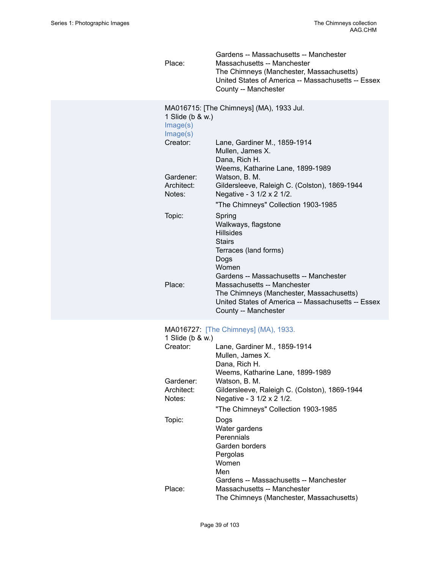| Place:                                   | Gardens -- Massachusetts -- Manchester<br>Massachusetts -- Manchester<br>The Chimneys (Manchester, Massachusetts)<br>United States of America -- Massachusetts -- Essex<br>County -- Manchester |
|------------------------------------------|-------------------------------------------------------------------------------------------------------------------------------------------------------------------------------------------------|
| 1 Slide (b & w.)<br>Image(s)<br>Image(s) | MA016715: [The Chimneys] (MA), 1933 Jul.                                                                                                                                                        |
| Creator:                                 | Lane, Gardiner M., 1859-1914<br>Mullen, James X.<br>Dana, Rich H.                                                                                                                               |
| Gardener:<br>Architect:<br>Notes:        | Weems, Katharine Lane, 1899-1989<br>Watson, B. M.<br>Gildersleeve, Raleigh C. (Colston), 1869-1944<br>Negative - 3 1/2 x 2 1/2.<br>"The Chimneys" Collection 1903-1985                          |
| Topic:                                   | Spring<br>Walkways, flagstone<br><b>Hillsides</b><br><b>Stairs</b><br>Terraces (land forms)<br>Dogs<br>Women                                                                                    |
| Place:                                   | Gardens -- Massachusetts -- Manchester<br>Massachusetts -- Manchester<br>The Chimneys (Manchester, Massachusetts)<br>United States of America -- Massachusetts -- Essex<br>County -- Manchester |
| 1 Slide (b & w.)                         | MA016727: [The Chimneys] (MA), 1933.                                                                                                                                                            |
| Creator:                                 | Lane, Gardiner M., 1859-1914<br>Mullen, James X.<br>Dana, Rich H.<br>Weems, Katharine Lane, 1899-1989                                                                                           |
| Gardener:<br>Architect:<br>Notes:        | Watson, B. M.<br>Gildersleeve, Raleigh C. (Colston), 1869-1944<br>Negative - 3 1/2 x 2 1/2.<br>"The Chimneys" Collection 1903-1985                                                              |
| Topic:                                   | Dogs<br>Water gardens<br>Perennials<br>Garden borders<br>Pergolas<br>Women<br>Men                                                                                                               |
| Place:                                   | Gardens -- Massachusetts -- Manchester<br>Massachusetts -- Manchester<br>The Chimneys (Manchester, Massachusetts)                                                                               |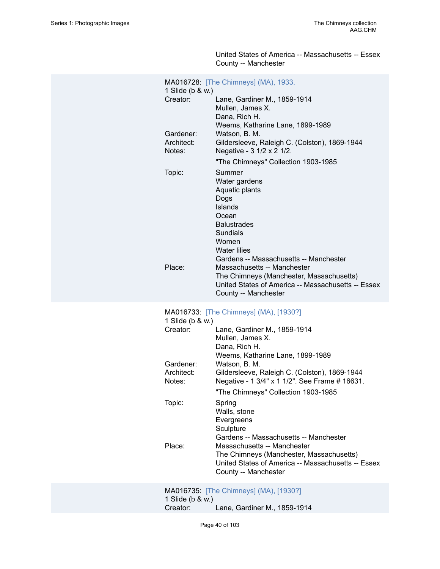United States of America -- Massachusetts -- Essex County -- Manchester

| 1 Slide (b & w.)     | MA016728: [The Chimneys] (MA), 1933.                                                                                                                                                     |
|----------------------|------------------------------------------------------------------------------------------------------------------------------------------------------------------------------------------|
| Creator:             | Lane, Gardiner M., 1859-1914<br>Mullen, James X.<br>Dana, Rich H.                                                                                                                        |
| Gardener:            | Weems, Katharine Lane, 1899-1989<br>Watson, B. M.                                                                                                                                        |
| Architect:<br>Notes: | Gildersleeve, Raleigh C. (Colston), 1869-1944<br>Negative - 3 1/2 x 2 1/2.                                                                                                               |
|                      | "The Chimneys" Collection 1903-1985                                                                                                                                                      |
| Topic:               | Summer<br>Water gardens<br>Aquatic plants<br>Dogs<br>Islands<br>Ocean<br><b>Balustrades</b><br><b>Sundials</b><br>Women<br><b>Water lilies</b><br>Gardens -- Massachusetts -- Manchester |
| Place:               | Massachusetts -- Manchester<br>The Chimneys (Manchester, Massachusetts)<br>United States of America -- Massachusetts -- Essex<br>County -- Manchester                                    |
| 1 Slide (b & w.)     | MA016733: [The Chimneys] (MA), [1930?]                                                                                                                                                   |
| Creator:             | Lane, Gardiner M., 1859-1914<br>Mullen, James X.<br>Dana, Rich H.                                                                                                                        |
| Gardener:            | Weems, Katharine Lane, 1899-1989<br>Watson, B. M.                                                                                                                                        |
| Architect:<br>Notes: | Gildersleeve, Raleigh C. (Colston), 1869-1944<br>Negative - 1 3/4" x 1 1/2". See Frame # 16631.                                                                                          |
|                      | "The Chimneys" Collection 1903-1985                                                                                                                                                      |
| Topic:               | Spring<br>Walls, stone<br>Evergreens<br>Sculpture<br>Gardens -- Massachusetts -- Manchester                                                                                              |
| Place:               | Massachusetts -- Manchester<br>The Chimneys (Manchester, Massachusetts)<br>United States of America -- Massachusetts -- Essex<br>County -- Manchester                                    |
|                      | MA016735: [The Chimneys] (MA), [1930?]                                                                                                                                                   |

1 Slide (b & w.) Lane, Gardiner M., 1859-1914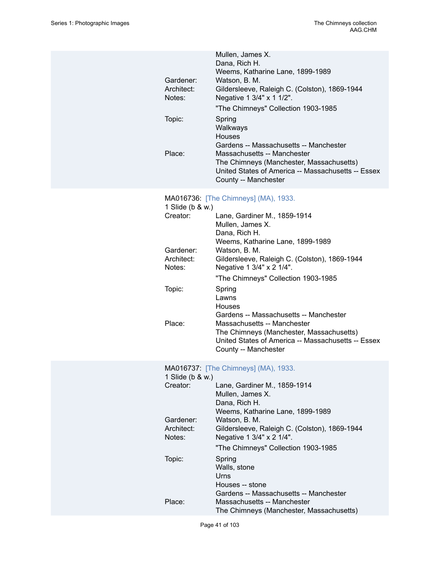|            | Mullen, James X.                                   |
|------------|----------------------------------------------------|
|            | Dana, Rich H.                                      |
|            | Weems, Katharine Lane, 1899-1989                   |
| Gardener:  | Watson, B. M.                                      |
| Architect: | Gildersleeve, Raleigh C. (Colston), 1869-1944      |
| Notes:     | Negative 1 3/4" x 1 1/2".                          |
|            | "The Chimneys" Collection 1903-1985                |
| Topic:     | Spring                                             |
|            | Walkways                                           |
|            | <b>Houses</b>                                      |
|            | Gardens -- Massachusetts -- Manchester             |
| Place:     | Massachusetts -- Manchester                        |
|            | The Chimneys (Manchester, Massachusetts)           |
|            | United States of America -- Massachusetts -- Essex |
|            | County -- Manchester                               |

# MA016736: [\[The Chimneys\] \(MA\), 1933.](https://ids.si.edu/ids/deliveryService?id=SG-MA016736)

| 1 Slide (b & w.) |                                                    |
|------------------|----------------------------------------------------|
| Creator:         | Lane, Gardiner M., 1859-1914                       |
|                  | Mullen, James X.                                   |
|                  | Dana, Rich H.                                      |
|                  | Weems, Katharine Lane, 1899-1989                   |
| Gardener:        | Watson, B. M.                                      |
| Architect:       | Gildersleeve, Raleigh C. (Colston), 1869-1944      |
| Notes:           | Negative 1 3/4" x 2 1/4".                          |
|                  | "The Chimneys" Collection 1903-1985                |
| Topic:           | Spring                                             |
|                  | Lawns                                              |
|                  | Houses                                             |
|                  | Gardens -- Massachusetts -- Manchester             |
| Place:           | Massachusetts -- Manchester                        |
|                  | The Chimneys (Manchester, Massachusetts)           |
|                  | United States of America -- Massachusetts -- Essex |
|                  | County -- Manchester                               |

# MA016737: [\[The Chimneys\] \(MA\), 1933.](https://ids.si.edu/ids/deliveryService?id=SG-MA016737)

| 1 Slide (b & w.)                              |  |  |
|-----------------------------------------------|--|--|
| Lane, Gardiner M., 1859-1914                  |  |  |
| Mullen, James X.                              |  |  |
| Dana, Rich H.                                 |  |  |
| Weems, Katharine Lane, 1899-1989              |  |  |
| Watson, B. M.                                 |  |  |
| Gildersleeve, Raleigh C. (Colston), 1869-1944 |  |  |
| Negative 1 3/4" x 2 1/4".                     |  |  |
| "The Chimneys" Collection 1903-1985           |  |  |
| Spring                                        |  |  |
| Walls, stone                                  |  |  |
| Urns                                          |  |  |
| Houses -- stone                               |  |  |
| Gardens -- Massachusetts -- Manchester        |  |  |
| Massachusetts -- Manchester                   |  |  |
| The Chimneys (Manchester, Massachusetts)      |  |  |
|                                               |  |  |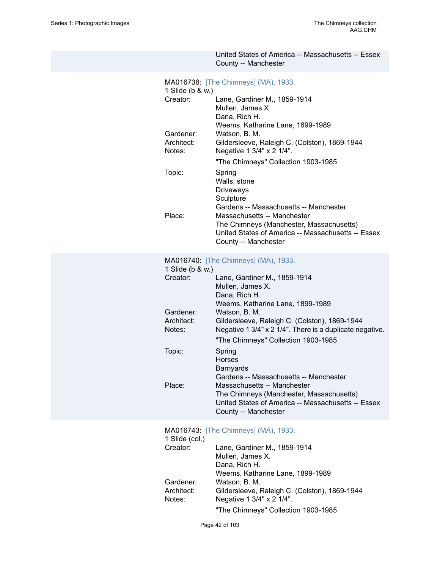|                                                                                       | United States of America -- Massachusetts -- Essex<br>County -- Manchester                                                                                                                                                                                                                                                                                                                                                                                                                                                                                           |
|---------------------------------------------------------------------------------------|----------------------------------------------------------------------------------------------------------------------------------------------------------------------------------------------------------------------------------------------------------------------------------------------------------------------------------------------------------------------------------------------------------------------------------------------------------------------------------------------------------------------------------------------------------------------|
| 1 Slide (b & w.)<br>Creator:<br>Gardener:<br>Architect:<br>Notes:<br>Topic:<br>Place: | MA016738: [The Chimneys] (MA), 1933.<br>Lane, Gardiner M., 1859-1914<br>Mullen, James X.<br>Dana, Rich H.<br>Weems, Katharine Lane, 1899-1989<br>Watson, B. M.<br>Gildersleeve, Raleigh C. (Colston), 1869-1944<br>Negative 1 3/4" x 2 1/4".<br>"The Chimneys" Collection 1903-1985<br>Spring<br>Walls, stone<br><b>Driveways</b><br>Sculpture<br>Gardens -- Massachusetts -- Manchester<br>Massachusetts -- Manchester<br>The Chimneys (Manchester, Massachusetts)<br>United States of America -- Massachusetts -- Essex<br>County -- Manchester                    |
| 1 Slide (b & w.)<br>Creator:<br>Gardener:<br>Architect:<br>Notes:<br>Topic:<br>Place: | MA016740: [The Chimneys] (MA), 1933.<br>Lane, Gardiner M., 1859-1914<br>Mullen, James X.<br>Dana, Rich H.<br>Weems, Katharine Lane, 1899-1989<br>Watson, B. M.<br>Gildersleeve, Raleigh C. (Colston), 1869-1944<br>Negative 1 3/4" x 2 1/4". There is a duplicate negative.<br>"The Chimneys" Collection 1903-1985<br>Spring<br><b>Horses</b><br><b>Barnyards</b><br>Gardens -- Massachusetts -- Manchester<br>Massachusetts -- Manchester<br>The Chimneys (Manchester, Massachusetts)<br>United States of America -- Massachusetts -- Essex<br>County -- Manchester |
| 1 Slide (col.)<br>Creator:<br>Gardener:<br>Architect:<br>Notes:                       | MA016743: [The Chimneys] (MA), 1933.<br>Lane, Gardiner M., 1859-1914<br>Mullen, James X.<br>Dana, Rich H.<br>Weems, Katharine Lane, 1899-1989<br>Watson, B. M.<br>Gildersleeve, Raleigh C. (Colston), 1869-1944<br>Negative 1 3/4" x 2 1/4".<br>"The Chimneys" Collection 1903-1985                                                                                                                                                                                                                                                                                  |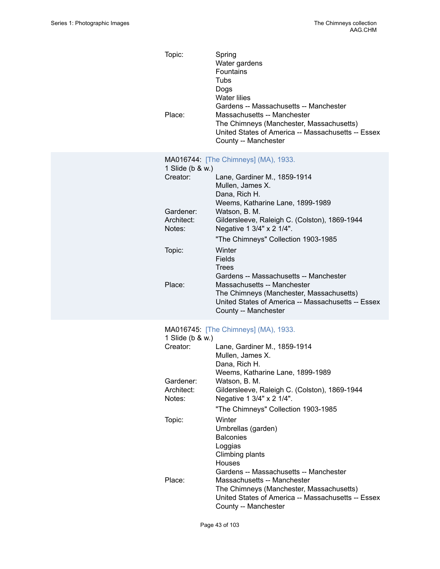| Topic:<br>Place:                  | Spring<br>Water gardens<br>Fountains<br>Tubs<br>Dogs<br><b>Water lilies</b><br>Gardens -- Massachusetts -- Manchester<br>Massachusetts -- Manchester<br>The Chimneys (Manchester, Massachusetts)<br>United States of America -- Massachusetts -- Essex<br>County -- Manchester |  |  |  |
|-----------------------------------|--------------------------------------------------------------------------------------------------------------------------------------------------------------------------------------------------------------------------------------------------------------------------------|--|--|--|
| 1 Slide (b & w.)<br>Creator:      | MA016744: [The Chimneys] (MA), 1933.<br>Lane, Gardiner M., 1859-1914                                                                                                                                                                                                           |  |  |  |
|                                   | Mullen, James X.<br>Dana, Rich H.<br>Weems, Katharine Lane, 1899-1989                                                                                                                                                                                                          |  |  |  |
| Gardener:<br>Architect:<br>Notes: | Watson, B. M.<br>Gildersleeve, Raleigh C. (Colston), 1869-1944<br>Negative 1 3/4" x 2 1/4".                                                                                                                                                                                    |  |  |  |
|                                   | "The Chimneys" Collection 1903-1985                                                                                                                                                                                                                                            |  |  |  |
| Topic:                            | Winter<br>Fields<br>Trees                                                                                                                                                                                                                                                      |  |  |  |
| Place:                            | Gardens -- Massachusetts -- Manchester<br>Massachusetts -- Manchester<br>The Chimneys (Manchester, Massachusetts)<br>United States of America -- Massachusetts -- Essex<br>County -- Manchester                                                                                |  |  |  |
| 1 Slide (b & w.)                  | MA016745: [The Chimneys] (MA), 1933.                                                                                                                                                                                                                                           |  |  |  |
| Creator:                          | Lane, Gardiner M., 1859-1914<br>Mullen, James X.<br>Dana, Rich H.                                                                                                                                                                                                              |  |  |  |
| Gardener:                         | Weems, Katharine Lane, 1899-1989<br>Watson, B. M.                                                                                                                                                                                                                              |  |  |  |
| Architect:                        | Gildersleeve, Raleigh C. (Colston), 1869-1944                                                                                                                                                                                                                                  |  |  |  |
| Notes:                            | Negative 1 3/4" x 2 1/4".                                                                                                                                                                                                                                                      |  |  |  |
|                                   | "The Chimneys" Collection 1903-1985                                                                                                                                                                                                                                            |  |  |  |
| Topic:                            | Winter<br>Umbrellas (garden)<br><b>Balconies</b><br>Loggias<br>Climbing plants<br>Houses                                                                                                                                                                                       |  |  |  |
| Place:                            | Gardens -- Massachusetts -- Manchester<br>Massachusetts -- Manchester<br>The Chimneys (Manchester, Massachusetts)<br>United States of America -- Massachusetts -- Essex<br>County -- Manchester                                                                                |  |  |  |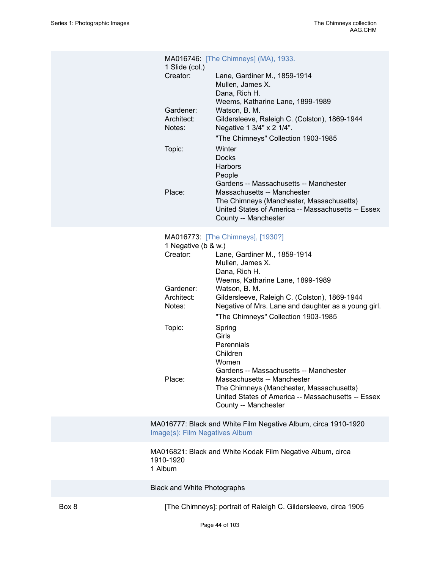| 1 Slide (col.)                    | MA016746: [The Chimneys] (MA), 1933.                                                                                                                         |
|-----------------------------------|--------------------------------------------------------------------------------------------------------------------------------------------------------------|
| Creator:                          | Lane, Gardiner M., 1859-1914<br>Mullen, James X.<br>Dana, Rich H.<br>Weems, Katharine Lane, 1899-1989                                                        |
| Gardener:<br>Architect:<br>Notes: | Watson, B. M.<br>Gildersleeve, Raleigh C. (Colston), 1869-1944<br>Negative 1 3/4" x 2 1/4".                                                                  |
| Topic:                            | "The Chimneys" Collection 1903-1985<br>Winter<br><b>Docks</b><br><b>Harbors</b><br>People<br>Gardens -- Massachusetts -- Manchester                          |
| Place:                            | Massachusetts -- Manchester<br>The Chimneys (Manchester, Massachusetts)<br>United States of America -- Massachusetts -- Essex<br>County -- Manchester        |
| 1 Negative (b & w.)<br>Creator:   | MA016773: [The Chimneys], [1930?]<br>Lane, Gardiner M., 1859-1914<br>Mullen, James X.<br>Dana, Rich H.<br>Weems, Katharine Lane, 1899-1989                   |
| Gardener:<br>Architect:<br>Notes: | Watson, B. M.<br>Gildersleeve, Raleigh C. (Colston), 1869-1944<br>Negative of Mrs. Lane and daughter as a young girl.<br>"The Chimneys" Collection 1903-1985 |
| Topic:                            | Spring<br>Girls<br>Perennials<br>Children<br>Women<br>Gardens -- Massachusetts -- Manchester                                                                 |
| Place:                            | Massachusetts -- Manchester<br>The Chimneys (Manchester, Massachusetts)<br>United States of America -- Massachusetts -- Essex<br>County -- Manchester        |

MA016777: Black and White Film Negative Album, circa 1910-1920 [Image\(s\): Film Negatives Album](https://edan.si.edu/slideshow/slideshowViewer.htm?eadrefid=AAG.CHM_ref846)

MA016821: Black and White Kodak Film Negative Album, circa 1910-1920 1 Album

Black and White Photographs

Box 8 [The Chimneys]: portrait of Raleigh C. Gildersleeve, circa 1905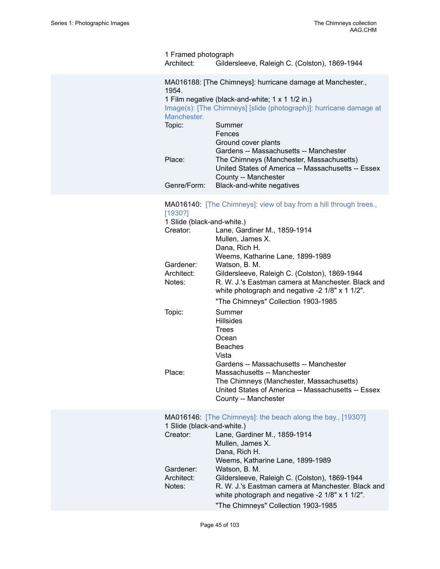| 1 Framed photograph<br>Architect:                                                                                                                                                             | Gildersleeve, Raleigh C. (Colston), 1869-1944                                                                                                                    |  |
|-----------------------------------------------------------------------------------------------------------------------------------------------------------------------------------------------|------------------------------------------------------------------------------------------------------------------------------------------------------------------|--|
| MA016188: [The Chimneys]: hurricane damage at Manchester.,<br>1954.<br>1 Film negative (black-and-white; 1 x 1 1/2 in.)<br>Image(s): [The Chimneys] [slide (photograph)]: hurricane damage at |                                                                                                                                                                  |  |
| Manchester.<br>Topic:                                                                                                                                                                         | Summer                                                                                                                                                           |  |
|                                                                                                                                                                                               | Fences<br>Ground cover plants                                                                                                                                    |  |
| Place:                                                                                                                                                                                        | Gardens -- Massachusetts -- Manchester<br>The Chimneys (Manchester, Massachusetts)<br>United States of America -- Massachusetts -- Essex<br>County -- Manchester |  |
| Genre/Form:                                                                                                                                                                                   | Black-and-white negatives                                                                                                                                        |  |
|                                                                                                                                                                                               |                                                                                                                                                                  |  |

## MA016140: [\[The Chimneys\]: view of bay from a hill through trees.,](https://ids.si.edu/ids/deliveryService?id=SG-MA016140) [\[1930?\]](https://ids.si.edu/ids/deliveryService?id=SG-MA016140)

| 1 Slide (black-and-white.)             |                                                                                                                                                                                                                |
|----------------------------------------|----------------------------------------------------------------------------------------------------------------------------------------------------------------------------------------------------------------|
| Creator:                               | Lane, Gardiner M., 1859-1914<br>Mullen, James X.<br>Dana, Rich H.<br>Weems, Katharine Lane, 1899-1989                                                                                                          |
| Gardener:<br>Architect:<br>Notes:      | Watson, B. M.<br>Gildersleeve, Raleigh C. (Colston), 1869-1944<br>R. W. J.'s Eastman camera at Manchester. Black and<br>white photograph and negative -2 1/8" x 1 1/2".<br>"The Chimneys" Collection 1903-1985 |
| Topic:                                 | Summer<br><b>Hillsides</b><br><b>Trees</b><br>Ocean<br><b>Beaches</b><br>Vista<br>Gardens -- Massachusetts -- Manchester                                                                                       |
| Place:                                 | Massachusetts -- Manchester<br>The Chimneys (Manchester, Massachusetts)<br>United States of America -- Massachusetts -- Essex<br>County -- Manchester                                                          |
| 1 Slide (black-and-white.)<br>Creator: | MA016146: [The Chimneys]: the beach along the bay., [1930?]<br>Lane, Gardiner M., 1859-1914<br>Mullen, James X.<br>Dana, Rich H.<br>Weems, Katharine Lane, 1899-1989                                           |
| Gardener:<br>Architect:<br>Notes:      | Watson, B. M.<br>Gildersleeve, Raleigh C. (Colston), 1869-1944<br>R. W. J.'s Eastman camera at Manchester. Black and<br>white photograph and negative -2 1/8" x 1 1/2".<br>"The Chimneys" Collection 1903-1985 |
|                                        |                                                                                                                                                                                                                |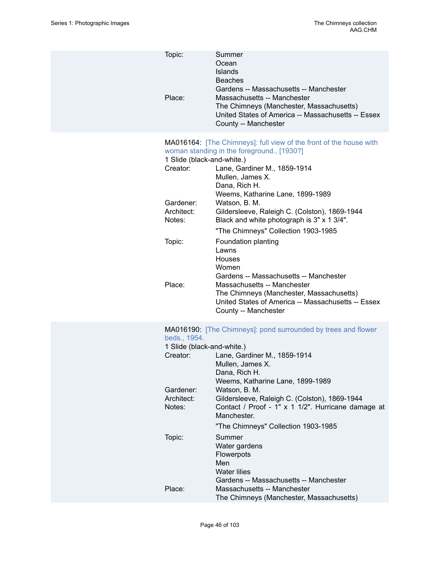| Topic:<br>Place:                                                                                | Summer<br>Ocean<br><b>Islands</b><br><b>Beaches</b><br>Gardens -- Massachusetts -- Manchester<br>Massachusetts -- Manchester<br>The Chimneys (Manchester, Massachusetts)<br>United States of America -- Massachusetts -- Essex<br>County -- Manchester                                                                                                                                                                                                                                                                                                                                                         |
|-------------------------------------------------------------------------------------------------|----------------------------------------------------------------------------------------------------------------------------------------------------------------------------------------------------------------------------------------------------------------------------------------------------------------------------------------------------------------------------------------------------------------------------------------------------------------------------------------------------------------------------------------------------------------------------------------------------------------|
| 1 Slide (black-and-white.)<br>Creator:<br>Gardener:<br>Architect:<br>Notes:<br>Topic:<br>Place: | MA016164: [The Chimneys]: full view of the front of the house with<br>woman standing in the foreground., [1930?]<br>Lane, Gardiner M., 1859-1914<br>Mullen, James X.<br>Dana, Rich H.<br>Weems, Katharine Lane, 1899-1989<br>Watson, B. M.<br>Gildersleeve, Raleigh C. (Colston), 1869-1944<br>Black and white photograph is 3" x 1 3/4".<br>"The Chimneys" Collection 1903-1985<br>Foundation planting<br>Lawns<br>Houses<br>Women<br>Gardens -- Massachusetts -- Manchester<br>Massachusetts -- Manchester<br>The Chimneys (Manchester, Massachusetts)<br>United States of America -- Massachusetts -- Essex |
|                                                                                                 | County -- Manchester                                                                                                                                                                                                                                                                                                                                                                                                                                                                                                                                                                                           |
| beds., 1954.<br>1 Slide (black-and-white.)<br>Creator:<br>Gardener:<br>Architect:<br>Notes:     | MA016190: [The Chimneys]: pond surrounded by trees and flower<br>Lane, Gardiner M., 1859-1914<br>Mullen, James X.<br>Dana, Rich H.<br>Weems, Katharine Lane, 1899-1989<br>Watson, B. M.<br>Gildersleeve, Raleigh C. (Colston), 1869-1944<br>Contact / Proof - 1" x 1 1/2". Hurricane damage at<br>Manchester.                                                                                                                                                                                                                                                                                                  |
| Topic:                                                                                          | "The Chimneys" Collection 1903-1985<br>Summer<br>Water gardens<br>Flowerpots<br>Men<br><b>Water lilies</b>                                                                                                                                                                                                                                                                                                                                                                                                                                                                                                     |
| Place:                                                                                          | Gardens -- Massachusetts -- Manchester<br>Massachusetts -- Manchester<br>The Chimneys (Manchester, Massachusetts)                                                                                                                                                                                                                                                                                                                                                                                                                                                                                              |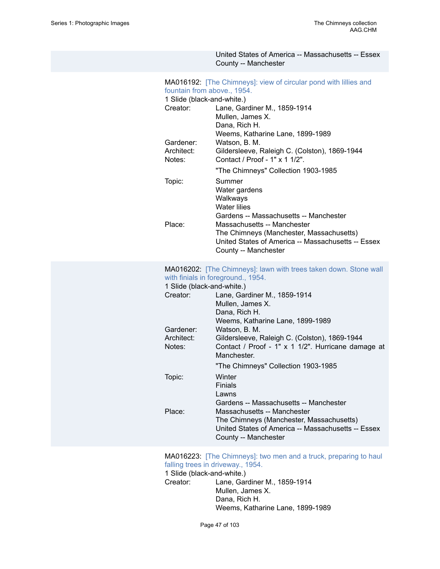## United States of America -- Massachusetts -- Essex County -- Manchester MA016192: [\[The Chimneys\]: view of circular pond with lillies and](https://ids.si.edu/ids/deliveryService?id=SG-MA016192) [fountain from above., 1954.](https://ids.si.edu/ids/deliveryService?id=SG-MA016192) 1 Slide (black-and-white.) Creator: Lane, Gardiner M., 1859-1914 Mullen, James X. Dana, Rich H. Weems, Katharine Lane, 1899-1989 Gardener: Watson, B. M.<br>Architect: Gildersleeve. I Gildersleeve, Raleigh C. (Colston), 1869-1944 Notes: Contact / Proof - 1" x 1 1/2". "The Chimneys" Collection 1903-1985 Topic: Summer Water gardens Walkways Water lilies Gardens -- Massachusetts -- Manchester Place: Massachusetts -- Manchester The Chimneys (Manchester, Massachusetts) United States of America -- Massachusetts -- Essex County -- Manchester MA016202: [\[The Chimneys\]: lawn with trees taken down. Stone wall](https://ids.si.edu/ids/deliveryService?id=SG-MA016202) [with finials in foreground., 1954.](https://ids.si.edu/ids/deliveryService?id=SG-MA016202) 1 Slide (black-and-white.) Creator: Lane, Gardiner M., 1859-1914 Mullen, James X. Dana, Rich H. Weems, Katharine Lane, 1899-1989 Gardener: Watson, B. M. Architect: Gildersleeve, Raleigh C. (Colston), 1869-1944 Notes: Contact / Proof - 1" x 1 1/2". Hurricane damage at Manchester. "The Chimneys" Collection 1903-1985 Topic: Winter **Finials** Lawns Gardens -- Massachusetts -- Manchester Place: Massachusetts -- Manchester The Chimneys (Manchester, Massachusetts) United States of America -- Massachusetts -- Essex County -- Manchester

### MA016223: [\[The Chimneys\]: two men and a truck, preparing to haul](https://ids.si.edu/ids/deliveryService?id=SG-MA016223) falling trees in [driveway.,](https://ids.si.edu/ids/deliveryService?id=SG-MA016223) 1954.

1 Slide (black-and-white.) Creator: Lane, Gardiner M., 1859-1914 Mullen, James X. Dana, Rich H. Weems, Katharine Lane, 1899-1989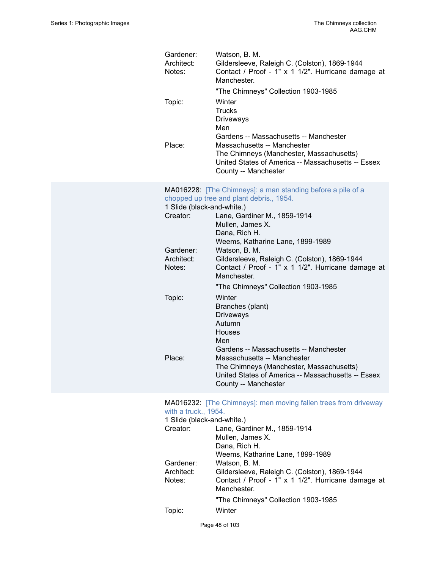| Gardener:<br>Architect:<br>Notes: | Watson, B. M.<br>Gildersleeve, Raleigh C. (Colston), 1869-1944<br>Contact / Proof - 1" x 1 1/2". Hurricane damage at<br>Manchester.<br>"The Chimneys" Collection 1903-1985 |
|-----------------------------------|----------------------------------------------------------------------------------------------------------------------------------------------------------------------------|
| Topic:                            | Winter<br><b>Trucks</b><br>Driveways<br>Men<br>Gardens -- Massachusetts -- Manchester                                                                                      |
| Place:                            | Massachusetts -- Manchester<br>The Chimneys (Manchester, Massachusetts)<br>United States of America -- Massachusetts -- Essex<br>County -- Manchester                      |
|                                   | MA016228: [The Chimneys]: a man standing before a pile of a<br>chopped up tree and plant debris., 1954.                                                                    |
| 1 Slide (black-and-white.)        |                                                                                                                                                                            |
| Creator:                          | Lane, Gardiner M., 1859-1914                                                                                                                                               |
|                                   | Mullen, James X.                                                                                                                                                           |
|                                   | Dana, Rich H.                                                                                                                                                              |
|                                   | Weems, Katharine Lane, 1899-1989                                                                                                                                           |
| Gardener:                         | Watson, B. M.                                                                                                                                                              |
| Architect:<br>Notes:              | Gildersleeve, Raleigh C. (Colston), 1869-1944<br>Contact / Proof - 1" x 1 1/2". Hurricane damage at<br>Manchester.                                                         |
|                                   | "The Chimneys" Collection 1903-1985                                                                                                                                        |
| Topic:                            | Winter                                                                                                                                                                     |
|                                   | Branches (plant)                                                                                                                                                           |
|                                   | <b>Driveways</b>                                                                                                                                                           |
|                                   | Autumn                                                                                                                                                                     |
|                                   | Houses                                                                                                                                                                     |
|                                   | Men                                                                                                                                                                        |
| Place:                            | Gardens -- Massachusetts -- Manchester<br>Massachusetts -- Manchester                                                                                                      |
|                                   | The Chimneys (Manchester, Massachusetts)                                                                                                                                   |
|                                   | United States of America -- Massachusetts -- Essex                                                                                                                         |
|                                   | County -- Manchester                                                                                                                                                       |
|                                   |                                                                                                                                                                            |
| with a truck., 1954.              | MA016232: [The Chimneys]: men moving fallen trees from driveway                                                                                                            |
| 1 Slide (black-and-white.)        |                                                                                                                                                                            |
| Creator:                          | Lane, Gardiner M., 1859-1914                                                                                                                                               |
|                                   | Mullen, James X.<br>Dana, Rich H.                                                                                                                                          |
|                                   |                                                                                                                                                                            |
| Gardener:                         | Weems, Katharine Lane, 1899-1989<br>Watson, B. M.                                                                                                                          |
| Arabita                           | Cilderalgeve Baloigh C (Colaton) 1980 1044                                                                                                                                 |

Architect: Gildersleeve, Raleigh C. (Colston), 1869-1944 Notes: Contact / Proof - 1" x 1 1/2". Hurricane damage at Manchester.

"The Chimneys" Collection 1903-1985

Topic: Winter

Page 48 of 103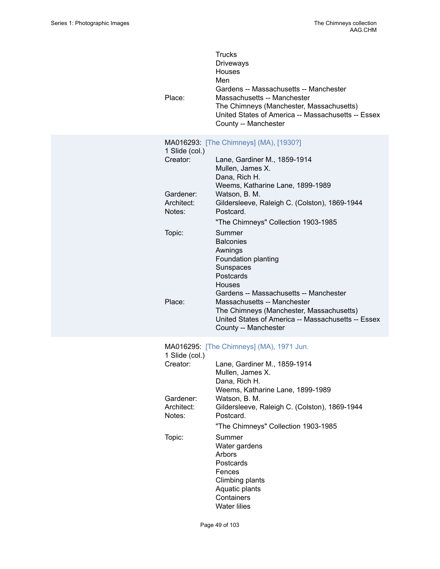| Place:                            | <b>Trucks</b><br>Driveways<br><b>Houses</b><br>Men<br>Gardens -- Massachusetts -- Manchester<br>Massachusetts -- Manchester<br>The Chimneys (Manchester, Massachusetts)<br>United States of America -- Massachusetts -- Essex<br>County -- Manchester |
|-----------------------------------|-------------------------------------------------------------------------------------------------------------------------------------------------------------------------------------------------------------------------------------------------------|
| 1 Slide (col.)<br>Creator:        | MA016293: [The Chimneys] (MA), [1930?]<br>Lane, Gardiner M., 1859-1914                                                                                                                                                                                |
|                                   | Mullen, James X.<br>Dana, Rich H.<br>Weems, Katharine Lane, 1899-1989                                                                                                                                                                                 |
| Gardener:<br>Architect:<br>Notes: | Watson, B. M.<br>Gildersleeve, Raleigh C. (Colston), 1869-1944<br>Postcard.                                                                                                                                                                           |
|                                   | "The Chimneys" Collection 1903-1985                                                                                                                                                                                                                   |
| Topic:                            | Summer<br><b>Balconies</b>                                                                                                                                                                                                                            |
|                                   | Awnings<br>Foundation planting                                                                                                                                                                                                                        |
|                                   | Sunspaces                                                                                                                                                                                                                                             |
|                                   | Postcards<br>Houses                                                                                                                                                                                                                                   |
|                                   | Gardens -- Massachusetts -- Manchester                                                                                                                                                                                                                |
| Place:                            | Massachusetts -- Manchester<br>The Chimneys (Manchester, Massachusetts)                                                                                                                                                                               |
|                                   | United States of America -- Massachusetts -- Essex<br>County -- Manchester                                                                                                                                                                            |
| 1 Slide (col.)                    | MA016295: [The Chimneys] (MA), 1971 Jun.                                                                                                                                                                                                              |
| Creator:                          | Lane, Gardiner M., 1859-1914                                                                                                                                                                                                                          |
|                                   | Mullen, James X.<br>Dana, Rich H.                                                                                                                                                                                                                     |
|                                   | Weems, Katharine Lane, 1899-1989                                                                                                                                                                                                                      |
| Gardener:<br>Architect:           | Watson, B. M.<br>Gildersleeve, Raleigh C. (Colston), 1869-1944                                                                                                                                                                                        |
| Notes:                            | Postcard.                                                                                                                                                                                                                                             |
|                                   | "The Chimneys" Collection 1903-1985                                                                                                                                                                                                                   |
| Topic:                            | Summer<br>Water gardens                                                                                                                                                                                                                               |
|                                   | Arbors                                                                                                                                                                                                                                                |
|                                   | Postcards<br>Fences                                                                                                                                                                                                                                   |
|                                   | Climbing plants                                                                                                                                                                                                                                       |
|                                   | Aquatic plants<br>Containers                                                                                                                                                                                                                          |
|                                   | <b>Water lilies</b>                                                                                                                                                                                                                                   |

Page 49 of 103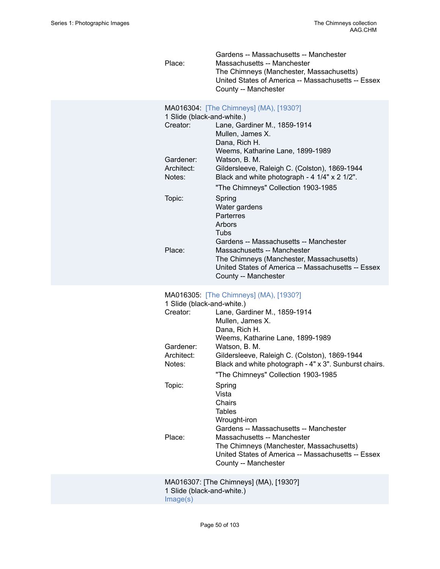Gardens -- Massachusetts -- Manchester Place: Massachusetts -- Manchester The Chimneys (Manchester, Massachusetts) United States of America -- Massachusetts -- Essex County -- Manchester

| 1 Slide (black-and-white.) | MA016304: [The Chimneys] (MA), [1930?]             |
|----------------------------|----------------------------------------------------|
| Creator:                   | Lane, Gardiner M., 1859-1914                       |
|                            | Mullen, James X.                                   |
|                            | Dana, Rich H.                                      |
|                            | Weems, Katharine Lane, 1899-1989                   |
| Gardener:                  | Watson, B. M.                                      |
| Architect:                 | Gildersleeve, Raleigh C. (Colston), 1869-1944      |
| Notes:                     | Black and white photograph - 4 1/4" x 2 1/2".      |
|                            | "The Chimneys" Collection 1903-1985                |
| Topic:                     | Spring                                             |
|                            | Water gardens                                      |
|                            | Parterres                                          |
|                            | Arbors                                             |
|                            | Tubs                                               |
|                            | Gardens -- Massachusetts -- Manchester             |
| Place:                     | Massachusetts -- Manchester                        |
|                            | The Chimneys (Manchester, Massachusetts)           |
|                            | United States of America -- Massachusetts -- Essex |
|                            | County -- Manchester                               |

# MA016305: [\[The Chimneys\] \(MA\), \[1930?\]](https://ids.si.edu/ids/deliveryService?id=SG-MA016305)

| 1 Slide (black-and-white.) |                                                        |  |
|----------------------------|--------------------------------------------------------|--|
| Creator:                   | Lane, Gardiner M., 1859-1914                           |  |
|                            | Mullen, James X.                                       |  |
|                            | Dana, Rich H.                                          |  |
|                            | Weems, Katharine Lane, 1899-1989                       |  |
| Gardener:                  | Watson, B. M.                                          |  |
| Architect:                 | Gildersleeve, Raleigh C. (Colston), 1869-1944          |  |
| Notes:                     | Black and white photograph - 4" x 3". Sunburst chairs. |  |
|                            | "The Chimneys" Collection 1903-1985                    |  |
| Topic:                     | Spring                                                 |  |
|                            | Vista                                                  |  |
|                            | Chairs                                                 |  |
|                            | Tables                                                 |  |
|                            | Wrought-iron                                           |  |
|                            | Gardens -- Massachusetts -- Manchester                 |  |
| Place:                     | Massachusetts -- Manchester                            |  |
|                            | The Chimneys (Manchester, Massachusetts)               |  |
|                            | United States of America -- Massachusetts -- Essex     |  |
|                            | County -- Manchester                                   |  |
|                            | MA016307: [The Chimneys] (MA), [1930?]                 |  |
| 1 Slide (black-and-white.) |                                                        |  |

[Image\(s\)](https://ids.si.edu/ids/deliveryService?id=SG-MA016307)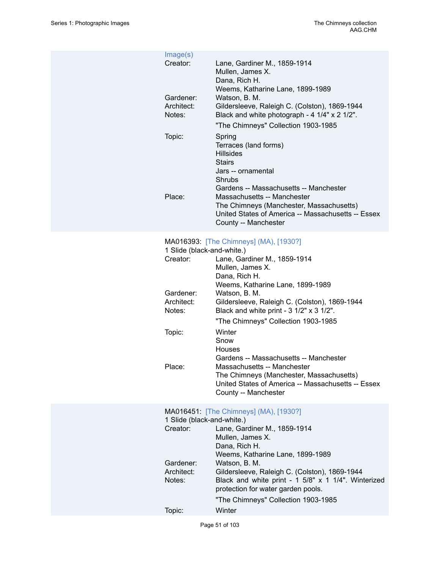| Image(s)   |                                                                                                |
|------------|------------------------------------------------------------------------------------------------|
| Creator:   | Lane, Gardiner M., 1859-1914                                                                   |
|            | Mullen, James X.                                                                               |
|            | Dana, Rich H.                                                                                  |
|            | Weems, Katharine Lane, 1899-1989                                                               |
| Gardener:  | Watson, B. M.                                                                                  |
| Architect: | Gildersleeve, Raleigh C. (Colston), 1869-1944                                                  |
| Notes:     | Black and white photograph - 4 1/4" x 2 1/2".                                                  |
|            | "The Chimneys" Collection 1903-1985                                                            |
| Topic:     | Spring                                                                                         |
|            | Terraces (land forms)                                                                          |
|            | <b>Hillsides</b>                                                                               |
|            | <b>Stairs</b>                                                                                  |
|            | Jars -- ornamental                                                                             |
|            | Shrubs                                                                                         |
|            | Gardens -- Massachusetts -- Manchester                                                         |
| Place:     | Massachusetts -- Manchester                                                                    |
|            | The Chimneys (Manchester, Massachusetts)<br>United States of America -- Massachusetts -- Essex |
|            | County -- Manchester                                                                           |
|            |                                                                                                |
|            | MA016393: [The Chimneys] (MA), [1930?]                                                         |

| 1 Slide (black-and-white.) |  |
|----------------------------|--|
|----------------------------|--|

| <b>U</b> Under the content of the content of the content of the content of the content of the content of the content of the content of the content of the content of the content of the content of the content of the content of th |                                                    |
|-------------------------------------------------------------------------------------------------------------------------------------------------------------------------------------------------------------------------------------|----------------------------------------------------|
| Creator:                                                                                                                                                                                                                            | Lane, Gardiner M., 1859-1914                       |
|                                                                                                                                                                                                                                     | Mullen, James X.                                   |
|                                                                                                                                                                                                                                     | Dana, Rich H.                                      |
|                                                                                                                                                                                                                                     | Weems, Katharine Lane, 1899-1989                   |
| Gardener:                                                                                                                                                                                                                           | Watson, B. M.                                      |
| Architect:                                                                                                                                                                                                                          | Gildersleeve, Raleigh C. (Colston), 1869-1944      |
| Notes:                                                                                                                                                                                                                              | Black and white print - 3 1/2" x 3 1/2".           |
|                                                                                                                                                                                                                                     | "The Chimneys" Collection 1903-1985                |
| Topic:                                                                                                                                                                                                                              | Winter                                             |
|                                                                                                                                                                                                                                     | Snow                                               |
|                                                                                                                                                                                                                                     | Houses                                             |
|                                                                                                                                                                                                                                     | Gardens -- Massachusetts -- Manchester             |
| Place:                                                                                                                                                                                                                              | Massachusetts -- Manchester                        |
|                                                                                                                                                                                                                                     | The Chimneys (Manchester, Massachusetts)           |
|                                                                                                                                                                                                                                     | United States of America -- Massachusetts -- Essex |
|                                                                                                                                                                                                                                     | County -- Manchester                               |
|                                                                                                                                                                                                                                     |                                                    |

### MA016451: [\[The Chimneys\] \(MA\), \[1930?\]](https://ids.si.edu/ids/deliveryService?id=SG-MA016451) 1 Slide (black-and-white.)<br>Creator: Lane, Gar Lane, Gardiner M., 1859-1914 Mullen, James X. Dana, Rich H. Weems, Katharine Lane, 1899-1989 Gardener: Watson, B. M.<br>Architect: Gildersleeve, F Gildersleeve, Raleigh C. (Colston), 1869-1944 Notes: Black and white print - 1 5/8" x 1 1/4". Winterized protection for water garden pools. "The Chimneys" Collection 1903-1985 Topic: Winter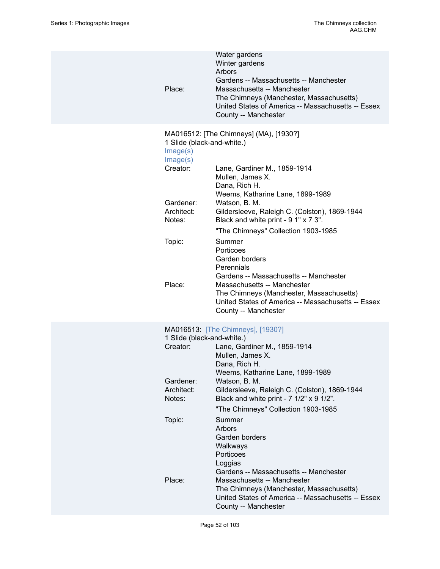| Place:                                                                                              | Water gardens<br>Winter gardens<br>Arbors<br>Gardens -- Massachusetts -- Manchester<br>Massachusetts -- Manchester<br>The Chimneys (Manchester, Massachusetts)<br>United States of America -- Massachusetts -- Essex<br>County -- Manchester                                                    |
|-----------------------------------------------------------------------------------------------------|-------------------------------------------------------------------------------------------------------------------------------------------------------------------------------------------------------------------------------------------------------------------------------------------------|
| 1 Slide (black-and-white.)<br>Image(s)<br>Image(s)<br>Creator:<br>Gardener:<br>Architect:<br>Notes: | MA016512: [The Chimneys] (MA), [1930?]<br>Lane, Gardiner M., 1859-1914<br>Mullen, James X.<br>Dana, Rich H.<br>Weems, Katharine Lane, 1899-1989<br>Watson, B. M.<br>Gildersleeve, Raleigh C. (Colston), 1869-1944<br>Black and white print - 9 1" x 7 3".                                       |
| Topic:<br>Place:                                                                                    | "The Chimneys" Collection 1903-1985<br>Summer<br>Porticoes<br>Garden borders<br>Perennials<br>Gardens -- Massachusetts -- Manchester<br>Massachusetts -- Manchester<br>The Chimneys (Manchester, Massachusetts)<br>United States of America -- Massachusetts -- Essex<br>County -- Manchester   |
| 1 Slide (black-and-white.)<br>Creator:<br>Gardener:<br>Architect:<br>Notes:                         | MA016513: [The Chimneys], [1930?]<br>Lane, Gardiner M., 1859-1914<br>Mullen, James X.<br>Dana, Rich H.<br>Weems, Katharine Lane, 1899-1989<br>Watson, B. M.<br>Gildersleeve, Raleigh C. (Colston), 1869-1944<br>Black and white print - 7 1/2" x 9 1/2".<br>"The Chimneys" Collection 1903-1985 |
| Topic:<br>Place:                                                                                    | Summer<br>Arbors<br>Garden borders<br>Walkways<br>Porticoes<br>Loggias<br>Gardens -- Massachusetts -- Manchester<br>Massachusetts -- Manchester<br>The Chimneys (Manchester, Massachusetts)<br>United States of America -- Massachusetts -- Essex<br>County -- Manchester                       |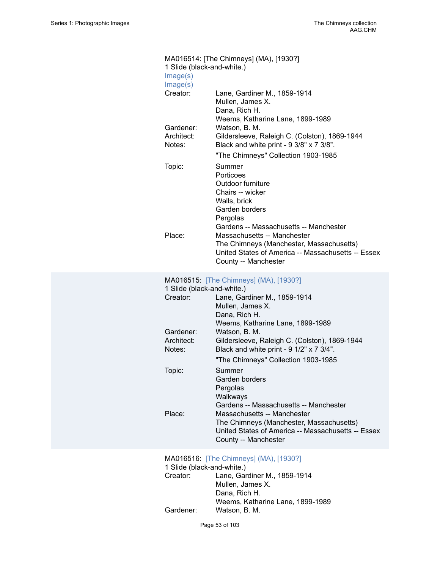| MA016514: [The Chimneys] (MA), [1930?] |                                                                                                                                                                                                                                                                                                                                                      |  |  |
|----------------------------------------|------------------------------------------------------------------------------------------------------------------------------------------------------------------------------------------------------------------------------------------------------------------------------------------------------------------------------------------------------|--|--|
| 1 Slide (black-and-white.)<br>Image(s) |                                                                                                                                                                                                                                                                                                                                                      |  |  |
| Image(s)                               |                                                                                                                                                                                                                                                                                                                                                      |  |  |
| Creator:                               | Lane, Gardiner M., 1859-1914<br>Mullen, James X.<br>Dana, Rich H.                                                                                                                                                                                                                                                                                    |  |  |
| Gardener:<br>Architect:<br>Notes:      | Weems, Katharine Lane, 1899-1989<br>Watson, B. M.<br>Gildersleeve, Raleigh C. (Colston), 1869-1944<br>Black and white print - 9 3/8" x 7 3/8".                                                                                                                                                                                                       |  |  |
| Topic:<br>Place:                       | "The Chimneys" Collection 1903-1985<br>Summer<br>Porticoes<br>Outdoor furniture<br>Chairs -- wicker<br>Walls, brick<br>Garden borders<br>Pergolas<br>Gardens -- Massachusetts -- Manchester<br>Massachusetts -- Manchester<br>The Chimneys (Manchester, Massachusetts)<br>United States of America -- Massachusetts -- Essex<br>County -- Manchester |  |  |
|                                        | MA016515: [The Chimneys] (MA), [1930?]                                                                                                                                                                                                                                                                                                               |  |  |
| 1 Slide (black-and-white.)             |                                                                                                                                                                                                                                                                                                                                                      |  |  |
| Creator:                               | Lane, Gardiner M., 1859-1914<br>Mullen, James X.<br>Dana, Rich H.<br>Weems, Katharine Lane, 1899-1989                                                                                                                                                                                                                                                |  |  |
| Gardener:<br>Architect:<br>Notes:      | Watson, B. M.<br>Gildersleeve, Raleigh C. (Colston), 1869-1944<br>Black and white print - 9 1/2" x 7 3/4".<br>"The Chimneys" Collection 1903-1985                                                                                                                                                                                                    |  |  |
| Topic:                                 | Summer<br>Garden borders<br>Pergolas<br>Walkways<br>Gardens -- Massachusetts -- Manchester                                                                                                                                                                                                                                                           |  |  |
| Place:                                 | Massachusetts -- Manchester<br>The Chimneys (Manchester, Massachusetts)<br>United States of America -- Massachusetts -- Essex<br>County -- Manchester                                                                                                                                                                                                |  |  |

#### MA016516: [\[The Chimneys\] \(MA\), \[1930?\]](https://ids.si.edu/ids/deliveryService?id=SG-MA016516)

| 1 Slide (black-and-white.) |                                  |
|----------------------------|----------------------------------|
| Creator:                   | Lane, Gardiner M., 1859-1914     |
|                            | Mullen, James X.                 |
|                            | Dana, Rich H.                    |
|                            | Weems, Katharine Lane, 1899-1989 |
| Gardener:                  | Watson, B. M.                    |
|                            |                                  |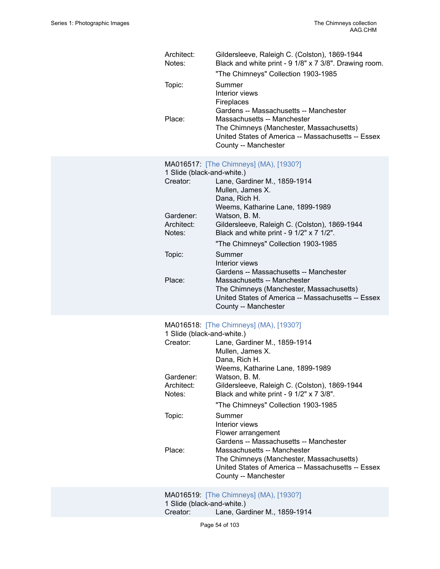| Architect:<br>Notes:<br>Topic:                                              | Gildersleeve, Raleigh C. (Colston), 1869-1944<br>Black and white print - 9 1/8" x 7 3/8". Drawing room.<br>"The Chimneys" Collection 1903-1985<br>Summer<br>Interior views<br>Fireplaces                                                                                                             |
|-----------------------------------------------------------------------------|------------------------------------------------------------------------------------------------------------------------------------------------------------------------------------------------------------------------------------------------------------------------------------------------------|
| Place:                                                                      | Gardens -- Massachusetts -- Manchester<br>Massachusetts -- Manchester<br>The Chimneys (Manchester, Massachusetts)<br>United States of America -- Massachusetts -- Essex<br>County -- Manchester                                                                                                      |
| 1 Slide (black-and-white.)<br>Creator:<br>Gardener:<br>Architect:<br>Notes: | MA016517: [The Chimneys] (MA), [1930?]<br>Lane, Gardiner M., 1859-1914<br>Mullen, James X.<br>Dana, Rich H.<br>Weems, Katharine Lane, 1899-1989<br>Watson, B. M.<br>Gildersleeve, Raleigh C. (Colston), 1869-1944<br>Black and white print - 9 1/2" x 7 1/2".<br>"The Chimneys" Collection 1903-1985 |
| Topic:<br>Place:                                                            | Summer<br>Interior views<br>Gardens -- Massachusetts -- Manchester<br>Massachusetts -- Manchester<br>The Chimneys (Manchester, Massachusetts)<br>United States of America -- Massachusetts -- Essex<br>County -- Manchester                                                                          |
| 1 Slide (black-and-white.)<br>Creator:<br>Gardener:<br>Architect:<br>Notes: | MA016518: [The Chimneys] (MA), [1930?]<br>Lane, Gardiner M., 1859-1914<br>Mullen, James X.<br>Dana, Rich H.<br>Weems, Katharine Lane, 1899-1989<br>Watson, B. M.<br>Gildersleeve, Raleigh C. (Colston), 1869-1944<br>Black and white print - 9 1/2" x 7 3/8".<br>"The Chimneys" Collection 1903-1985 |
| Topic:<br>Place:                                                            | Summer<br>Interior views<br>Flower arrangement<br>Gardens -- Massachusetts -- Manchester<br>Massachusetts -- Manchester<br>The Chimneys (Manchester, Massachusetts)                                                                                                                                  |
|                                                                             | United States of America -- Massachusetts -- Essex<br>County -- Manchester<br>MA016519: [The Chimneys] (MA), [1930?]                                                                                                                                                                                 |
|                                                                             |                                                                                                                                                                                                                                                                                                      |

1 Slide (black-and-white.) Creator: Lane, Gardiner M., 1859-1914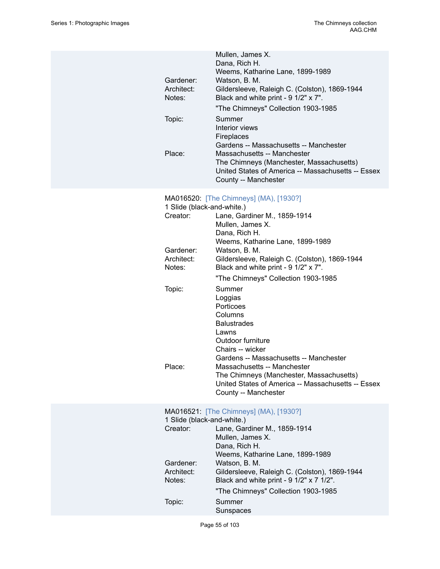|            | Mullen, James X.                                   |
|------------|----------------------------------------------------|
|            | Dana, Rich H.                                      |
|            | Weems, Katharine Lane, 1899-1989                   |
| Gardener:  | Watson, B. M.                                      |
| Architect: | Gildersleeve, Raleigh C. (Colston), 1869-1944      |
| Notes:     | Black and white print - 9 1/2" x 7".               |
|            | "The Chimneys" Collection 1903-1985                |
| Topic:     | Summer                                             |
|            | Interior views                                     |
|            | <b>Fireplaces</b>                                  |
|            | Gardens -- Massachusetts -- Manchester             |
| Place:     | Massachusetts -- Manchester                        |
|            | The Chimneys (Manchester, Massachusetts)           |
|            | United States of America -- Massachusetts -- Essex |
|            | County -- Manchester                               |

# MA016520: [\[The Chimneys\] \(MA\), \[1930?\]](https://ids.si.edu/ids/deliveryService?id=SG-MA016520)

| 1 Slide (black-and-white.) |                                                    |
|----------------------------|----------------------------------------------------|
| Creator:                   | Lane, Gardiner M., 1859-1914                       |
|                            | Mullen, James X.                                   |
|                            | Dana, Rich H.                                      |
|                            | Weems, Katharine Lane, 1899-1989                   |
| Gardener:                  | Watson, B. M.                                      |
| Architect:                 | Gildersleeve, Raleigh C. (Colston), 1869-1944      |
| Notes:                     | Black and white print - 9 1/2" x 7".               |
|                            | "The Chimneys" Collection 1903-1985                |
| Topic:                     | Summer                                             |
|                            | Loggias                                            |
|                            | Porticoes                                          |
|                            | Columns                                            |
|                            | <b>Balustrades</b>                                 |
|                            | Lawns                                              |
|                            | Outdoor furniture                                  |
|                            | Chairs -- wicker                                   |
|                            | Gardens -- Massachusetts -- Manchester             |
| Place:                     | Massachusetts -- Manchester                        |
|                            | The Chimneys (Manchester, Massachusetts)           |
|                            | United States of America -- Massachusetts -- Essex |
|                            | County -- Manchester                               |
|                            |                                                    |

# MA016521: [\[The Chimneys\] \(MA\), \[1930?\]](https://ids.si.edu/ids/deliveryService?id=SG-MA016521)

| 1 Slide (black-and-white.) |                                               |  |
|----------------------------|-----------------------------------------------|--|
| Creator:                   | Lane, Gardiner M., 1859-1914                  |  |
|                            | Mullen, James X.                              |  |
|                            | Dana, Rich H.                                 |  |
|                            | Weems, Katharine Lane, 1899-1989              |  |
| Gardener:                  | Watson, B. M.                                 |  |
| Architect:                 | Gildersleeve, Raleigh C. (Colston), 1869-1944 |  |
| Notes:                     | Black and white print - 9 1/2" x 7 1/2".      |  |
|                            | "The Chimneys" Collection 1903-1985           |  |
| Topic:                     | Summer                                        |  |
|                            | Sunspaces                                     |  |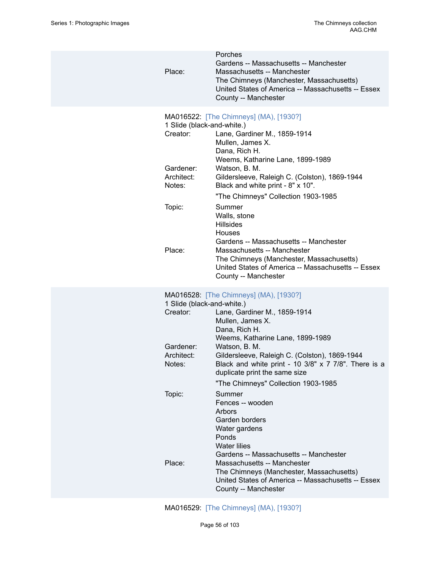| Porches<br>Gardens -- Massachusetts -- Manchester                                                                                                                                                                                                                                                                                                                                                                                                                                                                                                                                                                                                                                                                                                                        |  |
|--------------------------------------------------------------------------------------------------------------------------------------------------------------------------------------------------------------------------------------------------------------------------------------------------------------------------------------------------------------------------------------------------------------------------------------------------------------------------------------------------------------------------------------------------------------------------------------------------------------------------------------------------------------------------------------------------------------------------------------------------------------------------|--|
| Place:<br>Massachusetts -- Manchester<br>The Chimneys (Manchester, Massachusetts)<br>United States of America -- Massachusetts -- Essex<br>County -- Manchester                                                                                                                                                                                                                                                                                                                                                                                                                                                                                                                                                                                                          |  |
| MA016522: [The Chimneys] (MA), [1930?]<br>1 Slide (black-and-white.)<br>Creator:<br>Lane, Gardiner M., 1859-1914<br>Mullen, James X.<br>Dana, Rich H.<br>Weems, Katharine Lane, 1899-1989<br>Gardener:<br>Watson, B. M.<br>Architect:<br>Gildersleeve, Raleigh C. (Colston), 1869-1944<br>Black and white print - 8" x 10".<br>Notes:<br>"The Chimneys" Collection 1903-1985<br>Topic:<br>Summer<br>Walls, stone<br><b>Hillsides</b><br>Houses<br>Gardens -- Massachusetts -- Manchester<br>Place:<br>Massachusetts -- Manchester<br>The Chimneys (Manchester, Massachusetts)<br>United States of America -- Massachusetts -- Essex<br>County -- Manchester                                                                                                              |  |
| MA016528: [The Chimneys] (MA), [1930?]<br>1 Slide (black-and-white.)<br>Creator:<br>Lane, Gardiner M., 1859-1914<br>Mullen, James X.<br>Dana, Rich H.<br>Weems, Katharine Lane, 1899-1989<br>Gardener:<br>Watson, B. M.<br>Architect:<br>Gildersleeve, Raleigh C. (Colston), 1869-1944<br>Black and white print - 10 $3/8$ " x 7 $7/8$ ". There is a<br>Notes:<br>duplicate print the same size<br>"The Chimneys" Collection 1903-1985<br>Topic:<br>Summer<br>Fences -- wooden<br>Arbors<br>Garden borders<br>Water gardens<br>Ponds<br><b>Water lilies</b><br>Gardens -- Massachusetts -- Manchester<br>Place:<br>Massachusetts -- Manchester<br>The Chimneys (Manchester, Massachusetts)<br>United States of America -- Massachusetts -- Essex<br>County -- Manchester |  |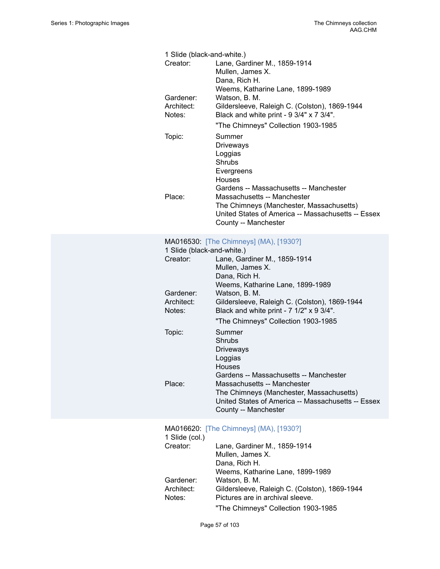| 1 Slide (black-and-white.)        |                                                                                                                                                       |  |  |
|-----------------------------------|-------------------------------------------------------------------------------------------------------------------------------------------------------|--|--|
| Creator:                          | Lane, Gardiner M., 1859-1914<br>Mullen, James X.<br>Dana, Rich H.<br>Weems, Katharine Lane, 1899-1989                                                 |  |  |
| Gardener:<br>Architect:<br>Notes: | Watson, B. M.<br>Gildersleeve, Raleigh C. (Colston), 1869-1944<br>Black and white print - 9 3/4" x 7 3/4".                                            |  |  |
|                                   | "The Chimneys" Collection 1903-1985                                                                                                                   |  |  |
| Topic:                            | Summer<br><b>Driveways</b><br>Loggias<br>Shrubs<br>Evergreens<br>Houses<br>Gardens -- Massachusetts -- Manchester                                     |  |  |
| Place:                            | Massachusetts -- Manchester<br>The Chimneys (Manchester, Massachusetts)<br>United States of America -- Massachusetts -- Essex<br>County -- Manchester |  |  |
|                                   | MA016530: [The Chimneys] (MA), [1930?]                                                                                                                |  |  |
| 1 Slide (black-and-white.)        |                                                                                                                                                       |  |  |
| Creator:                          | Lane, Gardiner M., 1859-1914<br>Mullen, James X.<br>Dana, Rich H.<br>Weems, Katharine Lane, 1899-1989                                                 |  |  |
| Gardener:<br>Architect:<br>Notes: | Watson, B. M.<br>Gildersleeve, Raleigh C. (Colston), 1869-1944<br>Black and white print - 7 1/2" x 9 3/4".                                            |  |  |
|                                   | "The Chimneys" Collection 1903-1985                                                                                                                   |  |  |
| Topic:                            | Summer<br><b>Shrubs</b><br><b>Driveways</b><br>Loggias<br>Houses<br>Gardens -- Massachusetts -- Manchester                                            |  |  |
| Place:                            | Massachusetts -- Manchester<br>The Chimneys (Manchester, Massachusetts)<br>United States of America -- Massachusetts -- Essex<br>County -- Manchester |  |  |
|                                   | MA016620: [The Chimneys] (MA), [1930?]                                                                                                                |  |  |
| 1 Slide (col.)<br>Creator:        | Lane, Gardiner M., 1859-1914<br>Mullen, James X.<br>Dana, Rich H.<br>Weems, Katharine Lane, 1899-1989                                                 |  |  |
| Gardener:<br>Architect:<br>Notes: | Watson, B. M.<br>Gildersleeve, Raleigh C. (Colston), 1869-1944<br>Pictures are in archival sleeve.<br>"The Chimneys" Collection 1903-1985             |  |  |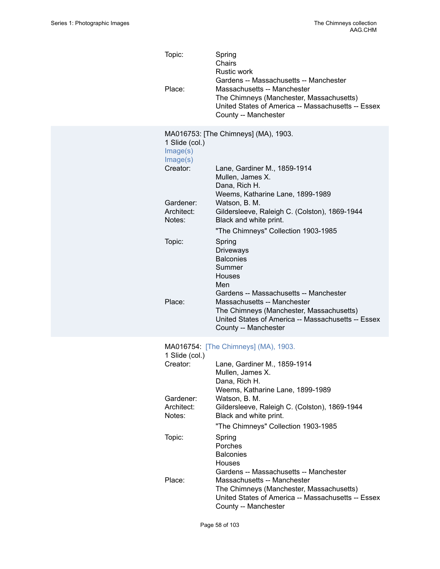| Topic:<br>Place:                       | Spring<br>Chairs<br><b>Rustic work</b><br>Gardens -- Massachusetts -- Manchester<br>Massachusetts -- Manchester<br>The Chimneys (Manchester, Massachusetts)<br>United States of America -- Massachusetts -- Essex<br>County -- Manchester |
|----------------------------------------|-------------------------------------------------------------------------------------------------------------------------------------------------------------------------------------------------------------------------------------------|
| 1 Slide (col.)<br>Image(s)<br>Image(s) | MA016753: [The Chimneys] (MA), 1903.                                                                                                                                                                                                      |
| Creator:                               | Lane, Gardiner M., 1859-1914<br>Mullen, James X.<br>Dana, Rich H.<br>Weems, Katharine Lane, 1899-1989                                                                                                                                     |
| Gardener:<br>Architect:<br>Notes:      | Watson, B. M.<br>Gildersleeve, Raleigh C. (Colston), 1869-1944<br>Black and white print.                                                                                                                                                  |
| Topic:                                 | "The Chimneys" Collection 1903-1985<br>Spring<br>Driveways<br><b>Balconies</b><br>Summer<br>Houses<br>Men                                                                                                                                 |
| Place:                                 | Gardens -- Massachusetts -- Manchester<br>Massachusetts -- Manchester<br>The Chimneys (Manchester, Massachusetts)<br>United States of America -- Massachusetts -- Essex<br>County -- Manchester                                           |
| 1 Slide (col.)                         | MA016754: [The Chimneys] (MA), 1903.                                                                                                                                                                                                      |
| Creator:                               | Lane, Gardiner M., 1859-1914<br>Mullen, James X.<br>Dana, Rich H.                                                                                                                                                                         |
| Gardener:<br>Architect:<br>Notes:      | Weems, Katharine Lane, 1899-1989<br>Watson, B. M.<br>Gildersleeve, Raleigh C. (Colston), 1869-1944<br>Black and white print.                                                                                                              |
| Topic:                                 | "The Chimneys" Collection 1903-1985<br>Spring<br>Porches<br><b>Balconies</b>                                                                                                                                                              |
| Place:                                 | <b>Houses</b><br>Gardens -- Massachusetts -- Manchester<br>Massachusetts -- Manchester<br>The Chimneys (Manchester, Massachusetts)<br>United States of America -- Massachusetts -- Essex<br>County -- Manchester                          |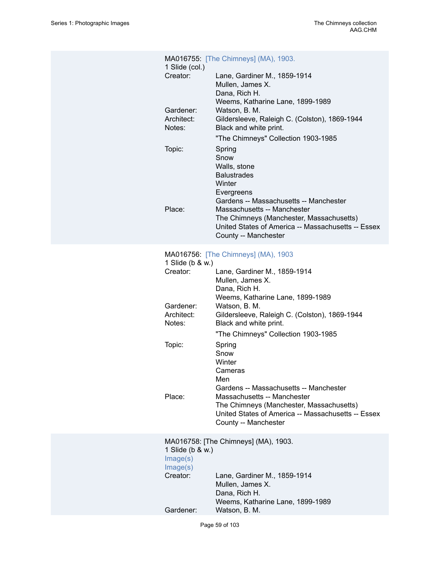| MA016755: [The Chimneys] (MA), 1903.<br>1 Slide (col.) |                                                                                                                                                                     |
|--------------------------------------------------------|---------------------------------------------------------------------------------------------------------------------------------------------------------------------|
| Creator:                                               | Lane, Gardiner M., 1859-1914<br>Mullen, James X.<br>Dana, Rich H.<br>Weems, Katharine Lane, 1899-1989                                                               |
| Gardener:<br>Architect:<br>Notes:                      | Watson, B. M.<br>Gildersleeve, Raleigh C. (Colston), 1869-1944<br>Black and white print.                                                                            |
| Topic:                                                 | "The Chimneys" Collection 1903-1985<br>Spring<br>Snow<br>Walls, stone<br><b>Balustrades</b><br>Winter<br>Evergreens<br>Gardens -- Massachusetts -- Manchester       |
| Place:                                                 | Massachusetts -- Manchester<br>The Chimneys (Manchester, Massachusetts)<br>United States of America -- Massachusetts -- Essex<br>County -- Manchester               |
| 1 Slide (b & w.)<br>Creator:                           | MA016756: [The Chimneys] (MA), 1903<br>Lane, Gardiner M., 1859-1914<br>Mullen, James X.<br>Dana, Rich H.                                                            |
| Gardener:<br>Architect:<br>Notes:                      | Weems, Katharine Lane, 1899-1989<br>Watson, B. M.<br>Gildersleeve, Raleigh C. (Colston), 1869-1944<br>Black and white print.<br>"The Chimneys" Collection 1903-1985 |
| Topic:                                                 | Spring<br>Snow<br>Winter<br>Cameras<br>Men<br>Gardens -- Massachusetts -- Manchester                                                                                |
| Place:                                                 | Massachusetts -- Manchester<br>The Chimneys (Manchester, Massachusetts)<br>United States of America -- Massachusetts -- Essex<br>County -- Manchester               |
| 1 Slide (b & w.)<br>Image(s)<br>Image(s)<br>Creator:   | MA016758: [The Chimneys] (MA), 1903.<br>Lane, Gardiner M., 1859-1914                                                                                                |
|                                                        | Mullen, James X.<br>Dana, Rich H.<br>Weems, Katharine Lane, 1899-1989                                                                                               |
| Gardener:                                              | Watson, B. M.                                                                                                                                                       |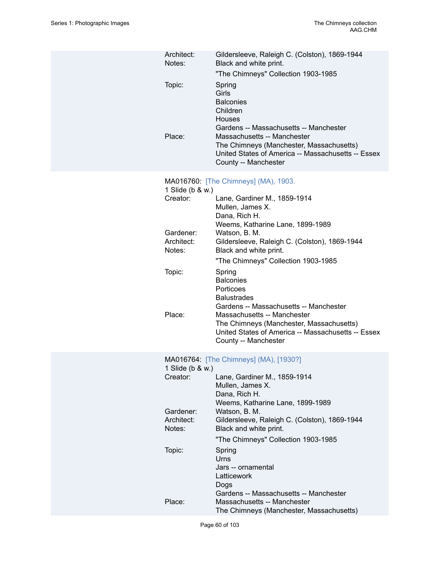| Architect:<br>Notes:              | Gildersleeve, Raleigh C. (Colston), 1869-1944<br>Black and white print.<br>"The Chimneys" Collection 1903-1985                                                                                                                       |
|-----------------------------------|--------------------------------------------------------------------------------------------------------------------------------------------------------------------------------------------------------------------------------------|
| Topic:<br>Place:                  | Spring<br>Girls<br><b>Balconies</b><br>Children<br>Houses<br>Gardens -- Massachusetts -- Manchester<br>Massachusetts -- Manchester<br>The Chimneys (Manchester, Massachusetts)<br>United States of America -- Massachusetts -- Essex |
|                                   | County -- Manchester                                                                                                                                                                                                                 |
| 1 Slide (b & w.)<br>Creator:      | MA016760: [The Chimneys] (MA), 1903.<br>Lane, Gardiner M., 1859-1914<br>Mullen, James X.<br>Dana, Rich H.                                                                                                                            |
| Gardener:<br>Architect:<br>Notes: | Weems, Katharine Lane, 1899-1989<br>Watson, B. M.<br>Gildersleeve, Raleigh C. (Colston), 1869-1944<br>Black and white print.<br>"The Chimneys" Collection 1903-1985                                                                  |
| Topic:                            | Spring<br><b>Balconies</b><br>Porticoes<br><b>Balustrades</b><br>Gardens -- Massachusetts -- Manchester                                                                                                                              |
| Place:                            | Massachusetts -- Manchester<br>The Chimneys (Manchester, Massachusetts)<br>United States of America -- Massachusetts -- Essex<br>County -- Manchester                                                                                |
| 1 Slide (b & w.)                  | MA016764: [The Chimneys] (MA), [1930?]                                                                                                                                                                                               |
| Creator:                          | Lane, Gardiner M., 1859-1914<br>Mullen, James X.<br>Dana, Rich H.<br>Weems, Katharine Lane, 1899-1989                                                                                                                                |
| Gardener:<br>Architect:<br>Notes: | Watson, B. M.<br>Gildersleeve, Raleigh C. (Colston), 1869-1944<br>Black and white print.                                                                                                                                             |
|                                   | "The Chimneys" Collection 1903-1985                                                                                                                                                                                                  |
| Topic:                            | Spring<br>Urns<br>Jars -- ornamental<br>Latticework<br>Dogs<br>Gardens -- Massachusetts -- Manchester                                                                                                                                |
| Place:                            | Massachusetts -- Manchester<br>The Chimneys (Manchester, Massachusetts)                                                                                                                                                              |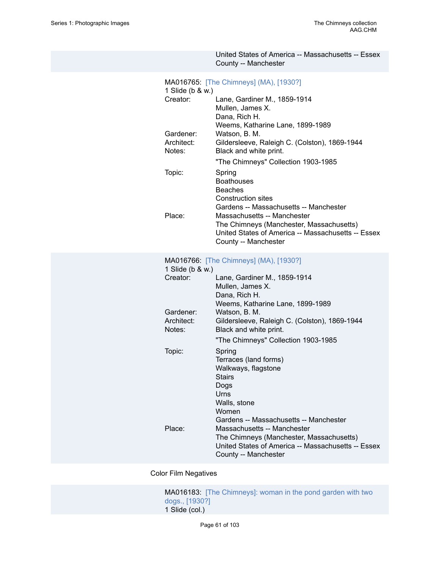|                                   | United States of America -- Massachusetts -- Essex<br>County -- Manchester                            |
|-----------------------------------|-------------------------------------------------------------------------------------------------------|
| Creator:                          | MA016765: [The Chimneys] (MA), [1930?]<br>1 Slide (b & w.)<br>Lane, Gardiner M., 1859-1914            |
|                                   | Mullen, James X.<br>Dana, Rich H.<br>Weems, Katharine Lane, 1899-1989                                 |
| Gardener:<br>Architect:<br>Notes: | Watson, B. M.<br>Gildersleeve, Raleigh C. (Colston), 1869-1944<br>Black and white print.              |
|                                   | "The Chimneys" Collection 1903-1985                                                                   |
| Topic:                            | Spring<br><b>Boathouses</b><br><b>Beaches</b><br><b>Construction sites</b>                            |
|                                   | Gardens -- Massachusetts -- Manchester                                                                |
| Place:                            | Massachusetts -- Manchester<br>The Chimneys (Manchester, Massachusetts)                               |
|                                   | United States of America -- Massachusetts -- Essex<br>County -- Manchester                            |
|                                   | MA016766: [The Chimneys] (MA), [1930?]<br>1 Slide (b & w.)                                            |
| Creator:                          | Lane, Gardiner M., 1859-1914<br>Mullen, James X.<br>Dana, Rich H.<br>Weems, Katharine Lane, 1899-1989 |
| Gardener:                         | Watson, B. M.                                                                                         |
| Architect:<br>Notes:              | Gildersleeve, Raleigh C. (Colston), 1869-1944<br>Black and white print.                               |
|                                   | "The Chimneys" Collection 1903-1985                                                                   |
| Topic:                            | Spring<br>Terraces (land forms)<br>Walkways, flagstone                                                |
|                                   | <b>Stairs</b><br>Dogs                                                                                 |
|                                   | Urns<br>Walls, stone<br>Women                                                                         |
|                                   | Gardens -- Massachusetts -- Manchester                                                                |
| Place:                            | Massachusetts -- Manchester                                                                           |
|                                   | The Chimneys (Manchester, Massachusetts)                                                              |

# Color Film Negatives

MA016183: [\[The Chimneys\]: woman in the pond garden with two](https://ids.si.edu/ids/deliveryService?id=SG-MA016183) [dogs., \[1930?\]](https://ids.si.edu/ids/deliveryService?id=SG-MA016183) 1 Slide (col.)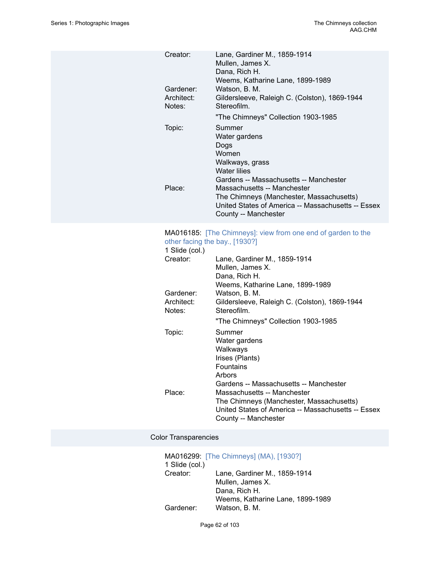| Creator:             | Lane, Gardiner M., 1859-1914<br>Mullen, James X.                                                                                                      |
|----------------------|-------------------------------------------------------------------------------------------------------------------------------------------------------|
|                      | Dana, Rich H.<br>Weems, Katharine Lane, 1899-1989                                                                                                     |
| Gardener:            | Watson, B. M.                                                                                                                                         |
| Architect:<br>Notes: | Gildersleeve, Raleigh C. (Colston), 1869-1944<br>Stereofilm.                                                                                          |
|                      | "The Chimneys" Collection 1903-1985                                                                                                                   |
| Topic:               | Summer<br>Water gardens<br>Dogs<br>Women<br>Walkways, grass<br>Water lilies<br>Gardens -- Massachusetts -- Manchester                                 |
| Place:               | Massachusetts -- Manchester<br>The Chimneys (Manchester, Massachusetts)<br>United States of America -- Massachusetts -- Essex<br>County -- Manchester |

#### MA016185: [\[The Chimneys\]: view from one end of garden to the](https://ids.si.edu/ids/deliveryService?id=SG-MA016185) other facing the bay., [\[1930?\]](https://ids.si.edu/ids/deliveryService?id=SG-MA016185)

| $0.101$ $100119$ $0.10001$ , $1.00001$ |                                                                                                                        |
|----------------------------------------|------------------------------------------------------------------------------------------------------------------------|
| 1 Slide (col.)                         |                                                                                                                        |
| Creator:                               | Lane, Gardiner M., 1859-1914<br>Mullen, James X.                                                                       |
|                                        | Dana, Rich H.                                                                                                          |
|                                        | Weems, Katharine Lane, 1899-1989                                                                                       |
| Gardener:                              | Watson, B. M.                                                                                                          |
| Architect:<br>Notes:                   | Gildersleeve, Raleigh C. (Colston), 1869-1944<br>Stereofilm.                                                           |
|                                        | "The Chimneys" Collection 1903-1985                                                                                    |
| Topic:                                 | Summer                                                                                                                 |
|                                        | Water gardens                                                                                                          |
|                                        | Walkways                                                                                                               |
|                                        | Irises (Plants)                                                                                                        |
|                                        | <b>Fountains</b>                                                                                                       |
|                                        | Arbors                                                                                                                 |
|                                        | Gardens -- Massachusetts -- Manchester                                                                                 |
| Place:                                 | Massachusetts -- Manchester                                                                                            |
|                                        | The Chimneys (Manchester, Massachusetts)<br>United States of America -- Massachusetts -- Essex<br>County -- Manchester |
|                                        |                                                                                                                        |

### Color Transparencies

|                | MA016299: [The Chimneys] (MA), [1930?] |
|----------------|----------------------------------------|
| 1 Slide (col.) |                                        |
| Creator:       | Lane, Gardiner M., 1859-1914           |
|                | Mullen, James X.                       |
|                | Dana, Rich H.                          |
|                | Weems, Katharine Lane, 1899-1989       |
| Gardener:      | Watson, B. M.                          |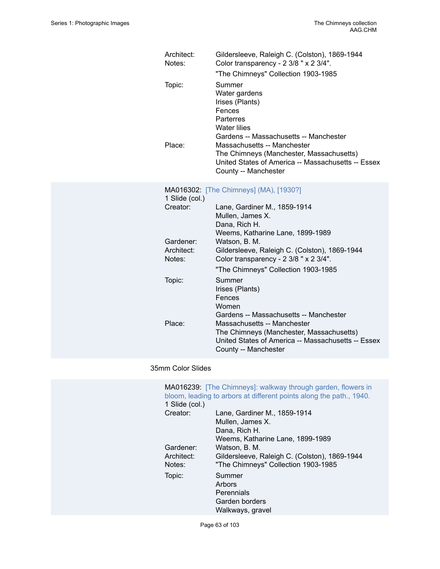| Architect:<br>Notes:       | Gildersleeve, Raleigh C. (Colston), 1869-1944<br>Color transparency - 2 3/8 " x 2 3/4".<br>"The Chimneys" Collection 1903-1985                                                                                                                                      |
|----------------------------|---------------------------------------------------------------------------------------------------------------------------------------------------------------------------------------------------------------------------------------------------------------------|
| Topic:<br>Place:           | Summer<br>Water gardens<br>Irises (Plants)<br>Fences<br>Parterres<br><b>Water lilies</b><br>Gardens -- Massachusetts -- Manchester<br>Massachusetts -- Manchester<br>The Chimneys (Manchester, Massachusetts)<br>United States of America -- Massachusetts -- Essex |
|                            | County -- Manchester                                                                                                                                                                                                                                                |
| 1 Slide (col.)<br>Creator: | MA016302: [The Chimneys] (MA), [1930?]<br>Lane, Gardiner M., 1859-1914                                                                                                                                                                                              |
|                            | Mullen, James X.<br>Dana, Rich H.<br>Weems, Katharine Lane, 1899-1989                                                                                                                                                                                               |
| Gardener:                  | Watson, B. M.                                                                                                                                                                                                                                                       |
| Architect:<br>Notes:       | Gildersleeve, Raleigh C. (Colston), 1869-1944<br>Color transparency - 2 3/8 " x 2 3/4".                                                                                                                                                                             |
|                            | "The Chimneys" Collection 1903-1985                                                                                                                                                                                                                                 |
| Topic:                     | Summer<br>Irises (Plants)<br>Fences<br>Women<br>Gardens -- Massachusetts -- Manchester                                                                                                                                                                              |
| Place:                     | Massachusetts -- Manchester<br>The Chimneys (Manchester, Massachusetts)<br>United States of America -- Massachusetts -- Essex<br>County -- Manchester                                                                                                               |

## 35mm Color Slides

| 1 Slide (col.) | MA016239: [The Chimneys]: walkway through garden, flowers in<br>bloom, leading to arbors at different points along the path., 1940. |
|----------------|-------------------------------------------------------------------------------------------------------------------------------------|
| Creator:       | Lane, Gardiner M., 1859-1914                                                                                                        |
|                | Mullen, James X.                                                                                                                    |
|                | Dana, Rich H.                                                                                                                       |
|                | Weems, Katharine Lane, 1899-1989                                                                                                    |
| Gardener:      | Watson, B. M.                                                                                                                       |
| Architect:     | Gildersleeve, Raleigh C. (Colston), 1869-1944                                                                                       |
| Notes:         | "The Chimneys" Collection 1903-1985                                                                                                 |
| Topic:         | Summer                                                                                                                              |
|                | Arbors                                                                                                                              |
|                | Perennials                                                                                                                          |
|                | Garden borders                                                                                                                      |
|                | Walkways, gravel                                                                                                                    |

Page 63 of 103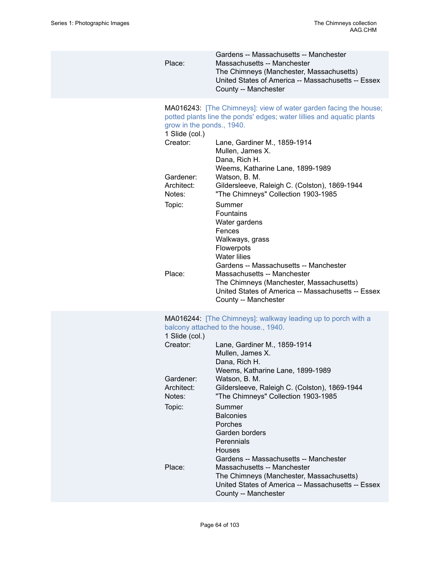| Place:                                                               | Gardens -- Massachusetts -- Manchester<br>Massachusetts -- Manchester<br>The Chimneys (Manchester, Massachusetts)<br>United States of America -- Massachusetts -- Essex<br>County -- Manchester                                                                     |
|----------------------------------------------------------------------|---------------------------------------------------------------------------------------------------------------------------------------------------------------------------------------------------------------------------------------------------------------------|
| grow in the ponds., 1940.<br>1 Slide (col.)<br>Creator:<br>Gardener: | MA016243: [The Chimneys]: view of water garden facing the house;<br>potted plants line the ponds' edges; water lillies and aquatic plants<br>Lane, Gardiner M., 1859-1914<br>Mullen, James X.<br>Dana, Rich H.<br>Weems, Katharine Lane, 1899-1989<br>Watson, B. M. |
| Architect:<br>Notes:                                                 | Gildersleeve, Raleigh C. (Colston), 1869-1944<br>"The Chimneys" Collection 1903-1985                                                                                                                                                                                |
| Topic:                                                               | Summer<br><b>Fountains</b><br>Water gardens<br>Fences<br>Walkways, grass<br>Flowerpots<br><b>Water lilies</b><br>Gardens -- Massachusetts -- Manchester                                                                                                             |
| Place:                                                               | Massachusetts -- Manchester<br>The Chimneys (Manchester, Massachusetts)<br>United States of America -- Massachusetts -- Essex<br>County -- Manchester                                                                                                               |
| 1 Slide (col.)                                                       | MA016244: [The Chimneys]: walkway leading up to porch with a<br>balcony attached to the house., 1940.                                                                                                                                                               |
| Creator:                                                             | Lane, Gardiner M., 1859-1914<br>Mullen, James X.<br>Dana, Rich H.<br>Weems, Katharine Lane, 1899-1989                                                                                                                                                               |
| Gardener:<br>Architect:<br>Notes:                                    | Watson, B. M.<br>Gildersleeve, Raleigh C. (Colston), 1869-1944<br>"The Chimneys" Collection 1903-1985                                                                                                                                                               |
| Topic:                                                               | Summer<br><b>Balconies</b><br>Porches<br>Garden borders<br>Perennials<br><b>Houses</b><br>Gardens -- Massachusetts -- Manchester                                                                                                                                    |
| Place:                                                               | Massachusetts -- Manchester<br>The Chimneys (Manchester, Massachusetts)<br>United States of America -- Massachusetts -- Essex<br>County -- Manchester                                                                                                               |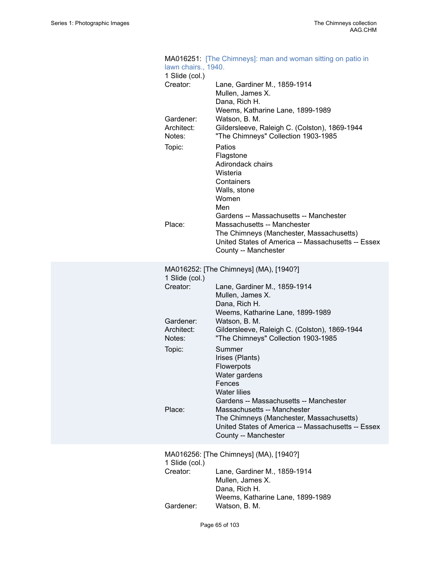| MA016251: [The Chimneys]: man and woman sitting on patio in<br>lawn chairs., 1940. |                                                                         |  |
|------------------------------------------------------------------------------------|-------------------------------------------------------------------------|--|
| 1 Slide (col.)                                                                     |                                                                         |  |
| Creator:                                                                           | Lane, Gardiner M., 1859-1914                                            |  |
|                                                                                    | Mullen, James X.                                                        |  |
|                                                                                    | Dana, Rich H.                                                           |  |
|                                                                                    | Weems, Katharine Lane, 1899-1989                                        |  |
| Gardener:<br>Architect:                                                            | Watson, B. M.<br>Gildersleeve, Raleigh C. (Colston), 1869-1944          |  |
| Notes:                                                                             | "The Chimneys" Collection 1903-1985                                     |  |
|                                                                                    | Patios                                                                  |  |
| Topic:                                                                             | Flagstone                                                               |  |
|                                                                                    | Adirondack chairs                                                       |  |
|                                                                                    | Wisteria                                                                |  |
|                                                                                    | Containers                                                              |  |
|                                                                                    | Walls, stone                                                            |  |
|                                                                                    | Women                                                                   |  |
|                                                                                    | Men                                                                     |  |
|                                                                                    | Gardens -- Massachusetts -- Manchester                                  |  |
| Place:                                                                             | Massachusetts -- Manchester<br>The Chimneys (Manchester, Massachusetts) |  |
|                                                                                    | United States of America -- Massachusetts -- Essex                      |  |
|                                                                                    | County -- Manchester                                                    |  |
|                                                                                    |                                                                         |  |
|                                                                                    | MA016252: [The Chimneys] (MA), [1940?]                                  |  |
| 1 Slide (col.)<br>Creator:                                                         | Lane, Gardiner M., 1859-1914                                            |  |
|                                                                                    | Mullen, James X.                                                        |  |
|                                                                                    | Dana, Rich H.                                                           |  |
|                                                                                    | Weems, Katharine Lane, 1899-1989                                        |  |
| Gardener:                                                                          | Watson, B. M.                                                           |  |
| Architect:                                                                         | Gildersleeve, Raleigh C. (Colston), 1869-1944                           |  |
| Notes:                                                                             | "The Chimneys" Collection 1903-1985                                     |  |
| Topic:                                                                             | Summer                                                                  |  |
|                                                                                    | Irises (Plants)                                                         |  |
|                                                                                    | Flowerpots<br>Water gardens                                             |  |
|                                                                                    | Fences                                                                  |  |
|                                                                                    | <b>Water lilies</b>                                                     |  |
|                                                                                    | Gardens -- Massachusetts -- Manchester                                  |  |
| Place:                                                                             | Massachusetts -- Manchester                                             |  |
|                                                                                    | The Chimneys (Manchester, Massachusetts)                                |  |
|                                                                                    | United States of America -- Massachusetts -- Essex                      |  |
|                                                                                    | County -- Manchester                                                    |  |
| MA016256: [The Chimneys] (MA), [1940?]                                             |                                                                         |  |
| 1 Slide (col.)                                                                     |                                                                         |  |
| Creator:                                                                           | Lane, Gardiner M., 1859-1914                                            |  |
|                                                                                    | Mullen, James X.                                                        |  |
|                                                                                    | Dana, Rich H.<br>Weems, Katharine Lane, 1899-1989                       |  |
| Gardener:                                                                          | Watson, B. M.                                                           |  |
|                                                                                    |                                                                         |  |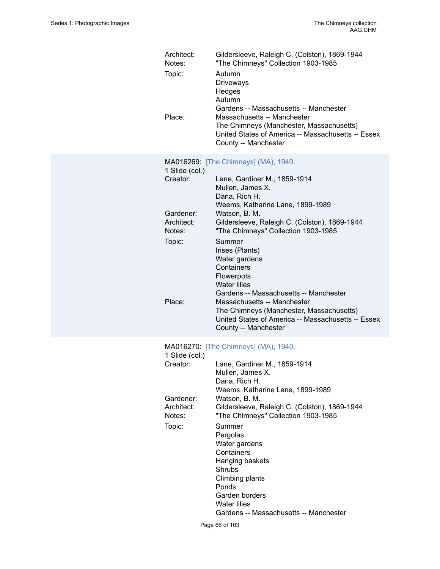| Architect:<br>Notes:<br>Topic:<br>Place: | Gildersleeve, Raleigh C. (Colston), 1869-1944<br>"The Chimneys" Collection 1903-1985<br>Autumn<br><b>Driveways</b><br>Hedges<br>Autumn<br>Gardens -- Massachusetts -- Manchester<br>Massachusetts -- Manchester<br>The Chimneys (Manchester, Massachusetts)<br>United States of America -- Massachusetts -- Essex<br>County -- Manchester |
|------------------------------------------|-------------------------------------------------------------------------------------------------------------------------------------------------------------------------------------------------------------------------------------------------------------------------------------------------------------------------------------------|
| 1 Slide (col.)<br>Creator:               | MA016269: [The Chimneys] (MA), 1940.<br>Lane, Gardiner M., 1859-1914<br>Mullen, James X.<br>Dana, Rich H.                                                                                                                                                                                                                                 |
| Gardener:<br>Architect:<br>Notes:        | Weems, Katharine Lane, 1899-1989<br>Watson, B. M.<br>Gildersleeve, Raleigh C. (Colston), 1869-1944<br>"The Chimneys" Collection 1903-1985                                                                                                                                                                                                 |
| Topic:                                   | Summer<br>Irises (Plants)<br>Water gardens<br>Containers<br>Flowerpots<br><b>Water lilies</b>                                                                                                                                                                                                                                             |
| Place:                                   | Gardens -- Massachusetts -- Manchester<br>Massachusetts -- Manchester<br>The Chimneys (Manchester, Massachusetts)<br>United States of America -- Massachusetts -- Essex<br>County -- Manchester                                                                                                                                           |
| 1 Slide (col.)                           | MA016270: [The Chimneys] (MA), 1940.                                                                                                                                                                                                                                                                                                      |
| Creator:                                 | Lane, Gardiner M., 1859-1914<br>Mullen, James X.<br>Dana, Rich H.                                                                                                                                                                                                                                                                         |
| Gardener:<br>Architect:<br>Notes:        | Weems, Katharine Lane, 1899-1989<br>Watson, B. M.<br>Gildersleeve, Raleigh C. (Colston), 1869-1944<br>"The Chimneys" Collection 1903-1985                                                                                                                                                                                                 |
| Topic:                                   | Summer<br>Pergolas<br>Water gardens<br>Containers<br>Hanging baskets<br><b>Shrubs</b><br>Climbing plants<br>Ponds<br>Garden borders<br><b>Water lilies</b><br>Gardens -- Massachusetts -- Manchester                                                                                                                                      |

Page 66 of 103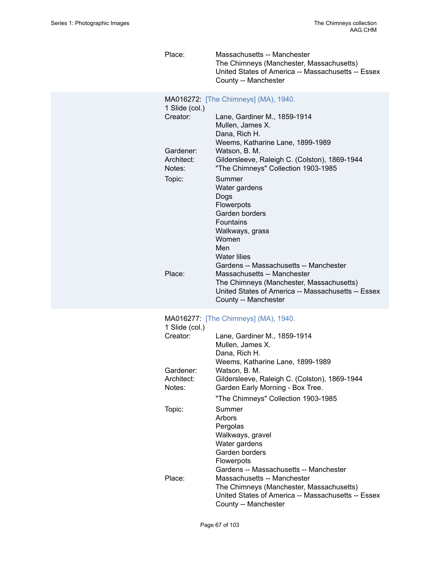Place: Massachusetts -- Manchester The Chimneys (Manchester, Massachusetts) United States of America -- Massachusetts -- Essex County -- Manchester

| 1 Slide (col.)                    | MA016272: [The Chimneys] (MA), 1940.                                                                                                                                                            |
|-----------------------------------|-------------------------------------------------------------------------------------------------------------------------------------------------------------------------------------------------|
| Creator:                          | Lane, Gardiner M., 1859-1914<br>Mullen, James X.<br>Dana, Rich H.                                                                                                                               |
| Gardener:<br>Architect:           | Weems, Katharine Lane, 1899-1989<br>Watson, B. M.<br>Gildersleeve, Raleigh C. (Colston), 1869-1944                                                                                              |
| Notes:                            | "The Chimneys" Collection 1903-1985                                                                                                                                                             |
| Topic:                            | Summer<br>Water gardens<br>Dogs<br>Flowerpots<br>Garden borders<br><b>Fountains</b><br>Walkways, grass<br>Women<br>Men<br><b>Water lilies</b>                                                   |
| Place:                            | Gardens -- Massachusetts -- Manchester<br>Massachusetts -- Manchester                                                                                                                           |
|                                   | The Chimneys (Manchester, Massachusetts)<br>United States of America -- Massachusetts -- Essex<br>County -- Manchester                                                                          |
| 1 Slide (col.)                    | MA016277: [The Chimneys] (MA), 1940.                                                                                                                                                            |
| Creator:                          | Lane, Gardiner M., 1859-1914<br>Mullen, James X.<br>Dana, Rich H.                                                                                                                               |
|                                   | Weems, Katharine Lane, 1899-1989                                                                                                                                                                |
| Gardener:<br>Architect:<br>Notes: | Watson, B. M.<br>Gildersleeve, Raleigh C. (Colston), 1869-1944<br>Garden Early Morning - Box Tree.                                                                                              |
|                                   | "The Chimneys" Collection 1903-1985                                                                                                                                                             |
| Topic:                            | Summer<br>Arbors<br>Pergolas<br>Walkways, gravel<br>Water gardens<br>Garden borders<br>Flowerpots                                                                                               |
| Place:                            | Gardens -- Massachusetts -- Manchester<br>Massachusetts -- Manchester<br>The Chimneys (Manchester, Massachusetts)<br>United States of America -- Massachusetts -- Essex<br>County -- Manchester |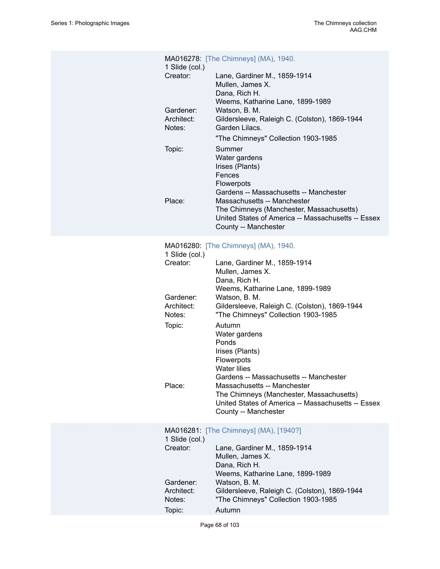| 1 Slide (col.)                    | MA016278: [The Chimneys] (MA), 1940.                                                                                                                                                                                            |
|-----------------------------------|---------------------------------------------------------------------------------------------------------------------------------------------------------------------------------------------------------------------------------|
| Creator:                          | Lane, Gardiner M., 1859-1914<br>Mullen, James X.<br>Dana, Rich H.                                                                                                                                                               |
| Gardener:<br>Architect:<br>Notes: | Weems, Katharine Lane, 1899-1989<br>Watson, B. M.<br>Gildersleeve, Raleigh C. (Colston), 1869-1944<br>Garden Lilacs.                                                                                                            |
| Topic:                            | "The Chimneys" Collection 1903-1985<br>Summer<br>Water gardens<br>Irises (Plants)                                                                                                                                               |
| Place:                            | Fences<br>Flowerpots<br>Gardens -- Massachusetts -- Manchester<br>Massachusetts -- Manchester<br>The Chimneys (Manchester, Massachusetts)<br>United States of America -- Massachusetts -- Essex<br>County -- Manchester         |
|                                   | MA016280: [The Chimneys] (MA), 1940.                                                                                                                                                                                            |
| 1 Slide (col.)<br>Creator:        | Lane, Gardiner M., 1859-1914<br>Mullen, James X.<br>Dana, Rich H.                                                                                                                                                               |
| Gardener:<br>Architect:<br>Notes: | Weems, Katharine Lane, 1899-1989<br>Watson, B. M.<br>Gildersleeve, Raleigh C. (Colston), 1869-1944<br>"The Chimneys" Collection 1903-1985                                                                                       |
| Topic:                            | Autumn<br>Water gardens<br>Ponds                                                                                                                                                                                                |
| Place:                            | Irises (Plants)<br>Flowerpots<br><b>Water lilies</b><br>Gardens -- Massachusetts -- Manchester<br>Massachusetts -- Manchester<br>The Chimneys (Manchester, Massachusetts)<br>United States of America -- Massachusetts -- Essex |
|                                   | County -- Manchester                                                                                                                                                                                                            |
| 1 Slide (col.)<br>Creator:        | MA016281: [The Chimneys] (MA), [1940?]<br>Lane, Gardiner M., 1859-1914<br>Mullen, James X.                                                                                                                                      |
| Gardener:                         | Dana, Rich H.<br>Weems, Katharine Lane, 1899-1989<br>Watson, B. M.                                                                                                                                                              |
| Architect:<br>Notes:              | Gildersleeve, Raleigh C. (Colston), 1869-1944<br>"The Chimneys" Collection 1903-1985<br>Autumn                                                                                                                                  |
| Topic:                            |                                                                                                                                                                                                                                 |

Page 68 of 103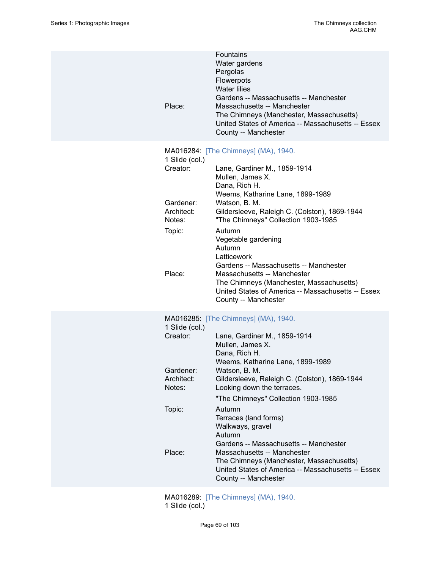| Place:                                                                              | Fountains<br>Water gardens<br>Pergolas<br>Flowerpots<br><b>Water lilies</b><br>Gardens -- Massachusetts -- Manchester<br>Massachusetts -- Manchester<br>The Chimneys (Manchester, Massachusetts)<br>United States of America -- Massachusetts -- Essex<br>County -- Manchester                                                                                                                                                                                                                                                                           |
|-------------------------------------------------------------------------------------|----------------------------------------------------------------------------------------------------------------------------------------------------------------------------------------------------------------------------------------------------------------------------------------------------------------------------------------------------------------------------------------------------------------------------------------------------------------------------------------------------------------------------------------------------------|
| 1 Slide (col.)<br>Creator:<br>Gardener:<br>Architect:<br>Notes:<br>Topic:<br>Place: | MA016284: [The Chimneys] (MA), 1940.<br>Lane, Gardiner M., 1859-1914<br>Mullen, James X.<br>Dana, Rich H.<br>Weems, Katharine Lane, 1899-1989<br>Watson, B. M.<br>Gildersleeve, Raleigh C. (Colston), 1869-1944<br>"The Chimneys" Collection 1903-1985<br>Autumn<br>Vegetable gardening<br>Autumn<br>Latticework<br>Gardens -- Massachusetts -- Manchester<br>Massachusetts -- Manchester<br>The Chimneys (Manchester, Massachusetts)<br>United States of America -- Massachusetts -- Essex<br>County -- Manchester                                      |
| 1 Slide (col.)<br>Creator:<br>Gardener:<br>Architect:<br>Notes:<br>Topic:<br>Place: | MA016285: [The Chimneys] (MA), 1940.<br>Lane, Gardiner M., 1859-1914<br>Mullen, James X.<br>Dana, Rich H.<br>Weems, Katharine Lane, 1899-1989<br>Watson, B. M.<br>Gildersleeve, Raleigh C. (Colston), 1869-1944<br>Looking down the terraces.<br>"The Chimneys" Collection 1903-1985<br>Autumn<br>Terraces (land forms)<br>Walkways, gravel<br>Autumn<br>Gardens -- Massachusetts -- Manchester<br>Massachusetts -- Manchester<br>The Chimneys (Manchester, Massachusetts)<br>United States of America -- Massachusetts -- Essex<br>County -- Manchester |
|                                                                                     |                                                                                                                                                                                                                                                                                                                                                                                                                                                                                                                                                          |

MA016289: [\[The Chimneys\] \(MA\), 1940.](https://ids.si.edu/ids/deliveryService?id=SG-MA016289) 1 Slide (col.)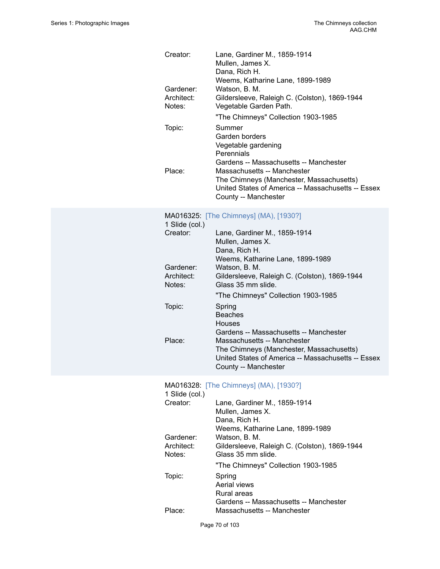| Creator:                          | Lane, Gardiner M., 1859-1914<br>Mullen, James X.<br>Dana, Rich H.                                                                                                   |
|-----------------------------------|---------------------------------------------------------------------------------------------------------------------------------------------------------------------|
| Gardener:<br>Architect:<br>Notes: | Weems, Katharine Lane, 1899-1989<br>Watson, B. M.<br>Gildersleeve, Raleigh C. (Colston), 1869-1944<br>Vegetable Garden Path.<br>"The Chimneys" Collection 1903-1985 |
| Topic:                            | Summer<br>Garden borders<br>Vegetable gardening<br>Perennials<br>Gardens -- Massachusetts -- Manchester                                                             |
| Place:                            | Massachusetts -- Manchester<br>The Chimneys (Manchester, Massachusetts)<br>United States of America -- Massachusetts -- Essex<br>County -- Manchester               |
| 1 Slide (col.)                    | MA016325: [The Chimneys] (MA), [1930?]                                                                                                                              |
| Creator:                          | Lane, Gardiner M., 1859-1914<br>Mullen, James X.<br>Dana, Rich H.<br>Weems, Katharine Lane, 1899-1989                                                               |
| Gardener:<br>Architect:           | Watson, B. M.<br>Gildersleeve, Raleigh C. (Colston), 1869-1944                                                                                                      |

"The Chimneys" Collection 1903-1985

Gardens -- Massachusetts -- Manchester

The Chimneys (Manchester, Massachusetts) United States of America -- Massachusetts -- Essex

### MA016328: [\[The Chimneys\] \(MA\), \[1930?\]](https://ids.si.edu/ids/deliveryService?id=SG-MA016328)

Place: Massachusetts -- Manchester

County -- Manchester

Notes: Glass 35 mm slide.

Beaches Houses

Topic: Spring

| 1 Slide (col.)       |                                                                                                       |
|----------------------|-------------------------------------------------------------------------------------------------------|
| Creator:             | Lane, Gardiner M., 1859-1914<br>Mullen, James X.<br>Dana, Rich H.<br>Weems, Katharine Lane, 1899-1989 |
| Gardener:            | Watson, B. M.                                                                                         |
| Architect:<br>Notes: | Gildersleeve, Raleigh C. (Colston), 1869-1944<br>Glass 35 mm slide.                                   |
|                      | "The Chimneys" Collection 1903-1985                                                                   |
| Topic:               | Spring<br>Aerial views<br>Rural areas<br>Gardens -- Massachusetts -- Manchester                       |
| Place:               | Massachusetts -- Manchester                                                                           |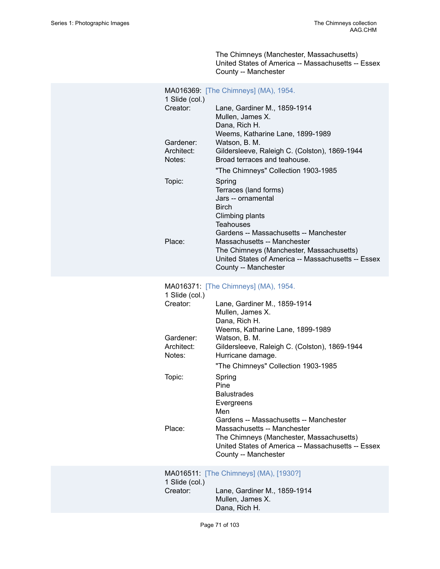The Chimneys (Manchester, Massachusetts) United States of America -- Massachusetts -- Essex County -- Manchester

| 1 Slide (col.)                    | MA016369: [The Chimneys] (MA), 1954.                                                                                                                                                            |
|-----------------------------------|-------------------------------------------------------------------------------------------------------------------------------------------------------------------------------------------------|
| Creator:                          | Lane, Gardiner M., 1859-1914<br>Mullen, James X.<br>Dana, Rich H.<br>Weems, Katharine Lane, 1899-1989                                                                                           |
| Gardener:<br>Architect:<br>Notes: | Watson, B. M.<br>Gildersleeve, Raleigh C. (Colston), 1869-1944<br>Broad terraces and teahouse.                                                                                                  |
|                                   | "The Chimneys" Collection 1903-1985                                                                                                                                                             |
| Topic:                            | Spring<br>Terraces (land forms)<br>Jars -- ornamental<br><b>Birch</b><br>Climbing plants<br><b>Teahouses</b>                                                                                    |
| Place:                            | Gardens -- Massachusetts -- Manchester<br>Massachusetts -- Manchester<br>The Chimneys (Manchester, Massachusetts)<br>United States of America -- Massachusetts -- Essex<br>County -- Manchester |
| 1 Slide (col.)                    | MA016371: [The Chimneys] (MA), 1954.                                                                                                                                                            |
| Creator:                          | Lane, Gardiner M., 1859-1914<br>Mullen, James X.<br>Dana, Rich H.<br>Weems, Katharine Lane, 1899-1989                                                                                           |
| Gardener:<br>Architect:<br>Notes: | Watson, B. M.<br>Gildersleeve, Raleigh C. (Colston), 1869-1944<br>Hurricane damage.                                                                                                             |
|                                   | "The Chimneys" Collection 1903-1985                                                                                                                                                             |
| Topic:                            | Spring<br>Pine<br><b>Balustrades</b><br>Evergreens<br>Men<br>Gardens -- Massachusetts -- Manchester                                                                                             |
| Place:                            | Massachusetts -- Manchester<br>The Chimneys (Manchester, Massachusetts)<br>United States of America -- Massachusetts -- Essex<br>County -- Manchester                                           |
| 1 Slide (col.)                    | MA016511: [The Chimneys] (MA), [1930?]                                                                                                                                                          |
| Creator:                          | Lane, Gardiner M., 1859-1914<br>Mullen, James X.                                                                                                                                                |

Dana, Rich H.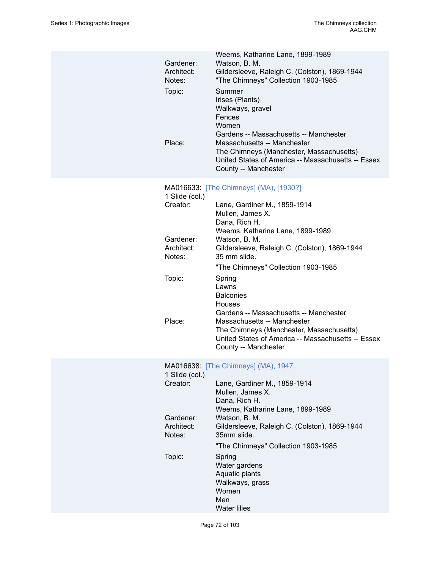| Gardener:<br>Architect:<br>Notes:<br>Topic:<br>Place: | Weems, Katharine Lane, 1899-1989<br>Watson, B. M.<br>Gildersleeve, Raleigh C. (Colston), 1869-1944<br>"The Chimneys" Collection 1903-1985<br>Summer<br>Irises (Plants)<br>Walkways, gravel<br>Fences<br>Women<br>Gardens -- Massachusetts -- Manchester<br>Massachusetts -- Manchester<br>The Chimneys (Manchester, Massachusetts)<br>United States of America -- Massachusetts -- Essex<br>County -- Manchester |
|-------------------------------------------------------|------------------------------------------------------------------------------------------------------------------------------------------------------------------------------------------------------------------------------------------------------------------------------------------------------------------------------------------------------------------------------------------------------------------|
| 1 Slide (col.)<br>Creator:                            | MA016633: [The Chimneys] (MA), [1930?]<br>Lane, Gardiner M., 1859-1914<br>Mullen, James X.<br>Dana, Rich H.<br>Weems, Katharine Lane, 1899-1989                                                                                                                                                                                                                                                                  |
| Gardener:<br>Architect:<br>Notes:                     | Watson, B. M.<br>Gildersleeve, Raleigh C. (Colston), 1869-1944<br>35 mm slide.<br>"The Chimneys" Collection 1903-1985                                                                                                                                                                                                                                                                                            |
| Topic:                                                | Spring<br>Lawns<br><b>Balconies</b><br><b>Houses</b><br>Gardens -- Massachusetts -- Manchester                                                                                                                                                                                                                                                                                                                   |
| Place:                                                | Massachusetts -- Manchester<br>The Chimneys (Manchester, Massachusetts)<br>United States of America -- Massachusetts -- Essex<br>County -- Manchester                                                                                                                                                                                                                                                            |
|                                                       | MA016638: [The Chimneys] (MA), 1947.                                                                                                                                                                                                                                                                                                                                                                             |
| 1 Slide (col.)<br>Creator:                            | Lane, Gardiner M., 1859-1914<br>Mullen, James X.<br>Dana, Rich H.<br>Weems, Katharine Lane, 1899-1989                                                                                                                                                                                                                                                                                                            |
| Gardener:<br>Architect:<br>Notes:                     | Watson, B. M.<br>Gildersleeve, Raleigh C. (Colston), 1869-1944<br>35mm slide.                                                                                                                                                                                                                                                                                                                                    |
|                                                       | "The Chimneys" Collection 1903-1985                                                                                                                                                                                                                                                                                                                                                                              |
| Topic:                                                | Spring<br>Water gardens<br>Aquatic plants<br>Walkways, grass<br>Women<br>Men                                                                                                                                                                                                                                                                                                                                     |
|                                                       | <b>Water lilies</b>                                                                                                                                                                                                                                                                                                                                                                                              |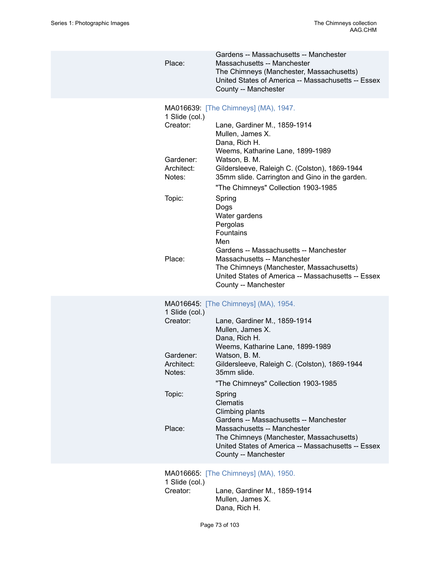| Place:                                                                              | Gardens -- Massachusetts -- Manchester<br>Massachusetts -- Manchester<br>The Chimneys (Manchester, Massachusetts)<br>United States of America -- Massachusetts -- Essex<br>County -- Manchester                                                                                                                                                                                                                                                                                                                                                                                |
|-------------------------------------------------------------------------------------|--------------------------------------------------------------------------------------------------------------------------------------------------------------------------------------------------------------------------------------------------------------------------------------------------------------------------------------------------------------------------------------------------------------------------------------------------------------------------------------------------------------------------------------------------------------------------------|
| 1 Slide (col.)<br>Creator:<br>Gardener:<br>Architect:<br>Notes:<br>Topic:<br>Place: | MA016639: [The Chimneys] (MA), 1947.<br>Lane, Gardiner M., 1859-1914<br>Mullen, James X.<br>Dana, Rich H.<br>Weems, Katharine Lane, 1899-1989<br>Watson, B. M.<br>Gildersleeve, Raleigh C. (Colston), 1869-1944<br>35mm slide. Carrington and Gino in the garden.<br>"The Chimneys" Collection 1903-1985<br>Spring<br>Dogs<br>Water gardens<br>Pergolas<br>Fountains<br>Men<br>Gardens -- Massachusetts -- Manchester<br>Massachusetts -- Manchester<br>The Chimneys (Manchester, Massachusetts)<br>United States of America -- Massachusetts -- Essex<br>County -- Manchester |
| 1 Slide (col.)<br>Creator:<br>Gardener:<br>Architect:<br>Notes:<br>Topic:<br>Place: | MA016645: [The Chimneys] (MA), 1954.<br>Lane, Gardiner M., 1859-1914<br>Mullen, James X.<br>Dana, Rich H.<br>Weems, Katharine Lane, 1899-1989<br>Watson, B. M.<br>Gildersleeve, Raleigh C. (Colston), 1869-1944<br>35mm slide.<br>"The Chimneys" Collection 1903-1985<br>Spring<br><b>Clematis</b><br>Climbing plants<br>Gardens -- Massachusetts -- Manchester<br>Massachusetts -- Manchester<br>The Chimneys (Manchester, Massachusetts)<br>United States of America -- Massachusetts -- Essex<br>County -- Manchester                                                       |
| 1 Slide (col.)<br>Creator:                                                          | MA016665: [The Chimneys] (MA), 1950.<br>Lane, Gardiner M., 1859-1914<br>Mullen, James X.<br>Dana, Rich H.                                                                                                                                                                                                                                                                                                                                                                                                                                                                      |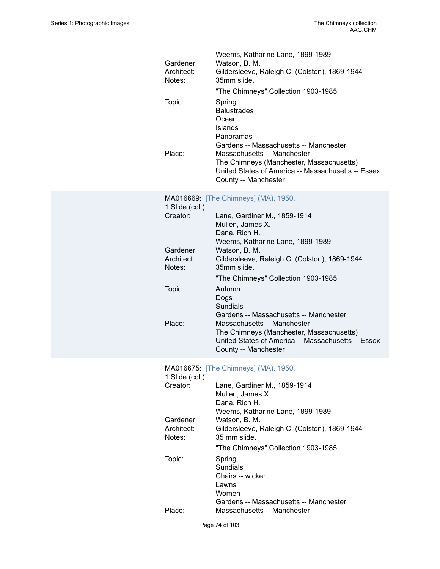| Gardener:<br>Architect:<br>Notes: | Weems, Katharine Lane, 1899-1989<br>Watson, B. M.<br>Gildersleeve, Raleigh C. (Colston), 1869-1944<br>35mm slide.<br>"The Chimneys" Collection 1903-1985                                        |
|-----------------------------------|-------------------------------------------------------------------------------------------------------------------------------------------------------------------------------------------------|
| Topic:                            | Spring<br><b>Balustrades</b><br>Ocean<br>Islands<br>Panoramas                                                                                                                                   |
| Place:                            | Gardens -- Massachusetts -- Manchester<br>Massachusetts -- Manchester<br>The Chimneys (Manchester, Massachusetts)<br>United States of America -- Massachusetts -- Essex<br>County -- Manchester |
|                                   | MA016669: [The Chimneys] (MA), 1950.                                                                                                                                                            |
| 1 Slide (col.)<br>Creator:        | Lane, Gardiner M., 1859-1914                                                                                                                                                                    |
|                                   | Mullen, James X.<br>Dana, Rich H.                                                                                                                                                               |
|                                   | Weems, Katharine Lane, 1899-1989                                                                                                                                                                |
| Gardener:<br>Architect:           | Watson, B. M.<br>Gildersleeve, Raleigh C. (Colston), 1869-1944                                                                                                                                  |
| Notes:                            | 35mm slide.                                                                                                                                                                                     |
|                                   | "The Chimneys" Collection 1903-1985                                                                                                                                                             |
| Topic:                            | Autumn<br>Dogs<br><b>Sundials</b>                                                                                                                                                               |
|                                   |                                                                                                                                                                                                 |
| Place:                            | Gardens -- Massachusetts -- Manchester<br>Massachusetts -- Manchester                                                                                                                           |
|                                   | The Chimneys (Manchester, Massachusetts)<br>United States of America -- Massachusetts -- Essex<br>County -- Manchester                                                                          |
|                                   | MA016675: [The Chimneys] (MA), 1950.                                                                                                                                                            |
| 1 Slide (col.)                    |                                                                                                                                                                                                 |
| Creator:                          | Lane, Gardiner M., 1859-1914<br>Mullen, James X.                                                                                                                                                |
|                                   | Dana, Rich H.                                                                                                                                                                                   |
| Gardener:                         | Weems, Katharine Lane, 1899-1989<br>Watson, B. M.                                                                                                                                               |
| Architect:<br>Notes:              | Gildersleeve, Raleigh C. (Colston), 1869-1944<br>35 mm slide.                                                                                                                                   |
|                                   | "The Chimneys" Collection 1903-1985                                                                                                                                                             |
| Topic:                            | Spring                                                                                                                                                                                          |
|                                   | <b>Sundials</b><br>Chairs -- wicker                                                                                                                                                             |
|                                   | Lawns                                                                                                                                                                                           |
| Place:                            | Women<br>Gardens -- Massachusetts -- Manchester<br>Massachusetts -- Manchester                                                                                                                  |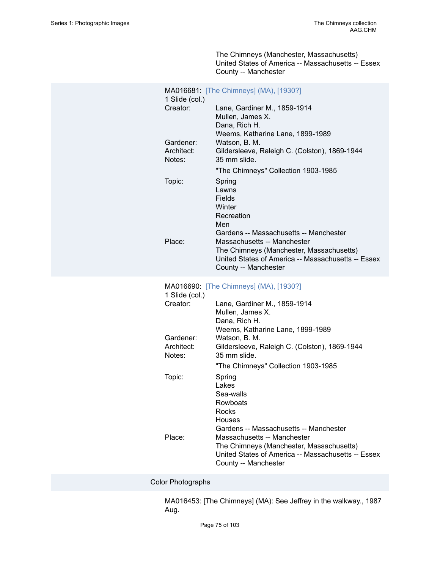The Chimneys (Manchester, Massachusetts) United States of America -- Massachusetts -- Essex County -- Manchester

| 1 Slide (col.)                    | MA016681: [The Chimneys] (MA), [1930?]                                                                                                                |
|-----------------------------------|-------------------------------------------------------------------------------------------------------------------------------------------------------|
| Creator:                          | Lane, Gardiner M., 1859-1914<br>Mullen, James X.<br>Dana, Rich H.<br>Weems, Katharine Lane, 1899-1989                                                 |
| Gardener:<br>Architect:<br>Notes: | Watson, B. M.<br>Gildersleeve, Raleigh C. (Colston), 1869-1944<br>35 mm slide.                                                                        |
| Topic:                            | "The Chimneys" Collection 1903-1985<br>Spring<br>Lawns<br>Fields<br>Winter<br>Recreation<br>Men<br>Gardens -- Massachusetts -- Manchester             |
| Place:                            | Massachusetts -- Manchester<br>The Chimneys (Manchester, Massachusetts)<br>United States of America -- Massachusetts -- Essex<br>County -- Manchester |
| 1 Slide (col.)                    | MA016690: [The Chimneys] (MA), [1930?]                                                                                                                |
|                                   |                                                                                                                                                       |
| Creator:                          | Lane, Gardiner M., 1859-1914<br>Mullen, James X.<br>Dana, Rich H.                                                                                     |
| Gardener:<br>Architect:<br>Notes: | Weems, Katharine Lane, 1899-1989<br>Watson, B. M.<br>Gildersleeve, Raleigh C. (Colston), 1869-1944<br>35 mm slide.                                    |
|                                   | "The Chimneys" Collection 1903-1985                                                                                                                   |
| Topic:                            | Spring<br>Lakes<br>Sea-walls<br>Rowboats<br>Rocks<br><b>Houses</b><br>Gardens -- Massachusetts -- Manchester                                          |

Color Photographs

MA016453: [The Chimneys] (MA): See Jeffrey in the walkway., 1987 Aug.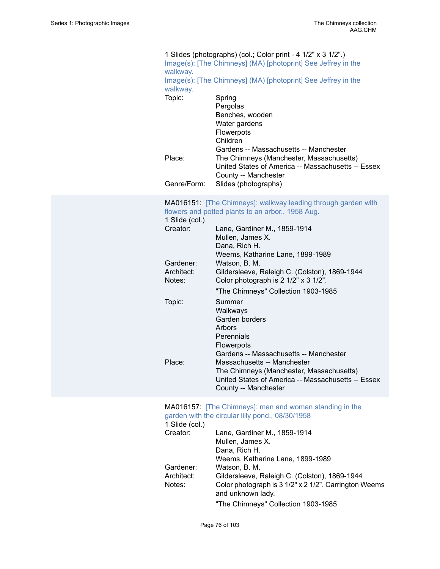#### 1 Slides (photographs) (col.; Color print - 4 1/2" x 3 1/2".) Image(s): [The Chimneys] (MA) [\[photoprint\]](https://ids.si.edu/ids/deliveryService?id=SG-MA016453) See Jeffrey in the [walkway.](https://ids.si.edu/ids/deliveryService?id=SG-MA016453) Image(s): [The Chimneys] (MA) [\[photoprint\]](https://ids.si.edu/ids/deliveryService?id=SG-MA016453a) See Jeffrey in the [walkway.](https://ids.si.edu/ids/deliveryService?id=SG-MA016453a) Topic: Spring Pergolas Benches, wooden Water gardens Flowerpots Children Gardens -- Massachusetts -- Manchester Place: The Chimneys (Manchester, Massachusetts) United States of America -- Massachusetts -- Essex County -- Manchester Genre/Form: Slides (photographs)

#### MA016151: [\[The Chimneys\]: walkway leading through garden with](https://ids.si.edu/ids/deliveryService?id=SG-MA016151) [flowers](https://ids.si.edu/ids/deliveryService?id=SG-MA016151) and potted plants to an arbor., 1958 Aug.

1 Slide  $(col)$ 

| $1$ Oliuc (COL)      |                                                                                       |
|----------------------|---------------------------------------------------------------------------------------|
| Creator:             | Lane, Gardiner M., 1859-1914<br>Mullen, James X.<br>Dana, Rich H.                     |
|                      | Weems, Katharine Lane, 1899-1989                                                      |
| Gardener:            | Watson, B. M.                                                                         |
| Architect:<br>Notes: | Gildersleeve, Raleigh C. (Colston), 1869-1944<br>Color photograph is 2 1/2" x 3 1/2". |
|                      | "The Chimneys" Collection 1903-1985                                                   |
| Topic:               | Summer<br>Walkways                                                                    |
|                      | Garden borders                                                                        |
|                      | Arbors                                                                                |
|                      | Perennials                                                                            |
|                      | <b>Flowerpots</b>                                                                     |
|                      | Gardens -- Massachusetts -- Manchester                                                |
| Place:               | Massachusetts -- Manchester                                                           |
|                      | The Chimneys (Manchester, Massachusetts)                                              |
|                      | United States of America -- Massachusetts -- Essex                                    |
|                      | County -- Manchester                                                                  |

#### MA016157: [\[The Chimneys\]: man and woman standing in the](https://ids.si.edu/ids/deliveryService?id=SG-MA016157) [garden with the circular lilly pond., 08/30/1958](https://ids.si.edu/ids/deliveryService?id=SG-MA016157)

| 1 Slide (col.) |                                                       |
|----------------|-------------------------------------------------------|
| Creator:       | Lane, Gardiner M., 1859-1914                          |
|                | Mullen, James X.                                      |
|                | Dana, Rich H.                                         |
|                | Weems, Katharine Lane, 1899-1989                      |
| Gardener:      | Watson, B. M.                                         |
| Architect:     | Gildersleeve, Raleigh C. (Colston), 1869-1944         |
| Notes:         | Color photograph is 3 1/2" x 2 1/2". Carrington Weems |
|                | and unknown lady.                                     |
|                | "The Chimneys" Collection 1903-1985                   |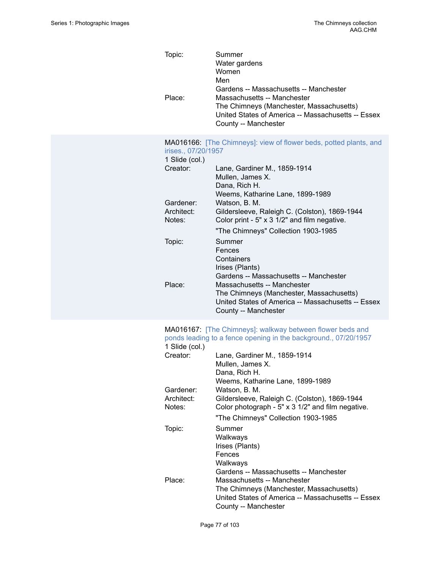| Place:                                | Summer<br>Water gardens<br>Women<br>Men<br>Gardens -- Massachusetts -- Manchester<br>Massachusetts -- Manchester<br>The Chimneys (Manchester, Massachusetts)<br>United States of America -- Massachusetts -- Essex<br>County -- Manchester |
|---------------------------------------|--------------------------------------------------------------------------------------------------------------------------------------------------------------------------------------------------------------------------------------------|
| irises., 07/20/1957<br>1 Slide (col.) | MA016166: [The Chimneys]: view of flower beds, potted plants, and                                                                                                                                                                          |
| Creator:                              | Lane, Gardiner M., 1859-1914<br>Mullen, James X.<br>Dana, Rich H.<br>Weems, Katharine Lane, 1899-1989                                                                                                                                      |
| Gardener:<br>Architect:<br>Notes:     | Watson, B. M.<br>Gildersleeve, Raleigh C. (Colston), 1869-1944<br>Color print - 5" x 3 1/2" and film negative.                                                                                                                             |
|                                       | "The Chimneys" Collection 1903-1985                                                                                                                                                                                                        |
| Topic:                                | Summer<br>Fences                                                                                                                                                                                                                           |
|                                       | Containers                                                                                                                                                                                                                                 |
|                                       | Irises (Plants)<br>Gardens -- Massachusetts -- Manchester                                                                                                                                                                                  |
| Place:                                | Massachusetts -- Manchester                                                                                                                                                                                                                |
|                                       | The Chimneys (Manchester, Massachusetts)                                                                                                                                                                                                   |
|                                       | United States of America -- Massachusetts -- Essex<br>County -- Manchester                                                                                                                                                                 |
|                                       |                                                                                                                                                                                                                                            |
|                                       |                                                                                                                                                                                                                                            |
|                                       | MA016167: [The Chimneys]: walkway between flower beds and<br>ponds leading to a fence opening in the background., 07/20/1957                                                                                                               |
| 1 Slide (col.)<br>Creator:            |                                                                                                                                                                                                                                            |
|                                       | Lane, Gardiner M., 1859-1914<br>Mullen, James X.                                                                                                                                                                                           |
|                                       | Dana, Rich H.                                                                                                                                                                                                                              |
| Gardener:                             | Weems, Katharine Lane, 1899-1989<br>Watson, B. M.                                                                                                                                                                                          |
| Architect:                            | Gildersleeve, Raleigh C. (Colston), 1869-1944                                                                                                                                                                                              |
| Notes:                                | Color photograph - 5" x 3 1/2" and film negative.                                                                                                                                                                                          |
|                                       | "The Chimneys" Collection 1903-1985<br>Summer                                                                                                                                                                                              |
| Topic:                                | Walkways                                                                                                                                                                                                                                   |
|                                       | Irises (Plants)                                                                                                                                                                                                                            |
|                                       | Fences<br>Walkways                                                                                                                                                                                                                         |
|                                       | Gardens -- Massachusetts -- Manchester                                                                                                                                                                                                     |
| Place:                                | Massachusetts -- Manchester<br>The Chimneys (Manchester, Massachusetts)                                                                                                                                                                    |
|                                       | United States of America -- Massachusetts -- Essex<br>County -- Manchester                                                                                                                                                                 |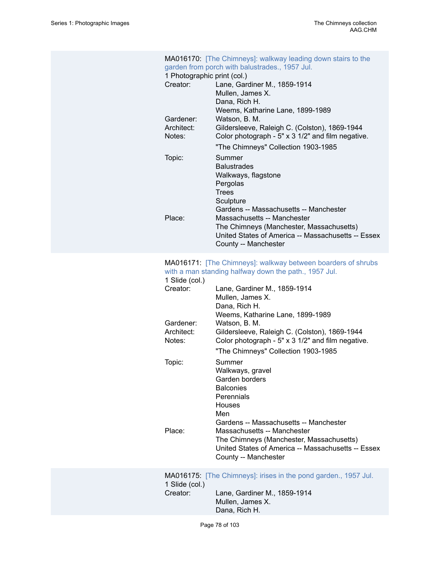| 1 Photographic print (col.)<br>Creator:<br>Gardener:<br>Architect:<br>Notes:<br>Topic: | MA016170: [The Chimneys]: walkway leading down stairs to the<br>garden from porch with balustrades., 1957 Jul.<br>Lane, Gardiner M., 1859-1914<br>Mullen, James X.<br>Dana, Rich H.<br>Weems, Katharine Lane, 1899-1989<br>Watson, B. M.<br>Gildersleeve, Raleigh C. (Colston), 1869-1944<br>Color photograph - 5" x 3 1/2" and film negative.<br>"The Chimneys" Collection 1903-1985<br>Summer<br><b>Balustrades</b><br>Walkways, flagstone |
|----------------------------------------------------------------------------------------|----------------------------------------------------------------------------------------------------------------------------------------------------------------------------------------------------------------------------------------------------------------------------------------------------------------------------------------------------------------------------------------------------------------------------------------------|
| Place:                                                                                 | Pergolas<br><b>Trees</b><br>Sculpture<br>Gardens -- Massachusetts -- Manchester<br>Massachusetts -- Manchester<br>The Chimneys (Manchester, Massachusetts)<br>United States of America -- Massachusetts -- Essex<br>County -- Manchester                                                                                                                                                                                                     |
| 1 Slide (col.)<br>Creator:                                                             | MA016171: [The Chimneys]: walkway between boarders of shrubs<br>with a man standing halfway down the path., 1957 Jul.<br>Lane, Gardiner M., 1859-1914<br>Mullen, James X.<br>Dana, Rich H.<br>Weems, Katharine Lane, 1899-1989                                                                                                                                                                                                               |
| Gardener:<br>Architect:<br>Notes:                                                      | Watson, B. M.<br>Gildersleeve, Raleigh C. (Colston), 1869-1944<br>Color photograph - 5" x 3 1/2" and film negative.<br>"The Chimneys" Collection 1903-1985                                                                                                                                                                                                                                                                                   |
| Topic:                                                                                 | Summer<br>Walkways, gravel<br>Garden borders<br><b>Balconies</b><br>Perennials<br>Houses<br>Men<br>Gardens -- Massachusetts -- Manchester                                                                                                                                                                                                                                                                                                    |
| Place:                                                                                 | Massachusetts -- Manchester<br>The Chimneys (Manchester, Massachusetts)<br>United States of America -- Massachusetts -- Essex<br>County -- Manchester                                                                                                                                                                                                                                                                                        |
| 1 Slide (col.)<br>Creator:                                                             | MA016175: [The Chimneys]: irises in the pond garden., 1957 Jul.<br>Lane, Gardiner M., 1859-1914<br>Mullen, James X.<br>Dana, Rich H.                                                                                                                                                                                                                                                                                                         |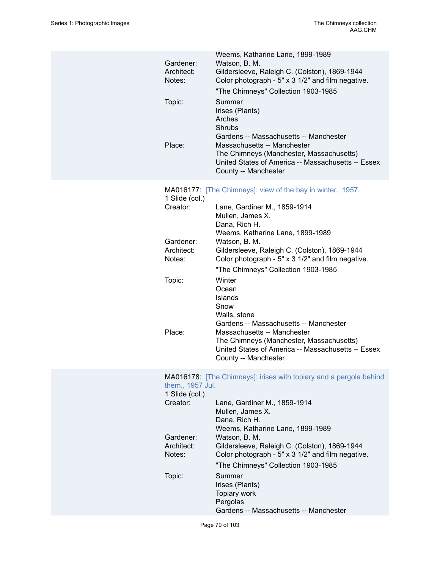| Gardener:<br>Architect:<br>Notes:<br>Topic:<br>Place:                                         | Weems, Katharine Lane, 1899-1989<br>Watson, B. M.<br>Gildersleeve, Raleigh C. (Colston), 1869-1944<br>Color photograph - 5" x 3 1/2" and film negative.<br>"The Chimneys" Collection 1903-1985<br>Summer<br>Irises (Plants)<br>Arches<br>Shrubs<br>Gardens -- Massachusetts -- Manchester<br>Massachusetts -- Manchester<br>The Chimneys (Manchester, Massachusetts)<br>United States of America -- Massachusetts -- Essex<br>County -- Manchester                                                                                                                                                 |
|-----------------------------------------------------------------------------------------------|----------------------------------------------------------------------------------------------------------------------------------------------------------------------------------------------------------------------------------------------------------------------------------------------------------------------------------------------------------------------------------------------------------------------------------------------------------------------------------------------------------------------------------------------------------------------------------------------------|
| 1 Slide (col.)<br>Creator:<br>Gardener:<br>Architect:<br>Notes:<br>Topic:<br>Place:           | MA016177: [The Chimneys]: view of the bay in winter., 1957.<br>Lane, Gardiner M., 1859-1914<br>Mullen, James X.<br>Dana, Rich H.<br>Weems, Katharine Lane, 1899-1989<br>Watson, B. M.<br>Gildersleeve, Raleigh C. (Colston), 1869-1944<br>Color photograph - 5" x 3 1/2" and film negative.<br>"The Chimneys" Collection 1903-1985<br>Winter<br>Ocean<br><b>Islands</b><br>Snow<br>Walls, stone<br>Gardens -- Massachusetts -- Manchester<br>Massachusetts -- Manchester<br>The Chimneys (Manchester, Massachusetts)<br>United States of America -- Massachusetts -- Essex<br>County -- Manchester |
| them., 1957 Jul.<br>1 Slide (col.)<br>Creator:<br>Gardener:<br>Architect:<br>Notes:<br>Topic: | MA016178: [The Chimneys]: irises with topiary and a pergola behind<br>Lane, Gardiner M., 1859-1914<br>Mullen, James X.<br>Dana, Rich H.<br>Weems, Katharine Lane, 1899-1989<br>Watson, B. M.<br>Gildersleeve, Raleigh C. (Colston), 1869-1944<br>Color photograph - 5" x 3 1/2" and film negative.<br>"The Chimneys" Collection 1903-1985<br>Summer<br>Irises (Plants)<br>Topiary work<br>Pergolas<br>Gardens -- Massachusetts -- Manchester                                                                                                                                                       |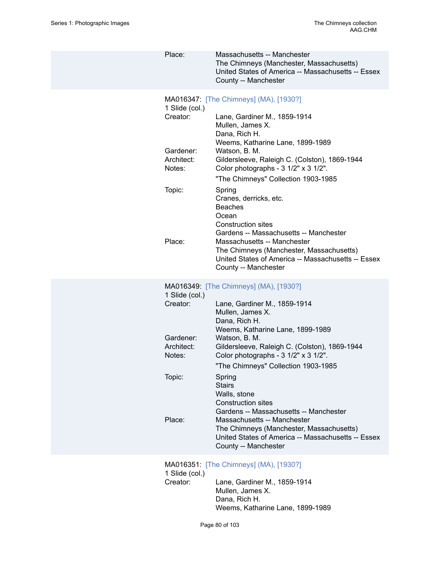Place: Massachusetts -- Manchester The Chimneys (Manchester, Massachusetts) United States of America -- Massachusetts -- Essex County -- Manchester MA016347: [\[The Chimneys\] \(MA\), \[1930?\]](https://ids.si.edu/ids/deliveryService?id=SG-MA016347) 1 Slide (col.) Creator: Lane, Gardiner M., 1859-1914 Mullen, James X. Dana, Rich H. Weems, Katharine Lane, 1899-1989 Gardener: Watson, B. M. Architect: Gildersleeve, Raleigh C. (Colston), 1869-1944 Notes: Color photographs - 3 1/2" x 3 1/2". "The Chimneys" Collection 1903-1985 Topic: Spring Cranes, derricks, etc. Beaches Ocean Construction sites Gardens -- Massachusetts -- Manchester Place: Massachusetts -- Manchester The Chimneys (Manchester, Massachusetts) United States of America -- Massachusetts -- Essex County -- Manchester MA016349: [\[The Chimneys\] \(MA\), \[1930?\]](https://ids.si.edu/ids/deliveryService?id=SG-MA016349) 1 Slide (col.) Creator: Lane, Gardiner M., 1859-1914 Mullen, James X. Dana, Rich H. Weems, Katharine Lane, 1899-1989 Gardener: Watson, B. M. Architect: Gildersleeve, Raleigh C. (Colston), 1869-1944 Notes: Color photographs - 3 1/2" x 3 1/2". "The Chimneys" Collection 1903-1985 Topic: Spring **Stairs** Walls, stone Construction sites Gardens -- Massachusetts -- Manchester Place: Massachusetts -- Manchester The Chimneys (Manchester, Massachusetts) United States of America -- Massachusetts -- Essex County -- Manchester

MA016351: [\[The Chimneys\] \(MA\), \[1930?\]](https://ids.si.edu/ids/deliveryService?id=SG-MA016351) 1 Slide (col.) Creator: Lane, Gardiner M., 1859-1914 Mullen, James X. Dana, Rich H. Weems, Katharine Lane, 1899-1989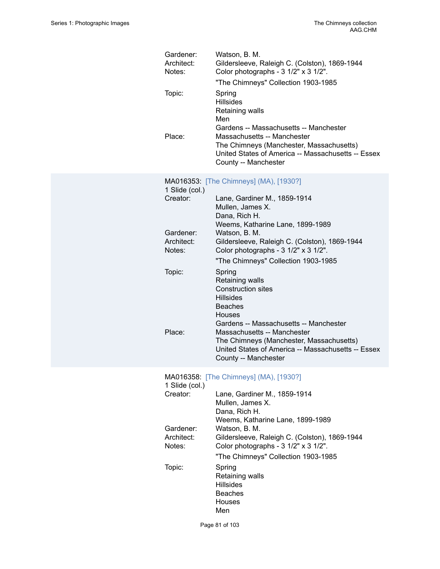| Gardener:<br>Architect:<br>Notes: | Watson, B. M.<br>Gildersleeve, Raleigh C. (Colston), 1869-1944<br>Color photographs - 3 1/2" x 3 1/2".<br>"The Chimneys" Collection 1903-1985                                                   |
|-----------------------------------|-------------------------------------------------------------------------------------------------------------------------------------------------------------------------------------------------|
| Topic:                            | Spring<br><b>Hillsides</b><br>Retaining walls<br>Men                                                                                                                                            |
| Place:                            | Gardens -- Massachusetts -- Manchester<br>Massachusetts -- Manchester<br>The Chimneys (Manchester, Massachusetts)<br>United States of America -- Massachusetts -- Essex<br>County -- Manchester |
| 1 Slide (col.)                    | MA016353: [The Chimneys] (MA), [1930?]                                                                                                                                                          |
| Creator:                          | Lane, Gardiner M., 1859-1914<br>Mullen, James X.<br>Dana, Rich H.                                                                                                                               |
| Gardener:                         | Weems, Katharine Lane, 1899-1989<br>Watson, B. M.                                                                                                                                               |
| Architect:<br>Notes:              | Gildersleeve, Raleigh C. (Colston), 1869-1944<br>Color photographs - 3 1/2" x 3 1/2".<br>"The Chimneys" Collection 1903-1985                                                                    |
| Topic:                            | Spring<br>Retaining walls<br><b>Construction sites</b><br><b>Hillsides</b><br><b>Beaches</b><br><b>Houses</b>                                                                                   |
| Place:                            | Gardens -- Massachusetts -- Manchester<br>Massachusetts -- Manchester<br>The Chimneys (Manchester, Massachusetts)<br>United States of America -- Massachusetts -- Essex<br>County -- Manchester |
| 1 Slide (col.)                    | MA016358: [The Chimneys] (MA), [1930?]                                                                                                                                                          |
| Creator:                          | Lane, Gardiner M., 1859-1914<br>Mullen, James X.<br>Dana, Rich H.<br>Weems, Katharine Lane, 1899-1989                                                                                           |
| Gardener:<br>Architect:<br>Notes: | Watson, B. M.<br>Gildersleeve, Raleigh C. (Colston), 1869-1944<br>Color photographs - 3 1/2" x 3 1/2".<br>"The Chimneys" Collection 1903-1985                                                   |
| Topic:                            | Spring<br>Retaining walls<br><b>Hillsides</b><br><b>Beaches</b><br>Houses<br>Men                                                                                                                |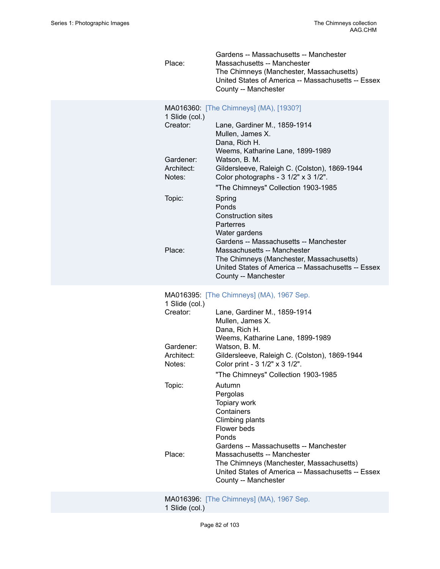Gardens -- Massachusetts -- Manchester Place: Massachusetts -- Manchester The Chimneys (Manchester, Massachusetts) United States of America -- Massachusetts -- Essex County -- Manchester

| 1 Slide (col.) | MA016360: [The Chimneys] (MA), [1930?]                  |
|----------------|---------------------------------------------------------|
| Creator:       | Lane, Gardiner M., 1859-1914                            |
|                | Mullen, James X.                                        |
|                | Dana, Rich H.                                           |
|                | Weems, Katharine Lane, 1899-1989                        |
| Gardener:      | Watson, B. M.                                           |
| Architect:     | Gildersleeve, Raleigh C. (Colston), 1869-1944           |
| Notes:         | Color photographs - $3 \frac{1}{2}$ x $3 \frac{1}{2}$ . |
|                | "The Chimneys" Collection 1903-1985                     |
| Topic:         | Spring                                                  |
|                | Ponds                                                   |
|                | Construction sites                                      |
|                | Parterres                                               |
|                | Water gardens                                           |
|                | Gardens -- Massachusetts -- Manchester                  |
| Place:         | Massachusetts -- Manchester                             |
|                | The Chimneys (Manchester, Massachusetts)                |
|                | United States of America -- Massachusetts -- Essex      |
|                | County -- Manchester                                    |

#### MA016395: [\[The Chimneys\] \(MA\), 1967 Sep.](https://ids.si.edu/ids/deliveryService?id=SG-MA016395)

| 1 Slide (col.)       |                                                                                                                                                                                                 |
|----------------------|-------------------------------------------------------------------------------------------------------------------------------------------------------------------------------------------------|
| Creator:             | Lane, Gardiner M., 1859-1914<br>Mullen, James X.<br>Dana, Rich H.                                                                                                                               |
| Gardener:            | Weems, Katharine Lane, 1899-1989<br>Watson, B. M.                                                                                                                                               |
| Architect:<br>Notes: | Gildersleeve, Raleigh C. (Colston), 1869-1944<br>Color print - 3 1/2" x 3 1/2".                                                                                                                 |
|                      | "The Chimneys" Collection 1903-1985                                                                                                                                                             |
| Topic:               | Autumn<br>Pergolas<br>Topiary work<br>Containers<br>Climbing plants<br>Flower beds<br>Ponds                                                                                                     |
| Place:               | Gardens -- Massachusetts -- Manchester<br>Massachusetts -- Manchester<br>The Chimneys (Manchester, Massachusetts)<br>United States of America -- Massachusetts -- Essex<br>County -- Manchester |
|                      |                                                                                                                                                                                                 |

MA016396: [\[The Chimneys\] \(MA\), 1967 Sep.](https://ids.si.edu/ids/deliveryService?id=SG-MA016396) 1 Slide (col.)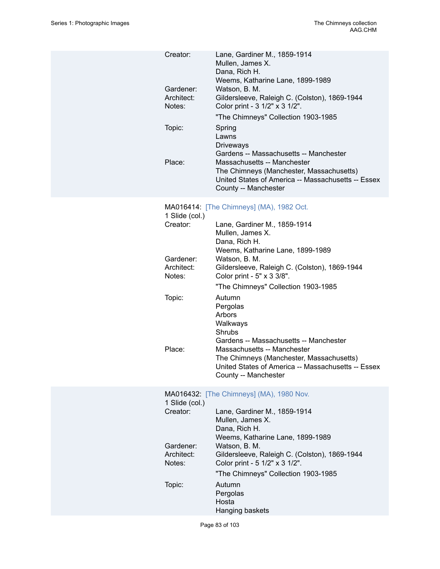| Creator:                          | Lane, Gardiner M., 1859-1914<br>Mullen, James X.<br>Dana, Rich H.<br>Weems, Katharine Lane, 1899-1989                                                                                           |
|-----------------------------------|-------------------------------------------------------------------------------------------------------------------------------------------------------------------------------------------------|
| Gardener:<br>Architect:<br>Notes: | Watson, B. M.<br>Gildersleeve, Raleigh C. (Colston), 1869-1944<br>Color print - 3 1/2" x 3 1/2".                                                                                                |
|                                   | "The Chimneys" Collection 1903-1985                                                                                                                                                             |
| Topic:                            | Spring<br>Lawns<br><b>Driveways</b>                                                                                                                                                             |
| Place:                            | Gardens -- Massachusetts -- Manchester<br>Massachusetts -- Manchester<br>The Chimneys (Manchester, Massachusetts)<br>United States of America -- Massachusetts -- Essex<br>County -- Manchester |
| 1 Slide (col.)                    | MA016414: [The Chimneys] (MA), 1982 Oct.                                                                                                                                                        |
| Creator:                          | Lane, Gardiner M., 1859-1914<br>Mullen, James X.<br>Dana, Rich H.                                                                                                                               |
| Gardener:                         | Weems, Katharine Lane, 1899-1989<br>Watson, B. M.                                                                                                                                               |
| Architect:<br>Notes:              | Gildersleeve, Raleigh C. (Colston), 1869-1944<br>Color print - 5" x 3 3/8".                                                                                                                     |
|                                   | "The Chimneys" Collection 1903-1985                                                                                                                                                             |
| Topic:                            | Autumn<br>Pergolas<br>Arbors<br>Walkways<br>Shrubs<br>Gardens -- Massachusetts -- Manchester                                                                                                    |

Place: Massachusetts -- Manchester

|                                   | County -- Manchester                                                                                                                 |
|-----------------------------------|--------------------------------------------------------------------------------------------------------------------------------------|
| 1 Slide (col.)                    | <b>MA016432: [The Chimneys] (MA), 1980 Nov.</b>                                                                                      |
| Creator:                          | Lane, Gardiner M., 1859-1914<br>Mullen, James X.<br>Dana, Rich H.                                                                    |
| Gardener:<br>Architect:<br>Notes: | Weems, Katharine Lane, 1899-1989<br>Watson, B. M.<br>Gildersleeve, Raleigh C. (Colston), 1869-1944<br>Color print - 5 1/2" x 3 1/2". |
|                                   | "The Chimneys" Collection 1903-1985                                                                                                  |
| Topic:                            | Autumn<br>Pergolas<br>Hosta<br>Hanging baskets                                                                                       |

The Chimneys (Manchester, Massachusetts) United States of America -- Massachusetts -- Essex

Page 83 of 103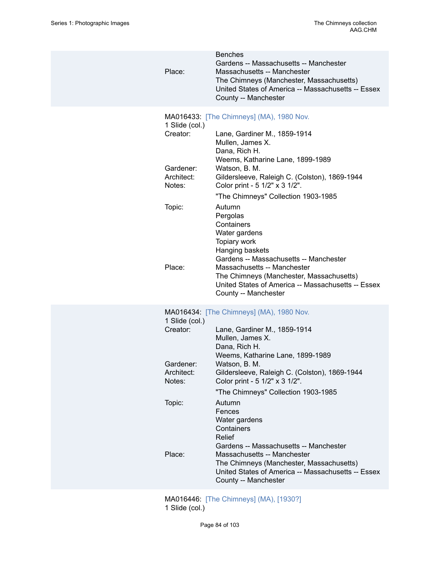| <b>Benches</b><br>Gardens -- Massachusetts -- Manchester<br>Place:<br>Massachusetts -- Manchester<br>The Chimneys (Manchester, Massachusetts)<br>United States of America -- Massachusetts -- Essex<br>County -- Manchester<br>MA016433: [The Chimneys] (MA), 1980 Nov.<br>1 Slide (col.)<br>Creator:<br>Lane, Gardiner M., 1859-1914<br>Mullen, James X.<br>Dana, Rich H.<br>Weems, Katharine Lane, 1899-1989<br>Gardener:<br>Watson, B. M.<br>Architect:<br>Gildersleeve, Raleigh C. (Colston), 1869-1944<br>Color print - 5 1/2" x 3 1/2".<br>Notes:<br>"The Chimneys" Collection 1903-1985<br>Topic:<br>Autumn<br>Pergolas<br>Containers<br>Water gardens<br>Topiary work<br>Hanging baskets<br>Gardens -- Massachusetts -- Manchester<br>Place:<br>Massachusetts -- Manchester<br>The Chimneys (Manchester, Massachusetts)<br>United States of America -- Massachusetts -- Essex<br>County -- Manchester<br>MA016434: [The Chimneys] (MA), 1980 Nov.<br>1 Slide (col.)<br>Creator:<br>Lane, Gardiner M., 1859-1914<br>Mullen, James X.<br>Dana, Rich H.<br>Weems, Katharine Lane, 1899-1989<br>Gardener:<br>Watson, B. M.<br>Architect:<br>Gildersleeve, Raleigh C. (Colston), 1869-1944<br>Notes:<br>Color print - 5 1/2" x 3 1/2".<br>"The Chimneys" Collection 1903-1985<br>Topic:<br>Autumn<br>Fences<br>Water gardens<br>Containers<br>Relief<br>Gardens -- Massachusetts -- Manchester<br>Place:<br>Massachusetts -- Manchester<br>The Chimneys (Manchester, Massachusetts)<br>United States of America -- Massachusetts -- Essex<br>County -- Manchester |  |  |
|----------------------------------------------------------------------------------------------------------------------------------------------------------------------------------------------------------------------------------------------------------------------------------------------------------------------------------------------------------------------------------------------------------------------------------------------------------------------------------------------------------------------------------------------------------------------------------------------------------------------------------------------------------------------------------------------------------------------------------------------------------------------------------------------------------------------------------------------------------------------------------------------------------------------------------------------------------------------------------------------------------------------------------------------------------------------------------------------------------------------------------------------------------------------------------------------------------------------------------------------------------------------------------------------------------------------------------------------------------------------------------------------------------------------------------------------------------------------------------------------------------------------------------------------------------------------|--|--|
|                                                                                                                                                                                                                                                                                                                                                                                                                                                                                                                                                                                                                                                                                                                                                                                                                                                                                                                                                                                                                                                                                                                                                                                                                                                                                                                                                                                                                                                                                                                                                                      |  |  |
|                                                                                                                                                                                                                                                                                                                                                                                                                                                                                                                                                                                                                                                                                                                                                                                                                                                                                                                                                                                                                                                                                                                                                                                                                                                                                                                                                                                                                                                                                                                                                                      |  |  |
|                                                                                                                                                                                                                                                                                                                                                                                                                                                                                                                                                                                                                                                                                                                                                                                                                                                                                                                                                                                                                                                                                                                                                                                                                                                                                                                                                                                                                                                                                                                                                                      |  |  |
|                                                                                                                                                                                                                                                                                                                                                                                                                                                                                                                                                                                                                                                                                                                                                                                                                                                                                                                                                                                                                                                                                                                                                                                                                                                                                                                                                                                                                                                                                                                                                                      |  |  |
|                                                                                                                                                                                                                                                                                                                                                                                                                                                                                                                                                                                                                                                                                                                                                                                                                                                                                                                                                                                                                                                                                                                                                                                                                                                                                                                                                                                                                                                                                                                                                                      |  |  |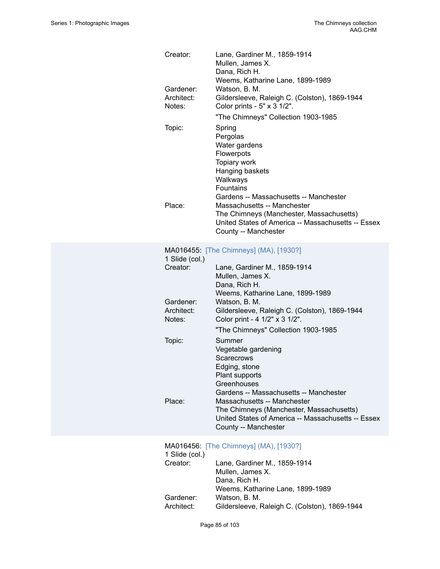| Creator:                   | Lane, Gardiner M., 1859-1914<br>Mullen, James X.<br>Dana, Rich H.                              |
|----------------------------|------------------------------------------------------------------------------------------------|
| Gardener:                  | Weems, Katharine Lane, 1899-1989<br>Watson, B. M.                                              |
| Architect:                 | Gildersleeve, Raleigh C. (Colston), 1869-1944                                                  |
| Notes:                     | Color prints - 5" x 3 1/2".                                                                    |
|                            | "The Chimneys" Collection 1903-1985                                                            |
| Topic:                     | Spring                                                                                         |
|                            | Pergolas                                                                                       |
|                            | Water gardens                                                                                  |
|                            | Flowerpots<br>Topiary work                                                                     |
|                            | Hanging baskets                                                                                |
|                            | Walkways                                                                                       |
|                            | <b>Fountains</b>                                                                               |
| Place:                     | Gardens -- Massachusetts -- Manchester<br>Massachusetts -- Manchester                          |
|                            | The Chimneys (Manchester, Massachusetts)                                                       |
|                            | United States of America -- Massachusetts -- Essex                                             |
|                            | County -- Manchester                                                                           |
|                            |                                                                                                |
| 1 Slide (col.)             | MA016455: [The Chimneys] (MA), [1930?]                                                         |
| Creator:                   | Lane, Gardiner M., 1859-1914                                                                   |
|                            | Mullen, James X.                                                                               |
|                            | Dana, Rich H.                                                                                  |
| Gardener:                  | Weems, Katharine Lane, 1899-1989<br>Watson, B. M.                                              |
| Architect:                 | Gildersleeve, Raleigh C. (Colston), 1869-1944                                                  |
| Notes:                     | Color print - 4 1/2" x 3 1/2".                                                                 |
|                            | "The Chimneys" Collection 1903-1985                                                            |
| Topic:                     | Summer                                                                                         |
|                            | Vegetable gardening                                                                            |
|                            | Scarecrows                                                                                     |
|                            | Edging, stone<br>Plant supports                                                                |
|                            | Greenhouses                                                                                    |
|                            | Gardens -- Massachusetts -- Manchester                                                         |
| Place:                     | Massachusetts -- Manchester                                                                    |
|                            | The Chimneys (Manchester, Massachusetts)<br>United States of America -- Massachusetts -- Essex |
|                            | County -- Manchester                                                                           |
|                            |                                                                                                |
|                            | MA016456: [The Chimneys] (MA), [1930?]                                                         |
| 1 Slide (col.)<br>Creator: | Lane, Gardiner M., 1859-1914                                                                   |
|                            | Mullen, James X.                                                                               |
|                            | Dana, Rich H.                                                                                  |
|                            | Weems, Katharine Lane, 1899-1989                                                               |
| Gardener:                  | Watson, B. M.                                                                                  |
| Architect:                 | Gildersleeve, Raleigh C. (Colston), 1869-1944                                                  |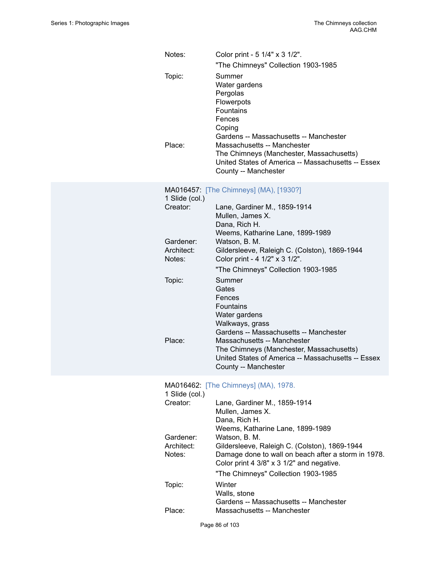| Notes:                     | Color print - 5 1/4" x 3 1/2".<br>"The Chimneys" Collection 1903-1985                                                                                                                    |
|----------------------------|------------------------------------------------------------------------------------------------------------------------------------------------------------------------------------------|
| Topic:<br>Place:           | Summer<br>Water gardens<br>Pergolas<br>Flowerpots<br>Fountains<br>Fences<br>Coping<br>Gardens -- Massachusetts -- Manchester<br>Massachusetts -- Manchester                              |
|                            | The Chimneys (Manchester, Massachusetts)<br>United States of America -- Massachusetts -- Essex<br>County -- Manchester                                                                   |
| 1 Slide (col.)             | MA016457: [The Chimneys] (MA), [1930?]                                                                                                                                                   |
| Creator:                   | Lane, Gardiner M., 1859-1914<br>Mullen, James X.<br>Dana, Rich H.                                                                                                                        |
| Gardener:                  | Weems, Katharine Lane, 1899-1989<br>Watson, B. M.                                                                                                                                        |
| Architect:<br>Notes:       | Gildersleeve, Raleigh C. (Colston), 1869-1944<br>Color print - 4 1/2" x 3 1/2".                                                                                                          |
| Topic:                     | "The Chimneys" Collection 1903-1985<br>Summer                                                                                                                                            |
|                            | Gates<br>Fences<br>Fountains<br>Water gardens<br>Walkways, grass                                                                                                                         |
|                            | Gardens -- Massachusetts -- Manchester                                                                                                                                                   |
| Place:                     | Massachusetts -- Manchester<br>The Chimneys (Manchester, Massachusetts)<br>United States of America -- Massachusetts -- Essex<br>County -- Manchester                                    |
|                            | MA016462: [The Chimneys] (MA), 1978.                                                                                                                                                     |
| 1 Slide (col.)<br>Creator: | Lane, Gardiner M., 1859-1914<br>Mullen, James X.<br>Dana, Rich H.                                                                                                                        |
| Gardener:                  | Weems, Katharine Lane, 1899-1989<br>Watson, B. M.                                                                                                                                        |
| Architect:<br>Notes:       | Gildersleeve, Raleigh C. (Colston), 1869-1944<br>Damage done to wall on beach after a storm in 1978.<br>Color print 4 3/8" x 3 1/2" and negative.<br>"The Chimneys" Collection 1903-1985 |
| Topic:                     | Winter<br>Walls, stone                                                                                                                                                                   |
| Place:                     | Gardens -- Massachusetts -- Manchester<br>Massachusetts -- Manchester                                                                                                                    |
|                            |                                                                                                                                                                                          |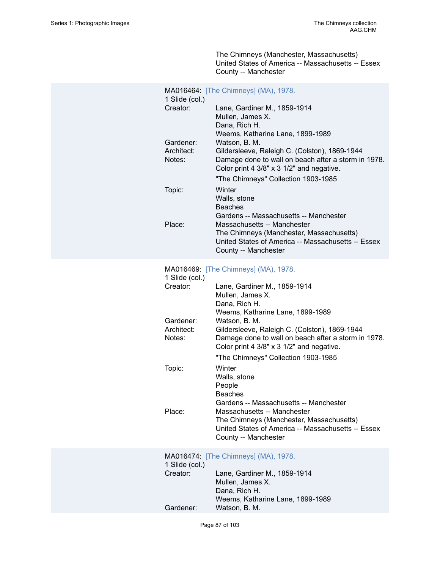The Chimneys (Manchester, Massachusetts) United States of America -- Massachusetts -- Essex County -- Manchester

| 1 Slide (col.)                    | MA016464: [The Chimneys] (MA), 1978.                                                                                                                                                                                                          |
|-----------------------------------|-----------------------------------------------------------------------------------------------------------------------------------------------------------------------------------------------------------------------------------------------|
| Creator:                          | Lane, Gardiner M., 1859-1914<br>Mullen, James X.<br>Dana, Rich H.<br>Weems, Katharine Lane, 1899-1989                                                                                                                                         |
| Gardener:<br>Architect:<br>Notes: | Watson, B. M.<br>Gildersleeve, Raleigh C. (Colston), 1869-1944<br>Damage done to wall on beach after a storm in 1978.<br>Color print 4 3/8" x 3 1/2" and negative.<br>"The Chimneys" Collection 1903-1985                                     |
| Topic:                            | Winter<br>Walls, stone<br><b>Beaches</b>                                                                                                                                                                                                      |
| Place:                            | Gardens -- Massachusetts -- Manchester<br>Massachusetts -- Manchester<br>The Chimneys (Manchester, Massachusetts)<br>United States of America -- Massachusetts -- Essex<br>County -- Manchester                                               |
|                                   | MA016469: [The Chimneys] (MA), 1978.                                                                                                                                                                                                          |
| 1 Slide (col.)<br>Creator:        | Lane, Gardiner M., 1859-1914<br>Mullen, James X.<br>Dana, Rich H.                                                                                                                                                                             |
| Gardener:<br>Architect:<br>Notes: | Weems, Katharine Lane, 1899-1989<br>Watson, B. M.<br>Gildersleeve, Raleigh C. (Colston), 1869-1944<br>Damage done to wall on beach after a storm in 1978.<br>Color print 4 3/8" x 3 1/2" and negative.<br>"The Chimneys" Collection 1903-1985 |
| Topic:                            | Winter<br>Walls, stone<br>People<br><b>Beaches</b><br>Gardens -- Massachusetts -- Manchester                                                                                                                                                  |
| Place:                            | Massachusetts -- Manchester<br>The Chimneys (Manchester, Massachusetts)<br>United States of America -- Massachusetts -- Essex<br>County -- Manchester                                                                                         |
| 1 Slide (col.)<br>Creator:        | MA016474: [The Chimneys] (MA), 1978.<br>Lane, Gardiner M., 1859-1914<br>Mullen, James X.                                                                                                                                                      |
|                                   | Dana, Rich H.                                                                                                                                                                                                                                 |

Weems, Katharine Lane, 1899-1989

Gardener: Watson, B. M.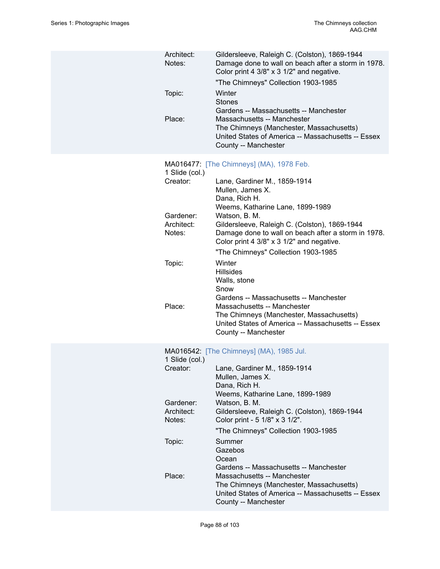| Architect:<br>Notes:<br>Topic: | Gildersleeve, Raleigh C. (Colston), 1869-1944<br>Damage done to wall on beach after a storm in 1978.<br>Color print 4 3/8" x 3 1/2" and negative.<br>"The Chimneys" Collection 1903-1985<br>Winter<br><b>Stones</b><br>Gardens -- Massachusetts -- Manchester |
|--------------------------------|---------------------------------------------------------------------------------------------------------------------------------------------------------------------------------------------------------------------------------------------------------------|
| Place:                         | Massachusetts -- Manchester<br>The Chimneys (Manchester, Massachusetts)<br>United States of America -- Massachusetts -- Essex<br>County -- Manchester                                                                                                         |
|                                | MA016477: [The Chimneys] (MA), 1978 Feb.                                                                                                                                                                                                                      |
| 1 Slide (col.)<br>Creator:     | Lane, Gardiner M., 1859-1914<br>Mullen, James X.<br>Dana, Rich H.                                                                                                                                                                                             |
|                                | Weems, Katharine Lane, 1899-1989                                                                                                                                                                                                                              |
| Gardener:<br>Architect:        | Watson, B. M.<br>Gildersleeve, Raleigh C. (Colston), 1869-1944                                                                                                                                                                                                |
| Notes:                         | Damage done to wall on beach after a storm in 1978.<br>Color print 4 3/8" x 3 1/2" and negative.<br>"The Chimneys" Collection 1903-1985                                                                                                                       |
| Topic:                         | Winter                                                                                                                                                                                                                                                        |
|                                | <b>Hillsides</b><br>Walls, stone<br>Snow                                                                                                                                                                                                                      |
| Place:                         | Gardens -- Massachusetts -- Manchester<br>Massachusetts -- Manchester<br>The Chimneys (Manchester, Massachusetts)<br>United States of America -- Massachusetts -- Essex<br>County -- Manchester                                                               |
| 1 Slide (col.)                 | MA016542: [The Chimneys] (MA), 1985 Jul.                                                                                                                                                                                                                      |
| Creator:                       | Lane, Gardiner M., 1859-1914<br>Mullen, James X.<br>Dana, Rich H.<br>Weems, Katharine Lane, 1899-1989                                                                                                                                                         |
| Gardener:                      | Watson, B. M.                                                                                                                                                                                                                                                 |
| Architect:<br>Notes:           | Gildersleeve, Raleigh C. (Colston), 1869-1944<br>Color print - 5 1/8" x 3 1/2".                                                                                                                                                                               |
|                                | "The Chimneys" Collection 1903-1985                                                                                                                                                                                                                           |
| Topic:                         | Summer<br>Gazebos<br>Ocean                                                                                                                                                                                                                                    |
| Place:                         | Gardens -- Massachusetts -- Manchester<br>Massachusetts -- Manchester<br>The Chimneys (Manchester, Massachusetts)<br>United States of America -- Massachusetts -- Essex<br>County -- Manchester                                                               |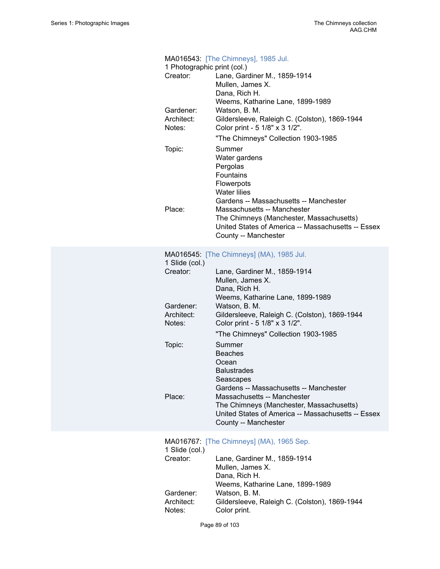| 1 Photographic print (col.)<br>Creator: | MA016543: [The Chimneys], 1985 Jul.<br>Lane, Gardiner M., 1859-1914<br>Mullen, James X.<br>Dana, Rich H.<br>Weems, Katharine Lane, 1899-1989          |
|-----------------------------------------|-------------------------------------------------------------------------------------------------------------------------------------------------------|
| Gardener:<br>Architect:<br>Notes:       | Watson, B. M.<br>Gildersleeve, Raleigh C. (Colston), 1869-1944<br>Color print - 5 1/8" x 3 1/2".                                                      |
|                                         | "The Chimneys" Collection 1903-1985                                                                                                                   |
| Topic:                                  | Summer<br>Water gardens<br>Pergolas<br>Fountains<br>Flowerpots<br><b>Water lilies</b><br>Gardens -- Massachusetts -- Manchester                       |
| Place:                                  | Massachusetts -- Manchester<br>The Chimneys (Manchester, Massachusetts)<br>United States of America -- Massachusetts -- Essex<br>County -- Manchester |
| 1 Slide (col.)                          | MA016545: [The Chimneys] (MA), 1985 Jul.                                                                                                              |
| Creator:                                | Lane, Gardiner M., 1859-1914<br>Mullen, James X.<br>Dana, Rich H.<br>Weems, Katharine Lane, 1899-1989                                                 |
| Gardener:<br>Architect:<br>Notes:       | Watson, B. M.<br>Gildersleeve, Raleigh C. (Colston), 1869-1944<br>Color print - 5 1/8" x 3 1/2".                                                      |
|                                         | "The Chimneys" Collection 1903-1985                                                                                                                   |
| Topic:                                  | Summer<br><b>Beaches</b><br>Ocean<br><b>Balustrades</b><br>Seascapes<br>Gardens -- Massachusetts -- Manchester                                        |
| Place:                                  | Massachusetts -- Manchester<br>The Chimneys (Manchester, Massachusetts)<br>United States of America -- Massachusetts -- Essex<br>County -- Manchester |
| 1 Slide (col.)                          | MA016767: [The Chimneys] (MA), 1965 Sep.                                                                                                              |
| Creator:                                | Lane, Gardiner M., 1859-1914<br>Mullen, James X.<br>Dana, Rich H.<br>Weems, Katharine Lane, 1899-1989                                                 |
| Gardener:<br>Architect:<br>Notes:       | Watson, B. M.<br>Gildersleeve, Raleigh C. (Colston), 1869-1944<br>Color print.                                                                        |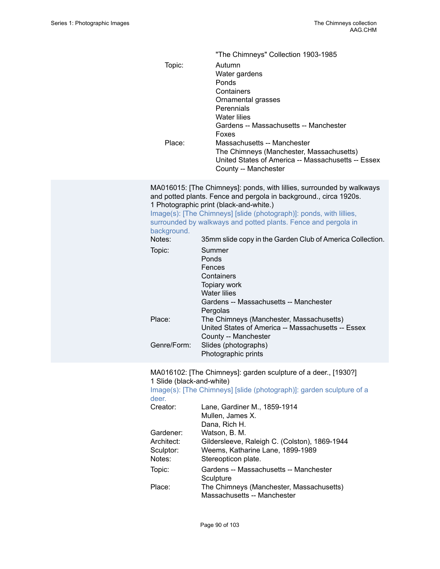|                                | "The Chimneys" Collection 1903-1985                                                                                                                                                                                                                                                                                   |
|--------------------------------|-----------------------------------------------------------------------------------------------------------------------------------------------------------------------------------------------------------------------------------------------------------------------------------------------------------------------|
| Topic:<br>Place:               | Autumn<br>Water gardens<br>Ponds<br>Containers<br>Ornamental grasses<br>Perennials<br><b>Water lilies</b><br>Gardens -- Massachusetts -- Manchester<br>Foxes<br>Massachusetts -- Manchester<br>The Chimneys (Manchester, Massachusetts)<br>United States of America -- Massachusetts -- Essex<br>County -- Manchester |
|                                | MA016015: [The Chimneys]: ponds, with lillies, surrounded by walkways<br>and potted plants. Fence and pergola in background., circa 1920s.                                                                                                                                                                            |
| background.                    | 1 Photographic print (black-and-white.)<br>Image(s): [The Chimneys] [slide (photograph)]: ponds, with lillies,<br>surrounded by walkways and potted plants. Fence and pergola in                                                                                                                                      |
| Notes:                         | 35mm slide copy in the Garden Club of America Collection.                                                                                                                                                                                                                                                             |
| Topic:                         | Summer<br>Ponds<br>Fences<br>Containers<br>Topiary work<br><b>Water lilies</b><br>Gardens -- Massachusetts -- Manchester<br>Pergolas                                                                                                                                                                                  |
| Place:                         | The Chimneys (Manchester, Massachusetts)<br>United States of America -- Massachusetts -- Essex<br>County -- Manchester                                                                                                                                                                                                |
| Genre/Form:                    | Slides (photographs)<br>Photographic prints                                                                                                                                                                                                                                                                           |
| $\sim$ Clide (blook and white) | MA016102: [The Chimneys]: garden sculpture of a deer., [1930?]                                                                                                                                                                                                                                                        |

1 Slide (black-and-white) [Image\(s\): \[The Chimneys\] \[slide \(photograph\)\]: garden sculpture of a](https://ids.si.edu/ids/deliveryService?id=SG-7070)

[deer.](https://ids.si.edu/ids/deliveryService?id=SG-7070)<br>Creato Creator: Lane, Gardiner M., 1859-1914

| Lane, Gardiner M., 1859-1914                  |
|-----------------------------------------------|
| Mullen, James X.                              |
| Dana, Rich H.                                 |
| Watson, B. M.                                 |
| Gildersleeve, Raleigh C. (Colston), 1869-1944 |
| Weems, Katharine Lane, 1899-1989              |
| Stereopticon plate.                           |
| Gardens -- Massachusetts -- Manchester        |
| Sculpture                                     |
| The Chimneys (Manchester, Massachusetts)      |
| Massachusetts -- Manchester                   |
|                                               |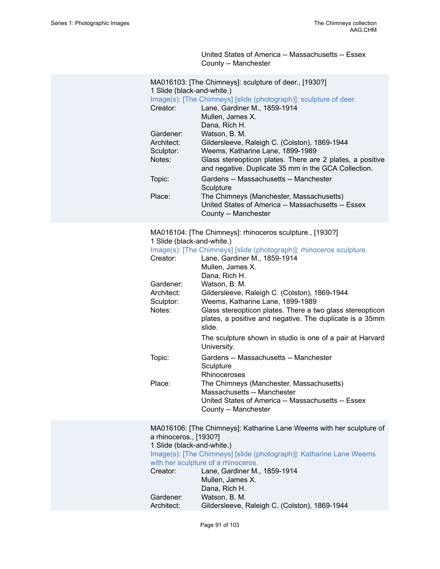United States of America -- Massachusetts -- Essex County -- Manchester

| 1 Slide (black-and-white.)<br>Creator:<br>Gardener:<br>Architect:<br>Sculptor:<br>Notes:<br>Topic:<br>Place: | MA016103: [The Chimneys]: sculpture of deer., [1930?]<br>Image(s): [The Chimneys] [slide (photograph)]: sculpture of deer.<br>Lane, Gardiner M., 1859-1914<br>Mullen, James X.<br>Dana, Rich H.<br>Watson, B. M.<br>Gildersleeve, Raleigh C. (Colston), 1869-1944<br>Weems, Katharine Lane, 1899-1989<br>Glass stereopticon plates. There are 2 plates, a positive<br>and negative. Duplicate 35 mm in the GCA Collection.<br>Gardens -- Massachusetts -- Manchester<br>Sculpture<br>The Chimneys (Manchester, Massachusetts)<br>United States of America -- Massachusetts -- Essex<br>County -- Manchester |
|--------------------------------------------------------------------------------------------------------------|-------------------------------------------------------------------------------------------------------------------------------------------------------------------------------------------------------------------------------------------------------------------------------------------------------------------------------------------------------------------------------------------------------------------------------------------------------------------------------------------------------------------------------------------------------------------------------------------------------------|
| 1 Slide (black-and-white.)<br>Creator:<br>Gardener:<br>Architect:<br>Sculptor:<br>Notes:<br>Topic:           | MA016104: [The Chimneys]: rhinoceros sculpture., [1930?]<br>Image(s): [The Chimneys] [slide (photograph)]: rhinoceros sculpture.<br>Lane, Gardiner M., 1859-1914<br>Mullen, James X.<br>Dana, Rich H.<br>Watson, B. M.<br>Gildersleeve, Raleigh C. (Colston), 1869-1944<br>Weems, Katharine Lane, 1899-1989<br>Glass stereopticon plates. There a two glass stereopticon<br>plates, a positive and negative. The duplicate is a 35mm<br>slide.<br>The sculpture shown in studio is one of a pair at Harvard<br>University.<br>Gardens -- Massachusetts -- Manchester<br>Sculpture<br>Rhinoceroses           |
| Place:                                                                                                       | The Chimneys (Manchester, Massachusetts)<br>Massachusetts -- Manchester<br>United States of America -- Massachusetts -- Essex<br>County -- Manchester                                                                                                                                                                                                                                                                                                                                                                                                                                                       |
| a rhinoceros., [1930?]<br>1 Slide (black-and-white.)<br>Creator:<br>Gardener:<br>Architect:                  | MA016106: [The Chimneys]: Katharine Lane Weems with her sculpture of<br>Image(s): [The Chimneys] [slide (photograph)]: Katharine Lane Weems<br>with her sculpture of a rhinoceros.<br>Lane, Gardiner M., 1859-1914<br>Mullen, James X.<br>Dana, Rich H.<br>Watson, B. M.<br>Gildersleeve, Raleigh C. (Colston), 1869-1944                                                                                                                                                                                                                                                                                   |
|                                                                                                              |                                                                                                                                                                                                                                                                                                                                                                                                                                                                                                                                                                                                             |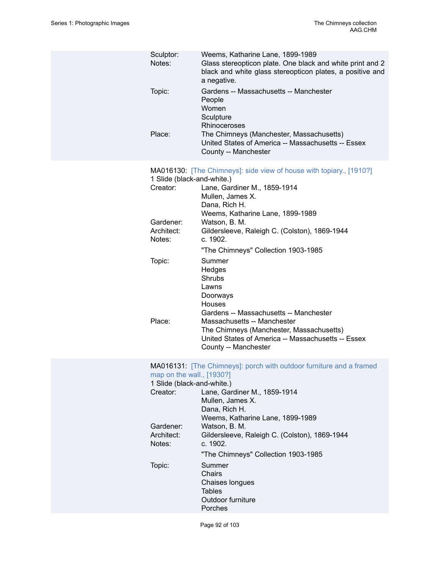| Sculptor:<br>Notes:                                     | Weems, Katharine Lane, 1899-1989<br>Glass stereopticon plate. One black and white print and 2<br>black and white glass stereopticon plates, a positive and<br>a negative.                       |
|---------------------------------------------------------|-------------------------------------------------------------------------------------------------------------------------------------------------------------------------------------------------|
| Topic:                                                  | Gardens -- Massachusetts -- Manchester<br>People<br>Women<br>Sculpture<br>Rhinoceroses                                                                                                          |
| Place:                                                  | The Chimneys (Manchester, Massachusetts)<br>United States of America -- Massachusetts -- Essex<br>County -- Manchester                                                                          |
| 1 Slide (black-and-white.)<br>Creator:                  | MA016130: [The Chimneys]: side view of house with topiary., [1910?]<br>Lane, Gardiner M., 1859-1914<br>Mullen, James X.<br>Dana, Rich H.                                                        |
| Gardener:<br>Architect:<br>Notes:                       | Weems, Katharine Lane, 1899-1989<br>Watson, B. M.<br>Gildersleeve, Raleigh C. (Colston), 1869-1944<br>c. 1902.                                                                                  |
|                                                         | "The Chimneys" Collection 1903-1985                                                                                                                                                             |
| Topic:                                                  | Summer<br>Hedges<br>Shrubs<br>Lawns<br>Doorways<br>Houses                                                                                                                                       |
| Place:                                                  | Gardens -- Massachusetts -- Manchester<br>Massachusetts -- Manchester<br>The Chimneys (Manchester, Massachusetts)<br>United States of America -- Massachusetts -- Essex<br>County -- Manchester |
| map on the wall., [1930?]<br>1 Slide (black-and-white.) | MA016131: [The Chimneys]: porch with outdoor furniture and a framed                                                                                                                             |
| Creator:                                                | Lane, Gardiner M., 1859-1914<br>Mullen, James X.<br>Dana, Rich H.<br>Weems, Katharine Lane, 1899-1989                                                                                           |
| Gardener:<br>Architect:<br>Notes:                       | Watson, B. M.<br>Gildersleeve, Raleigh C. (Colston), 1869-1944<br>c. 1902.                                                                                                                      |
|                                                         | "The Chimneys" Collection 1903-1985                                                                                                                                                             |
| Topic:                                                  | Summer<br>Chairs<br>Chaises longues<br><b>Tables</b><br>Outdoor furniture                                                                                                                       |
|                                                         | Porches                                                                                                                                                                                         |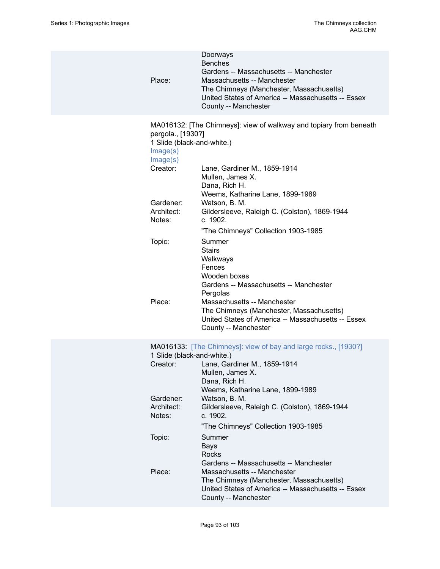| Place:                                                                                                                   | Doorways<br><b>Benches</b><br>Gardens -- Massachusetts -- Manchester<br>Massachusetts -- Manchester<br>The Chimneys (Manchester, Massachusetts)<br>United States of America -- Massachusetts -- Essex<br>County -- Manchester                                                                                       |
|--------------------------------------------------------------------------------------------------------------------------|---------------------------------------------------------------------------------------------------------------------------------------------------------------------------------------------------------------------------------------------------------------------------------------------------------------------|
| pergola., [1930?]<br>1 Slide (black-and-white.)<br>Image(s)<br>Image(s)<br>Creator:<br>Gardener:<br>Architect:<br>Notes: | MA016132: [The Chimneys]: view of walkway and topiary from beneath<br>Lane, Gardiner M., 1859-1914<br>Mullen, James X.<br>Dana, Rich H.<br>Weems, Katharine Lane, 1899-1989<br>Watson, B. M.<br>Gildersleeve, Raleigh C. (Colston), 1869-1944<br>c. 1902.                                                           |
| Topic:<br>Place:                                                                                                         | "The Chimneys" Collection 1903-1985<br>Summer<br><b>Stairs</b><br>Walkways<br>Fences<br>Wooden boxes<br>Gardens -- Massachusetts -- Manchester<br>Pergolas<br>Massachusetts -- Manchester<br>The Chimneys (Manchester, Massachusetts)<br>United States of America -- Massachusetts -- Essex<br>County -- Manchester |
| 1 Slide (black-and-white.)<br>Creator:<br>Gardener:<br>Architect:<br>Notes:                                              | MA016133: [The Chimneys]: view of bay and large rocks., [1930?]<br>Lane, Gardiner M., 1859-1914<br>Mullen, James X.<br>Dana, Rich H.<br>Weems, Katharine Lane, 1899-1989<br>Watson, B. M.<br>Gildersleeve, Raleigh C. (Colston), 1869-1944<br>c. 1902.                                                              |
| Topic:<br>Place:                                                                                                         | "The Chimneys" Collection 1903-1985<br>Summer<br><b>Bays</b><br><b>Rocks</b><br>Gardens -- Massachusetts -- Manchester<br>Massachusetts -- Manchester<br>The Chimneys (Manchester, Massachusetts)                                                                                                                   |
|                                                                                                                          | United States of America -- Massachusetts -- Essex<br>County -- Manchester                                                                                                                                                                                                                                          |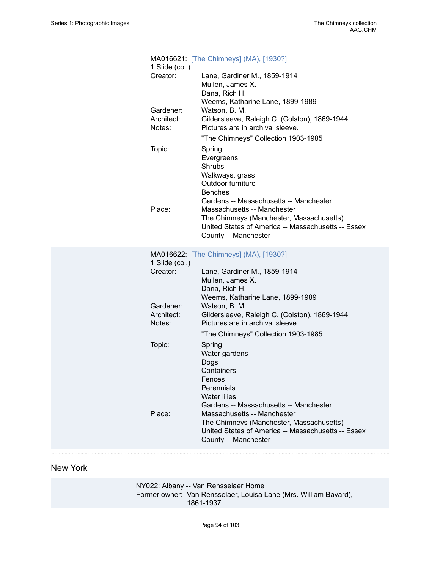| 1 Slide (col.)                    | MA016621: [The Chimneys] (MA), [1930?]                                                                                                                                                                            |
|-----------------------------------|-------------------------------------------------------------------------------------------------------------------------------------------------------------------------------------------------------------------|
| Creator:                          | Lane, Gardiner M., 1859-1914<br>Mullen, James X.<br>Dana, Rich H.<br>Weems, Katharine Lane, 1899-1989                                                                                                             |
| Gardener:<br>Architect:<br>Notes: | Watson, B. M.<br>Gildersleeve, Raleigh C. (Colston), 1869-1944<br>Pictures are in archival sleeve.                                                                                                                |
| Topic:                            | "The Chimneys" Collection 1903-1985<br>Spring<br>Evergreens<br>Shrubs<br>Walkways, grass<br>Outdoor furniture                                                                                                     |
| Place:                            | <b>Benches</b><br>Gardens -- Massachusetts -- Manchester<br>Massachusetts -- Manchester<br>The Chimneys (Manchester, Massachusetts)<br>United States of America -- Massachusetts -- Essex<br>County -- Manchester |
| 1 Slide (col.)                    | MA016622: [The Chimneys] (MA), [1930?]                                                                                                                                                                            |
| Creator:                          | Lane, Gardiner M., 1859-1914<br>Mullen, James X.<br>Dana, Rich H.<br>Weems, Katharine Lane, 1899-1989                                                                                                             |
| Gardener:<br>Architect:<br>Notes: | Watson, B. M.<br>Gildersleeve, Raleigh C. (Colston), 1869-1944<br>Pictures are in archival sleeve.                                                                                                                |
| Topic:                            | "The Chimneys" Collection 1903-1985<br>Spring<br>Water gardens                                                                                                                                                    |
| Place:                            | Dogs<br>Containers<br>Fences<br>Perennials<br><b>Water lilies</b><br>Gardens -- Massachusetts -- Manchester<br>Massachusetts -- Manchester<br>The Chimneys (Manchester, Massachusetts)                            |
|                                   | United States of America -- Massachusetts -- Essex<br>County -- Manchester                                                                                                                                        |

## New York

NY022: Albany -- Van Rensselaer Home Former owner: Van Rensselaer, Louisa Lane (Mrs. William Bayard), 1861-1937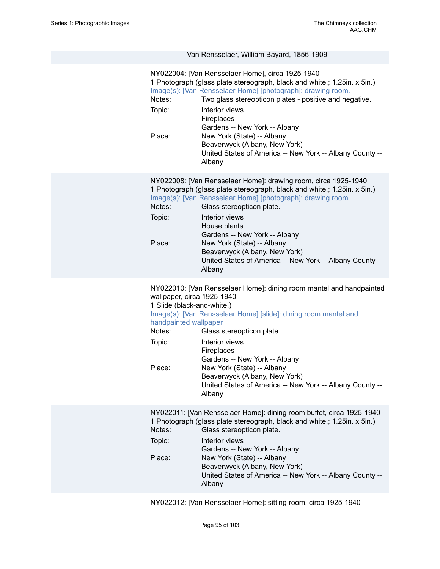## Van Rensselaer, William Bayard, 1856-1909

| United States of America -- New York -- Albany County --<br>Albany<br>NY022008: [Van Rensselaer Home]: drawing room, circa 1925-1940<br>1 Photograph (glass plate stereograph, black and white.; 1.25in. x 5in.)<br>Image(s): [Van Rensselaer Home] [photograph]: drawing room.<br>Notes:<br>Glass stereopticon plate.<br>Topic:<br>Interior views<br>House plants<br>Gardens -- New York -- Albany<br>Place:<br>New York (State) -- Albany<br>Beaverwyck (Albany, New York)<br>Albany<br>NY022010: [Van Rensselaer Home]: dining room mantel and handpainted<br>wallpaper, circa 1925-1940<br>1 Slide (black-and-white.)<br>Image(s): [Van Rensselaer Home] [slide]: dining room mantel and<br>handpainted wallpaper<br>Notes:<br>Glass stereopticon plate.<br>Topic:<br>Interior views<br>Fireplaces<br>Gardens -- New York -- Albany<br>Place:<br>New York (State) -- Albany<br>Beaverwyck (Albany, New York)<br>Albany<br>NY022011: [Van Rensselaer Home]: dining room buffet, circa 1925-1940<br>1 Photograph (glass plate stereograph, black and white.; 1.25in. x 5in.)<br>Notes:<br>Glass stereopticon plate.<br>Topic:<br>Interior views<br>Gardens -- New York -- Albany<br>New York (State) -- Albany<br>Place:<br>Beaverwyck (Albany, New York) | Notes:<br>Topic:<br>Place: | NY022004: [Van Rensselaer Home], circa 1925-1940<br>1 Photograph (glass plate stereograph, black and white.; 1.25in. x 5in.)<br>Image(s): [Van Rensselaer Home] [photograph]: drawing room.<br>Two glass stereopticon plates - positive and negative.<br>Interior views<br>Fireplaces<br>Gardens -- New York -- Albany<br>New York (State) -- Albany<br>Beaverwyck (Albany, New York) |
|-------------------------------------------------------------------------------------------------------------------------------------------------------------------------------------------------------------------------------------------------------------------------------------------------------------------------------------------------------------------------------------------------------------------------------------------------------------------------------------------------------------------------------------------------------------------------------------------------------------------------------------------------------------------------------------------------------------------------------------------------------------------------------------------------------------------------------------------------------------------------------------------------------------------------------------------------------------------------------------------------------------------------------------------------------------------------------------------------------------------------------------------------------------------------------------------------------------------------------------------------------------|----------------------------|---------------------------------------------------------------------------------------------------------------------------------------------------------------------------------------------------------------------------------------------------------------------------------------------------------------------------------------------------------------------------------------|
|                                                                                                                                                                                                                                                                                                                                                                                                                                                                                                                                                                                                                                                                                                                                                                                                                                                                                                                                                                                                                                                                                                                                                                                                                                                             |                            |                                                                                                                                                                                                                                                                                                                                                                                       |
|                                                                                                                                                                                                                                                                                                                                                                                                                                                                                                                                                                                                                                                                                                                                                                                                                                                                                                                                                                                                                                                                                                                                                                                                                                                             |                            | United States of America -- New York -- Albany County --                                                                                                                                                                                                                                                                                                                              |
|                                                                                                                                                                                                                                                                                                                                                                                                                                                                                                                                                                                                                                                                                                                                                                                                                                                                                                                                                                                                                                                                                                                                                                                                                                                             |                            | United States of America -- New York -- Albany County --                                                                                                                                                                                                                                                                                                                              |
| Albany                                                                                                                                                                                                                                                                                                                                                                                                                                                                                                                                                                                                                                                                                                                                                                                                                                                                                                                                                                                                                                                                                                                                                                                                                                                      |                            | United States of America -- New York -- Albany County --                                                                                                                                                                                                                                                                                                                              |

NY022012: [Van Rensselaer Home]: sitting room, circa 1925-1940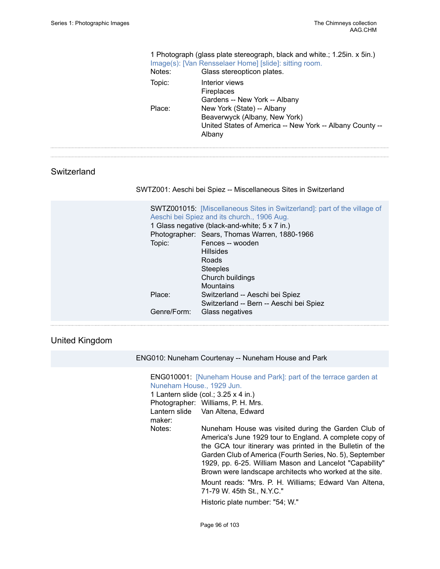$\cdots$  $\ddotsc$ 

|             | Notes:<br>Topic:<br>Place:      | 1 Photograph (glass plate stereograph, black and white.; 1.25 in. x 5 in.)<br>Image(s): [Van Rensselaer Home] [slide]: sitting room.<br>Glass stereopticon plates.<br>Interior views<br>Fireplaces<br>Gardens -- New York -- Albany<br>New York (State) -- Albany<br>Beaverwyck (Albany, New York)<br>United States of America -- New York -- Albany County --<br>Albany                                                               |
|-------------|---------------------------------|----------------------------------------------------------------------------------------------------------------------------------------------------------------------------------------------------------------------------------------------------------------------------------------------------------------------------------------------------------------------------------------------------------------------------------------|
| Switzerland |                                 | SWTZ001: Aeschi bei Spiez -- Miscellaneous Sites in Switzerland                                                                                                                                                                                                                                                                                                                                                                        |
|             | Topic:<br>Place:<br>Genre/Form: | SWTZ001015: [Miscellaneous Sites in Switzerland]: part of the village of<br>Aeschi bei Spiez and its church., 1906 Aug.<br>1 Glass negative (black-and-white; 5 x 7 in.)<br>Photographer: Sears, Thomas Warren, 1880-1966<br>Fences -- wooden<br><b>Hillsides</b><br>Roads<br><b>Steeples</b><br>Church buildings<br><b>Mountains</b><br>Switzerland -- Aeschi bei Spiez<br>Switzerland -- Bern -- Aeschi bei Spiez<br>Glass negatives |

#### United Kingdom

ENG010: Nuneham Courtenay -- Nuneham House and Park

#### ENG010001: [\[Nuneham House and Park\]: part of the terrace garden at](https://ids.si.edu/ids/deliveryService?id=SG-ENG010001) [Nuneham House., 1929 Jun.](https://ids.si.edu/ids/deliveryService?id=SG-ENG010001)

1 Lantern slide (col.; 3.25 x 4 in.) Photographer: Williams, P. H. Mrs. Lantern slide Van Altena, Edward maker:

Notes: Nuneham House was visited during the Garden Club of America's June 1929 tour to England. A complete copy of the GCA tour itinerary was printed in the Bulletin of the Garden Club of America (Fourth Series, No. 5), September 1929, pp. 6-25. William Mason and Lancelot "Capability" Brown were landscape architects who worked at the site.

> Mount reads: "Mrs. P. H. Williams; Edward Van Altena, 71-79 W. 45th St., N.Y.C."

Historic plate number: "54; W."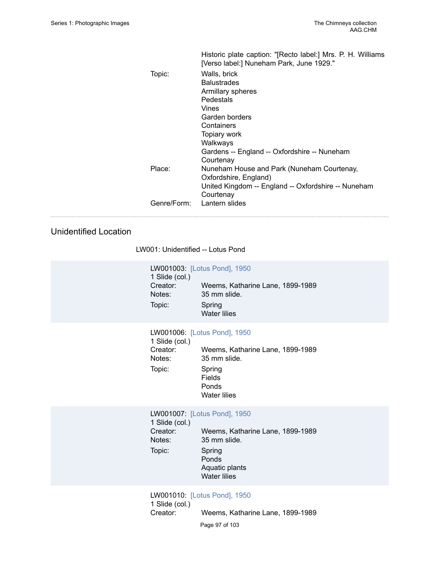|             | Historic plate caption: "[Recto label:] Mrs. P. H. Williams<br>[Verso label:] Nuneham Park, June 1929."                                              |
|-------------|------------------------------------------------------------------------------------------------------------------------------------------------------|
| Topic:      | Walls, brick<br><b>Balustrades</b><br>Armillary spheres<br>Pedestals                                                                                 |
|             | Vines<br>Garden borders<br>Containers<br>Topiary work<br>Walkways<br>Gardens -- England -- Oxfordshire -- Nuneham                                    |
| Place:      | Courtenay<br>Nuneham House and Park (Nuneham Courtenay,<br>Oxfordshire, England)<br>United Kingdom -- England -- Oxfordshire -- Nuneham<br>Courtenay |
| Genre/Form: | Lantern slides                                                                                                                                       |

#### Unidentified Location

LW001: Unidentified -- Lotus Pond

|                | LW001003: [Lotus Pond], 1950     |
|----------------|----------------------------------|
| 1 Slide (col.) |                                  |
| Creator:       | Weems, Katharine Lane, 1899-1989 |
| Notes:         | 35 mm slide.                     |
| Topic:         | Spring<br><b>Water lilies</b>    |

#### LW001006: [\[Lotus Pond\], 1950](https://ids.si.edu/ids/deliveryService?id=SG-LW001006)

| 1 Slide (col.) |                                           |
|----------------|-------------------------------------------|
| Creator:       | Weems, Katharine Lane, 1899-1989          |
| Notes:         | 35 mm slide.                              |
| Topic:         | Spring<br>Fields<br>Ponds<br>Water lilies |

LW001007: [\[Lotus Pond\], 1950](https://ids.si.edu/ids/deliveryService?id=SG-LW001007) 1 Slide (col.) Weems, Katharine Lane, 1899-1989 Notes: 35 mm slide. Topic: Spring Ponds Aquatic plants Water lilies

LW001010: [\[Lotus Pond\], 1950](https://ids.si.edu/ids/deliveryService?id=SG-LW001010) 1 Slide (col.) Creator: Weems, Katharine Lane, 1899-1989

Page 97 of 103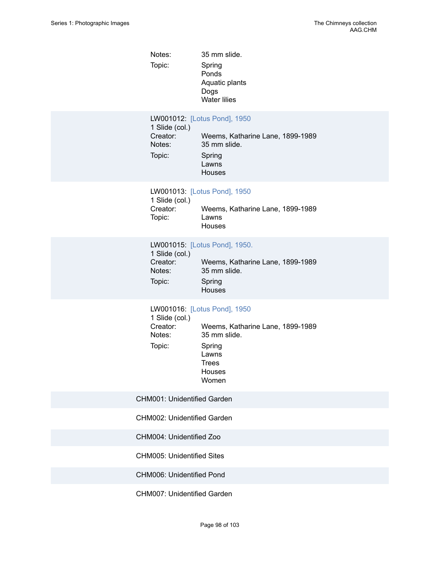| Notes: | 35 mm slide.   |
|--------|----------------|
| Topic: | Spring         |
|        | Ponds          |
|        | Aquatic plants |
|        | Dogs           |
|        | Water lilies   |

|                | LW001012: [Lotus Pond], 1950     |
|----------------|----------------------------------|
| 1 Slide (col.) |                                  |
| Creator:       | Weems, Katharine Lane, 1899-1989 |
| Notes:         | 35 mm slide.                     |
| Topic:         | Spring                           |
|                | Lawns                            |
|                | Houses                           |

#### LW001013: [\[Lotus Pond\], 1950](https://ids.si.edu/ids/deliveryService?id=SG-LW001013)

| 1 Slide (col.) |                                  |
|----------------|----------------------------------|
| Creator:       | Weems, Katharine Lane, 1899-1989 |
| Topic:         | Lawns                            |
|                | Houses                           |
|                |                                  |

#### LW001015: [\[Lotus Pond\], 1950.](https://ids.si.edu/ids/deliveryService?id=SG-LW001015)

| 1 Slide (col.) |                                  |
|----------------|----------------------------------|
| Creator:       | Weems, Katharine Lane, 1899-1989 |
| Notes:         | 35 mm slide.                     |
| Topic:         | Spring<br><b>Houses</b>          |

#### LW001016: [\[Lotus Pond\], 1950](https://ids.si.edu/ids/deliveryService?id=SG-LW001016)

| 1 Slide (col.) |                                  |  |  |
|----------------|----------------------------------|--|--|
| Creator:       | Weems, Katharine Lane, 1899-1989 |  |  |
| Notes:         | 35 mm slide.                     |  |  |
| Topic:         | Spring                           |  |  |
|                | Lawns                            |  |  |
|                | <b>Trees</b>                     |  |  |
|                | Houses                           |  |  |
|                | Women                            |  |  |
|                |                                  |  |  |

#### CHM001: Unidentified Garden

CHM002: Unidentified Garden

CHM004: Unidentified Zoo

CHM005: Unidentified Sites

CHM006: Unidentified Pond

CHM007: Unidentified Garden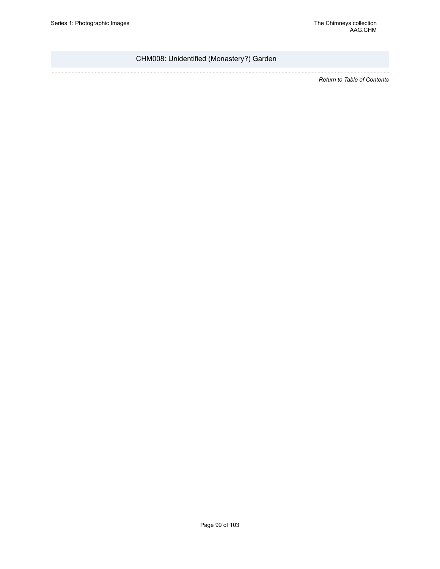### CHM008: Unidentified (Monastery?) Garden

*Return to Table of [Contents](#page-1-0)*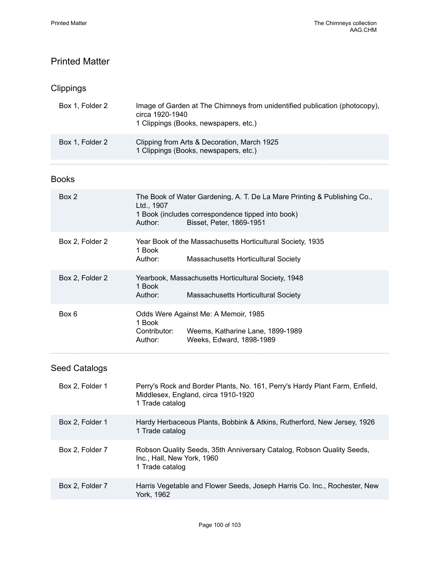# Printed Matter

# Clippings

| Box 1, Folder 2 | Image of Garden at The Chimneys from unidentified publication (photocopy),<br>circa 1920-1940<br>1 Clippings (Books, newspapers, etc.) |
|-----------------|----------------------------------------------------------------------------------------------------------------------------------------|
| Box 1, Folder 2 | Clipping from Arts & Decoration, March 1925<br>1 Clippings (Books, newspapers, etc.)                                                   |

### Books

| Box 2           | The Book of Water Gardening, A. T. De La Mare Printing & Publishing Co.,<br>Ltd., 1907<br>1 Book (includes correspondence tipped into book)<br>Author:<br>Bisset, Peter, 1869-1951 |  |
|-----------------|------------------------------------------------------------------------------------------------------------------------------------------------------------------------------------|--|
| Box 2, Folder 2 | Year Book of the Massachusetts Horticultural Society, 1935<br>1 Book<br>Author:<br>Massachusetts Horticultural Society                                                             |  |
| Box 2, Folder 2 | Yearbook, Massachusetts Horticultural Society, 1948<br>1 Book<br>Author:<br><b>Massachusetts Horticultural Society</b>                                                             |  |
| Box 6           | Odds Were Against Me: A Memoir, 1985<br>1 Book<br>Contributor:<br>Weems, Katharine Lane, 1899-1989<br>Weeks, Edward, 1898-1989<br>Author:                                          |  |
|                 |                                                                                                                                                                                    |  |

# Seed Catalogs

| Box 2, Folder 1 | Perry's Rock and Border Plants, No. 161, Perry's Hardy Plant Farm, Enfield,<br>Middlesex, England, circa 1910-1920<br>1 Trade catalog |  |
|-----------------|---------------------------------------------------------------------------------------------------------------------------------------|--|
| Box 2, Folder 1 | Hardy Herbaceous Plants, Bobbink & Atkins, Rutherford, New Jersey, 1926<br>1 Trade catalog                                            |  |
| Box 2, Folder 7 | Robson Quality Seeds, 35th Anniversary Catalog, Robson Quality Seeds,<br>Inc., Hall, New York, 1960<br>1 Trade catalog                |  |
| Box 2, Folder 7 | Harris Vegetable and Flower Seeds, Joseph Harris Co. Inc., Rochester, New<br>York. 1962                                               |  |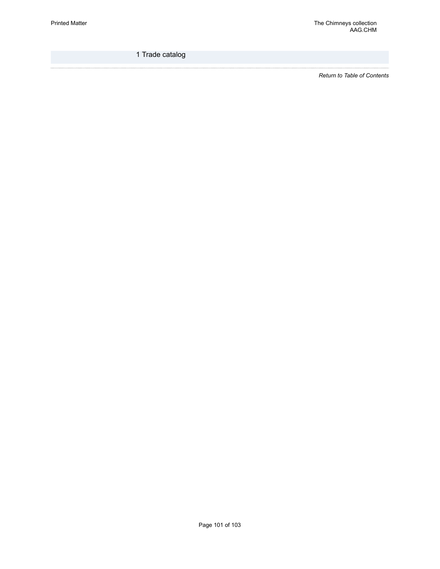1 Trade catalog

*Return to Table of [Contents](#page-1-0)*

. . . . . . . . .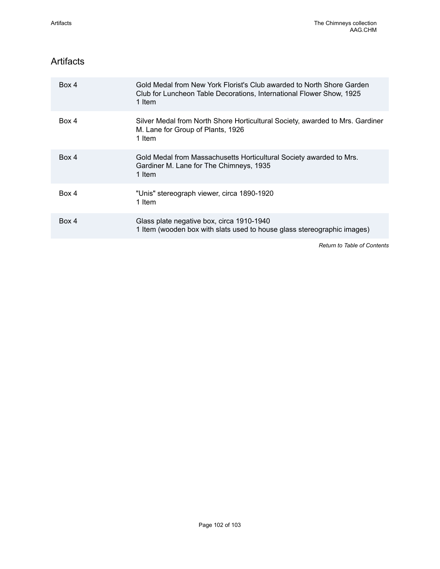## Artifacts

| Box 4 | Gold Medal from New York Florist's Club awarded to North Shore Garden<br>Club for Luncheon Table Decorations, International Flower Show, 1925<br>1 Item |  |
|-------|---------------------------------------------------------------------------------------------------------------------------------------------------------|--|
| Box 4 | Silver Medal from North Shore Horticultural Society, awarded to Mrs. Gardiner<br>M. Lane for Group of Plants, 1926<br>1 Item                            |  |
| Box 4 | Gold Medal from Massachusetts Horticultural Society awarded to Mrs.<br>Gardiner M. Lane for The Chimneys, 1935<br>1 Item                                |  |
| Box 4 | "Unis" stereograph viewer, circa 1890-1920<br>1 Item                                                                                                    |  |
| Box 4 | Glass plate negative box, circa 1910-1940<br>1 Item (wooden box with slats used to house glass stereographic images)                                    |  |

*Return to Table of [Contents](#page-1-0)*